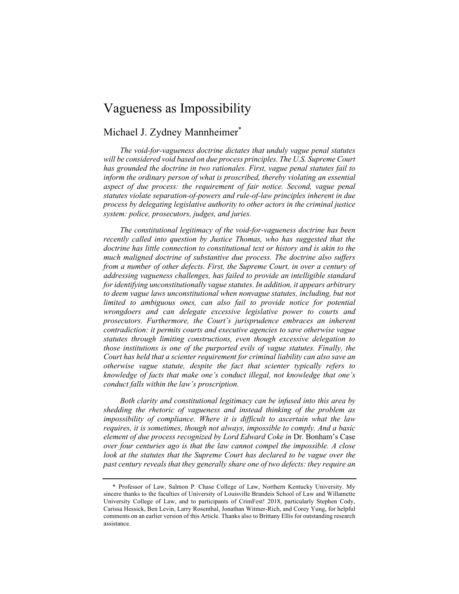# Vagueness as Impossibility

## Michael J. Zydney Mannheimer<sup>\*</sup>

*The void-for-vagueness doctrine dictates that unduly vague penal statutes will be considered void based on due process principles. The U.S. Supreme Court has grounded the doctrine in two rationales. First, vague penal statutes fail to inform the ordinary person of what is proscribed, thereby violating an essential aspect of due process: the requirement of fair notice. Second, vague penal statutes violate separation-of-powers and rule-of-law principles inherent in due process by delegating legislative authority to other actors in the criminal justice system: police, prosecutors, judges, and juries.*

*The constitutional legitimacy of the void-for-vagueness doctrine has been recently called into question by Justice Thomas, who has suggested that the doctrine has little connection to constitutional text or history and is akin to the much maligned doctrine of substantive due process. The doctrine also suffers from a number of other defects. First, the Supreme Court, in over a century of addressing vagueness challenges, has failed to provide an intelligible standard for identifying unconstitutionally vague statutes. In addition, it appears arbitrary to deem vague laws unconstitutional when nonvague statutes, including, but not limited to ambiguous ones, can also fail to provide notice for potential wrongdoers and can delegate excessive legislative power to courts and prosecutors. Furthermore, the Court's jurisprudence embraces an inherent contradiction: it permits courts and executive agencies to save otherwise vague statutes through limiting constructions, even though excessive delegation to those institutions is one of the purported evils of vague statutes. Finally, the Court has held that a scienter requirement for criminal liability can also save an otherwise vague statute, despite the fact that scienter typically refers to knowledge of facts that make one's conduct illegal, not knowledge that one's conduct falls within the law's proscription.*

*Both clarity and constitutional legitimacy can be infused into this area by shedding the rhetoric of vagueness and instead thinking of the problem as impossibility of compliance. Where it is difficult to ascertain what the law requires, it is sometimes, though not always, impossible to comply. And a basic element of due process recognized by Lord Edward Coke in* Dr. Bonham's Case *over four centuries ago is that the law cannot compel the impossible. A close look at the statutes that the Supreme Court has declared to be vague over the past century reveals that they generally share one of two defects: they require an* 

<sup>\*</sup> Professor of Law, Salmon P. Chase College of Law, Northern Kentucky University. My sincere thanks to the faculties of University of Louisville Brandeis School of Law and Willamette University College of Law, and to participants of CrimFest! 2018, particularly Stephen Cody, Carissa Hessick, Ben Levin, Larry Rosenthal, Jonathan Witmer-Rich, and Corey Yung, for helpful comments on an earlier version of this Article. Thanks also to Brittany Ellis for outstanding research assistance.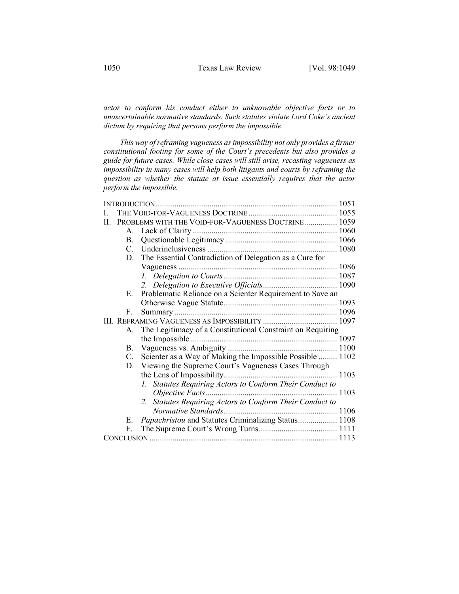*actor to conform his conduct either to unknowable objective facts or to unascertainable normative standards. Such statutes violate Lord Coke's ancient dictum by requiring that persons perform the impossible.*

*This way of reframing vagueness as impossibility not only provides a firmer constitutional footing for some of the Court's precedents but also provides a guide for future cases. While close cases will still arise, recasting vagueness as impossibility in many cases will help both litigants and courts by reframing the question as whether the statute at issue essentially requires that the actor perform the impossible.*

| П. |             | PROBLEMS WITH THE VOID-FOR-VAGUENESS DOCTRINE 1059         |  |
|----|-------------|------------------------------------------------------------|--|
|    |             |                                                            |  |
|    | <b>B.</b>   |                                                            |  |
|    | $C_{\cdot}$ |                                                            |  |
|    |             | D. The Essential Contradiction of Delegation as a Cure for |  |
|    |             |                                                            |  |
|    |             |                                                            |  |
|    |             |                                                            |  |
|    | E.          | Problematic Reliance on a Scienter Requirement to Save an  |  |
|    |             |                                                            |  |
|    | F.          |                                                            |  |
|    |             |                                                            |  |
|    | А.          | The Legitimacy of a Constitutional Constraint on Requiring |  |
|    |             |                                                            |  |
|    |             |                                                            |  |
|    | C.          | Scienter as a Way of Making the Impossible Possible  1102  |  |
|    | D.          | Viewing the Supreme Court's Vagueness Cases Through        |  |
|    |             |                                                            |  |
|    |             | 1. Statutes Requiring Actors to Conform Their Conduct to   |  |
|    |             |                                                            |  |
|    |             | 2. Statutes Requiring Actors to Conform Their Conduct to   |  |
|    |             |                                                            |  |
|    | Е.          | Papachristou and Statutes Criminalizing Status 1108        |  |
|    | F.          |                                                            |  |
|    |             |                                                            |  |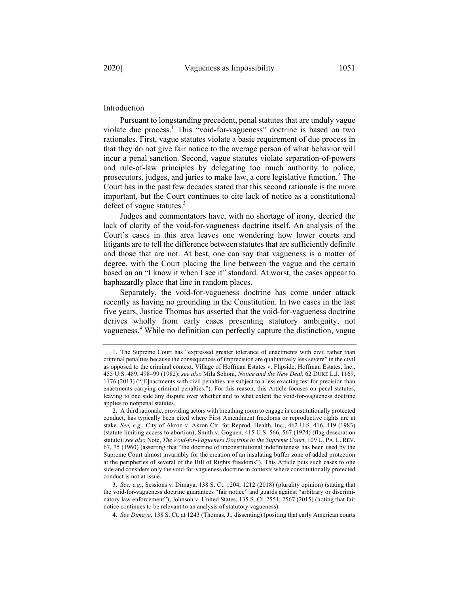### Introduction

Pursuant to longstanding precedent, penal statutes that are unduly vague violate due process.<sup>1</sup> This "void-for-vagueness" doctrine is based on two rationales. First, vague statutes violate a basic requirement of due process in that they do not give fair notice to the average person of what behavior will incur a penal sanction. Second, vague statutes violate separation-of-powers and rule-of-law principles by delegating too much authority to police, prosecutors, judges, and juries to make law, a core legislative function.<sup>2</sup> The Court has in the past few decades stated that this second rationale is the more important, but the Court continues to cite lack of notice as a constitutional defect of vague statutes.<sup>3</sup>

Judges and commentators have, with no shortage of irony, decried the lack of clarity of the void-for-vagueness doctrine itself. An analysis of the Court's cases in this area leaves one wondering how lower courts and litigants are to tell the difference between statutes that are sufficiently definite and those that are not. At best, one can say that vagueness is a matter of degree, with the Court placing the line between the vague and the certain based on an "I know it when I see it" standard. At worst, the cases appear to haphazardly place that line in random places.

Separately, the void-for-vagueness doctrine has come under attack recently as having no grounding in the Constitution. In two cases in the last five years, Justice Thomas has asserted that the void-for-vagueness doctrine derives wholly from early cases presenting statutory ambiguity, not vagueness.<sup>4</sup> While no definition can perfectly capture the distinction, vague

<sup>1.</sup> The Supreme Court has "expressed greater tolerance of enactments with civil rather than criminal penalties because the consequences of imprecision are qualitatively less severe" in the civil as opposed to the criminal context. Village of Hoffman Estates v. Flipside, Hoffman Estates, Inc., 455 U.S. 489, 498–99 (1982); *see also* Mila Sohoni, *Notice and the New Deal*, 62 DUKE L.J. 1169, 1176 (2013) ("[E]nactments with civil penalties are subject to a less exacting test for precision than enactments carrying criminal penalties."). For this reason, this Article focuses on penal statutes, leaving to one side any dispute over whether and to what extent the void-for-vagueness doctrine applies to nonpenal statutes.

<sup>2.</sup> A third rationale, providing actors with breathing room to engage in constitutionally protected conduct, has typically been cited where First Amendment freedoms or reproductive rights are at stake. *See, e.g.*, City of Akron v. Akron Ctr. for Reprod. Health, Inc., 462 U.S. 416, 419 (1983) (statute limiting access to abortion); Smith v. Goguen, 415 U.S. 566, 567 (1974) (flag desecration statute); *see also* Note, *The Void-for-Vagueness Doctrine in the Supreme Court*, 109 U. PA. L. REV. 67, 75 (1960) (asserting that "the doctrine of unconstitutional indefiniteness has been used by the Supreme Court almost invariably for the creation of an insulating buffer zone of added protection at the peripheries of several of the Bill of Rights freedoms"). This Article puts such cases to one side and considers only the void-for-vagueness doctrine in contexts where constitutionally protected conduct is not at issue.

<sup>3.</sup> *See, e.g.*, Sessions v. Dimaya, 138 S. Ct. 1204, 1212 (2018) (plurality opinion) (stating that the void-for-vagueness doctrine guarantees "fair notice" and guards against "arbitrary or discriminatory law enforcement"); Johnson v. United States, 135 S. Ct. 2551, 2567 (2015) (noting that fair notice continues to be relevant to an analysis of statutory vagueness).

<sup>4.</sup> *See Dimaya*, 138 S. Ct. at 1243 (Thomas, J., dissenting) (positing that early American courts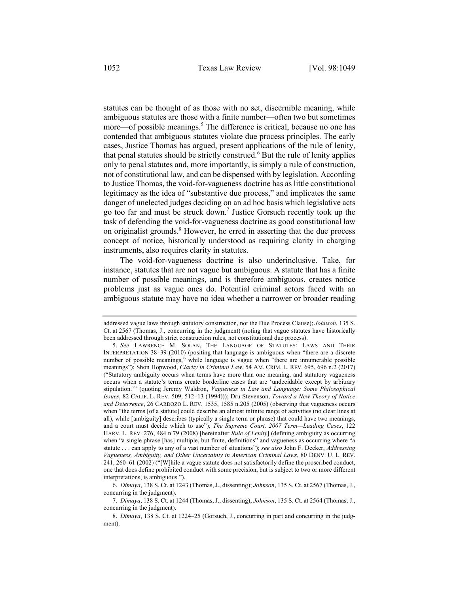statutes can be thought of as those with no set, discernible meaning, while ambiguous statutes are those with a finite number—often two but sometimes more—of possible meanings.<sup>5</sup> The difference is critical, because no one has contended that ambiguous statutes violate due process principles. The early cases, Justice Thomas has argued, present applications of the rule of lenity, that penal statutes should be strictly construed.<sup>6</sup> But the rule of lenity applies only to penal statutes and, more importantly, is simply a rule of construction, not of constitutional law, and can be dispensed with by legislation. According to Justice Thomas, the void-for-vagueness doctrine has as little constitutional legitimacy as the idea of "substantive due process," and implicates the same danger of unelected judges deciding on an ad hoc basis which legislative acts go too far and must be struck down.<sup>7</sup> Justice Gorsuch recently took up the task of defending the void-for-vagueness doctrine as good constitutional law on originalist grounds.<sup>8</sup> However, he erred in asserting that the due process concept of notice, historically understood as requiring clarity in charging instruments, also requires clarity in statutes.

The void-for-vagueness doctrine is also underinclusive. Take, for instance, statutes that are not vague but ambiguous. A statute that has a finite number of possible meanings, and is therefore ambiguous, creates notice problems just as vague ones do. Potential criminal actors faced with an ambiguous statute may have no idea whether a narrower or broader reading

6. *Dimaya*, 138 S. Ct. at 1243 (Thomas, J., dissenting); *Johnson*, 135 S. Ct. at 2567 (Thomas, J., concurring in the judgment).

7. *Dimaya*, 138 S. Ct. at 1244 (Thomas, J., dissenting); *Johnson*, 135 S. Ct. at 2564 (Thomas, J., concurring in the judgment).

addressed vague laws through statutory construction, not the Due Process Clause); *Johnson*, 135 S. Ct. at 2567 (Thomas, J., concurring in the judgment) (noting that vague statutes have historically been addressed through strict construction rules, not constitutional due process).

<sup>5.</sup> *See* LAWRENCE M. SOLAN, THE LANGUAGE OF STATUTES: LAWS AND THEIR INTERPRETATION 38–39 (2010) (positing that language is ambiguous when "there are a discrete number of possible meanings," while language is vague when "there are innumerable possible meanings"); Shon Hopwood, *Clarity in Criminal Law*, 54 AM. CRIM. L. REV. 695, 696 n.2 (2017) ("Statutory ambiguity occurs when terms have more than one meaning, and statutory vagueness occurs when a statute's terms create borderline cases that are 'undecidable except by arbitrary stipulation.'" (quoting Jeremy Waldron, *Vagueness in Law and Language: Some Philosophical Issues*, 82 CALIF. L. REV. 509, 512–13 (1994))); Dru Stevenson, *Toward a New Theory of Notice and Deterrence*, 26 CARDOZO L. REV. 1535, 1585 n.205 (2005) (observing that vagueness occurs when "the terms [of a statute] could describe an almost infinite range of activities (no clear lines at all), while [ambiguity] describes (typically a single term or phrase) that could have two meanings, and a court must decide which to use"); *The Supreme Court, 2007 Term—Leading Cases*, 122 HARV. L. REV. 276, 484 n.79 (2008) [hereinafter *Rule of Lenity*] (defining ambiguity as occurring when "a single phrase [has] multiple, but finite, definitions" and vagueness as occurring where "a statute . . . can apply to any of a vast number of situations"); *see also* John F. Decker, *Addressing Vagueness, Ambiguity, and Other Uncertainty in American Criminal Laws*, 80 DENV. U. L. REV. 241, 260–61 (2002) ("[W]hile a vague statute does not satisfactorily define the proscribed conduct, one that does define prohibited conduct with some precision, but is subject to two or more different interpretations, is ambiguous.").

<sup>8.</sup> *Dimaya*, 138 S. Ct. at 1224–25 (Gorsuch, J., concurring in part and concurring in the judgment).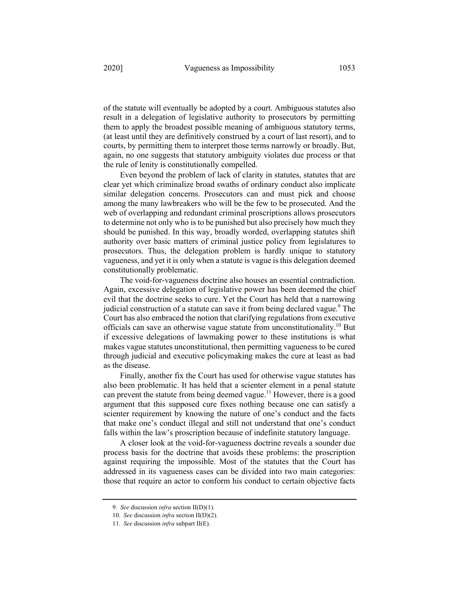of the statute will eventually be adopted by a court. Ambiguous statutes also result in a delegation of legislative authority to prosecutors by permitting them to apply the broadest possible meaning of ambiguous statutory terms, (at least until they are definitively construed by a court of last resort), and to courts, by permitting them to interpret those terms narrowly or broadly. But, again, no one suggests that statutory ambiguity violates due process or that the rule of lenity is constitutionally compelled.

Even beyond the problem of lack of clarity in statutes, statutes that are clear yet which criminalize broad swaths of ordinary conduct also implicate similar delegation concerns. Prosecutors can and must pick and choose among the many lawbreakers who will be the few to be prosecuted. And the web of overlapping and redundant criminal proscriptions allows prosecutors to determine not only who is to be punished but also precisely how much they should be punished. In this way, broadly worded, overlapping statutes shift authority over basic matters of criminal justice policy from legislatures to prosecutors. Thus, the delegation problem is hardly unique to statutory vagueness, and yet it is only when a statute is vague is this delegation deemed constitutionally problematic.

The void-for-vagueness doctrine also houses an essential contradiction. Again, excessive delegation of legislative power has been deemed the chief evil that the doctrine seeks to cure. Yet the Court has held that a narrowing judicial construction of a statute can save it from being declared vague.<sup>9</sup> The Court has also embraced the notion that clarifying regulations from executive officials can save an otherwise vague statute from unconstitutionality.10 But if excessive delegations of lawmaking power to these institutions is what makes vague statutes unconstitutional, then permitting vagueness to be cured through judicial and executive policymaking makes the cure at least as bad as the disease.

Finally, another fix the Court has used for otherwise vague statutes has also been problematic. It has held that a scienter element in a penal statute can prevent the statute from being deemed vague.<sup>11</sup> However, there is a good argument that this supposed cure fixes nothing because one can satisfy a scienter requirement by knowing the nature of one's conduct and the facts that make one's conduct illegal and still not understand that one's conduct falls within the law's proscription because of indefinite statutory language.

A closer look at the void-for-vagueness doctrine reveals a sounder due process basis for the doctrine that avoids these problems: the proscription against requiring the impossible. Most of the statutes that the Court has addressed in its vagueness cases can be divided into two main categories: those that require an actor to conform his conduct to certain objective facts

<sup>9.</sup> *See* discussion *infra* section II(D)(1).

<sup>10.</sup> *See* discussion *infra* section II(D)(2).

<sup>11.</sup> *See* discussion *infra* subpart II(E).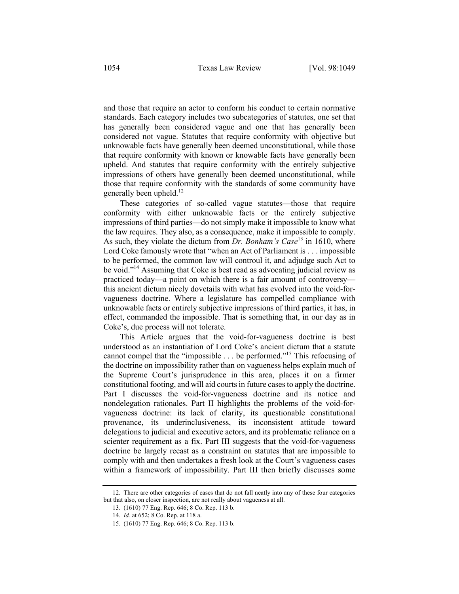and those that require an actor to conform his conduct to certain normative standards. Each category includes two subcategories of statutes, one set that has generally been considered vague and one that has generally been considered not vague. Statutes that require conformity with objective but unknowable facts have generally been deemed unconstitutional, while those that require conformity with known or knowable facts have generally been upheld. And statutes that require conformity with the entirely subjective impressions of others have generally been deemed unconstitutional, while those that require conformity with the standards of some community have generally been upheld. $12$ 

These categories of so-called vague statutes—those that require conformity with either unknowable facts or the entirely subjective impressions of third parties—do not simply make it impossible to know what the law requires. They also, as a consequence, make it impossible to comply. As such, they violate the dictum from *Dr. Bonham's Case*<sup>13</sup> in 1610, where Lord Coke famously wrote that "when an Act of Parliament is . . . impossible to be performed, the common law will controul it, and adjudge such Act to be void."14 Assuming that Coke is best read as advocating judicial review as practiced today—a point on which there is a fair amount of controversy this ancient dictum nicely dovetails with what has evolved into the void-forvagueness doctrine. Where a legislature has compelled compliance with unknowable facts or entirely subjective impressions of third parties, it has, in effect, commanded the impossible. That is something that, in our day as in Coke's, due process will not tolerate.

This Article argues that the void-for-vagueness doctrine is best understood as an instantiation of Lord Coke's ancient dictum that a statute cannot compel that the "impossible . . . be performed."15 This refocusing of the doctrine on impossibility rather than on vagueness helps explain much of the Supreme Court's jurisprudence in this area, places it on a firmer constitutional footing, and will aid courts in future cases to apply the doctrine. Part I discusses the void-for-vagueness doctrine and its notice and nondelegation rationales. Part II highlights the problems of the void-forvagueness doctrine: its lack of clarity, its questionable constitutional provenance, its underinclusiveness, its inconsistent attitude toward delegations to judicial and executive actors, and its problematic reliance on a scienter requirement as a fix. Part III suggests that the void-for-vagueness doctrine be largely recast as a constraint on statutes that are impossible to comply with and then undertakes a fresh look at the Court's vagueness cases within a framework of impossibility. Part III then briefly discusses some

<sup>12.</sup> There are other categories of cases that do not fall neatly into any of these four categories but that also, on closer inspection, are not really about vagueness at all.

<sup>13.</sup> (1610) 77 Eng. Rep. 646; 8 Co. Rep. 113 b.

<sup>14.</sup> *Id.* at 652; 8 Co. Rep. at 118 a.

<sup>15.</sup> (1610) 77 Eng. Rep. 646; 8 Co. Rep. 113 b.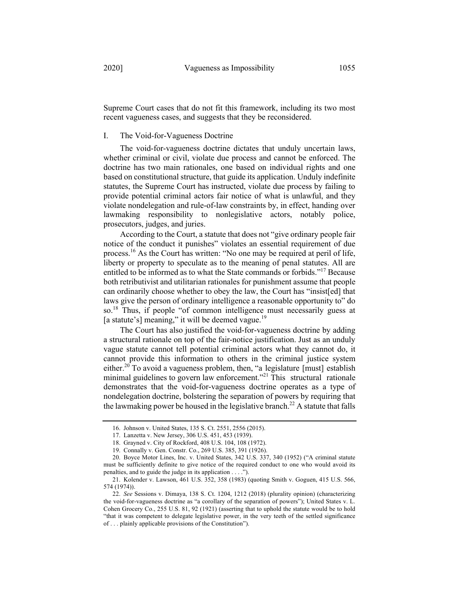Supreme Court cases that do not fit this framework, including its two most recent vagueness cases, and suggests that they be reconsidered.

### I. The Void-for-Vagueness Doctrine

The void-for-vagueness doctrine dictates that unduly uncertain laws, whether criminal or civil, violate due process and cannot be enforced. The doctrine has two main rationales, one based on individual rights and one based on constitutional structure, that guide its application. Unduly indefinite statutes, the Supreme Court has instructed, violate due process by failing to provide potential criminal actors fair notice of what is unlawful, and they violate nondelegation and rule-of-law constraints by, in effect, handing over lawmaking responsibility to nonlegislative actors, notably police, prosecutors, judges, and juries.

According to the Court, a statute that does not "give ordinary people fair notice of the conduct it punishes" violates an essential requirement of due process.16 As the Court has written: "No one may be required at peril of life, liberty or property to speculate as to the meaning of penal statutes. All are entitled to be informed as to what the State commands or forbids."17 Because both retributivist and utilitarian rationales for punishment assume that people can ordinarily choose whether to obey the law, the Court has "insist[ed] that laws give the person of ordinary intelligence a reasonable opportunity to" do so.18 Thus, if people "of common intelligence must necessarily guess at [a statute's] meaning," it will be deemed vague.<sup>19</sup>

The Court has also justified the void-for-vagueness doctrine by adding a structural rationale on top of the fair-notice justification. Just as an unduly vague statute cannot tell potential criminal actors what they cannot do, it cannot provide this information to others in the criminal justice system either.<sup>20</sup> To avoid a vagueness problem, then, "a legislature [must] establish minimal guidelines to govern law enforcement."<sup>21</sup> This structural rationale demonstrates that the void-for-vagueness doctrine operates as a type of nondelegation doctrine, bolstering the separation of powers by requiring that the lawmaking power be housed in the legislative branch.<sup>22</sup> A statute that falls

<sup>16.</sup> Johnson v. United States, 135 S. Ct. 2551, 2556 (2015).

<sup>17.</sup> Lanzetta v. New Jersey, 306 U.S. 451, 453 (1939).

<sup>18.</sup> Grayned v. City of Rockford, 408 U.S. 104, 108 (1972).

<sup>19.</sup> Connally v. Gen. Constr. Co., 269 U.S. 385, 391 (1926).

<sup>20.</sup> Boyce Motor Lines, Inc. v. United States, 342 U.S. 337, 340 (1952) ("A criminal statute must be sufficiently definite to give notice of the required conduct to one who would avoid its penalties, and to guide the judge in its application . . . .").

<sup>21.</sup> Kolender v. Lawson, 461 U.S. 352, 358 (1983) (quoting Smith v. Goguen, 415 U.S. 566, 574 (1974)).

<sup>22.</sup> *See* Sessions v. Dimaya, 138 S. Ct. 1204, 1212 (2018) (plurality opinion) (characterizing the void-for-vagueness doctrine as "a corollary of the separation of powers"); United States v. L. Cohen Grocery Co., 255 U.S. 81, 92 (1921) (asserting that to uphold the statute would be to hold "that it was competent to delegate legislative power, in the very teeth of the settled significance of . . . plainly applicable provisions of the Constitution").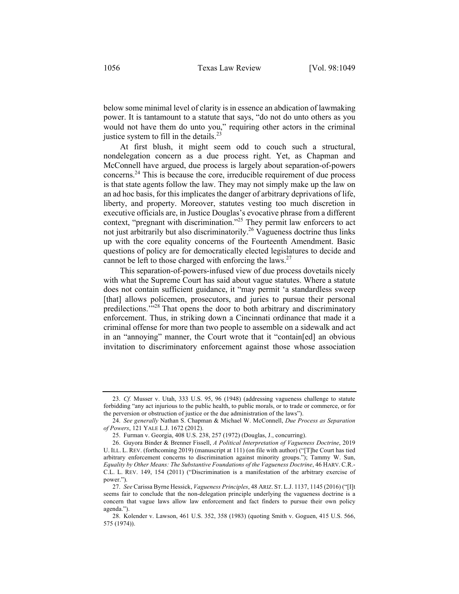below some minimal level of clarity is in essence an abdication of lawmaking power. It is tantamount to a statute that says, "do not do unto others as you would not have them do unto you," requiring other actors in the criminal justice system to fill in the details. $^{23}$ 

At first blush, it might seem odd to couch such a structural, nondelegation concern as a due process right. Yet, as Chapman and McConnell have argued, due process is largely about separation-of-powers concerns.24 This is because the core, irreducible requirement of due process is that state agents follow the law. They may not simply make up the law on an ad hoc basis, for this implicates the danger of arbitrary deprivations of life, liberty, and property. Moreover, statutes vesting too much discretion in executive officials are, in Justice Douglas's evocative phrase from a different context, "pregnant with discrimination."<sup>25</sup> They permit law enforcers to act not just arbitrarily but also discriminatorily.<sup>26</sup> Vagueness doctrine thus links up with the core equality concerns of the Fourteenth Amendment. Basic questions of policy are for democratically elected legislatures to decide and cannot be left to those charged with enforcing the laws.<sup>27</sup>

This separation-of-powers-infused view of due process dovetails nicely with what the Supreme Court has said about vague statutes. Where a statute does not contain sufficient guidance, it "may permit 'a standardless sweep [that] allows policemen, prosecutors, and juries to pursue their personal predilections.'"<sup>28</sup> That opens the door to both arbitrary and discriminatory enforcement. Thus, in striking down a Cincinnati ordinance that made it a criminal offense for more than two people to assemble on a sidewalk and act in an "annoying" manner, the Court wrote that it "contain[ed] an obvious invitation to discriminatory enforcement against those whose association

<sup>23.</sup> *Cf.* Musser v. Utah, 333 U.S. 95, 96 (1948) (addressing vagueness challenge to statute forbidding "any act injurious to the public health, to public morals, or to trade or commerce, or for the perversion or obstruction of justice or the due administration of the laws").

<sup>24.</sup> *See generally* Nathan S. Chapman & Michael W. McConnell, *Due Process as Separation of Powers*, 121 YALE L.J. 1672 (2012).

<sup>25.</sup> Furman v. Georgia, 408 U.S. 238, 257 (1972) (Douglas, J., concurring).

<sup>26.</sup> Guyora Binder & Brenner Fissell, *A Political Interpretation of Vagueness Doctrine*, 2019 U. ILL. L. REV. (forthcoming 2019) (manuscript at 111) (on file with author) ("[T]he Court has tied arbitrary enforcement concerns to discrimination against minority groups."); Tammy W. Sun, *Equality by Other Means: The Substantive Foundations of the Vagueness Doctrine*, 46 HARV. C.R.- C.L. L. REV. 149, 154 (2011) ("Discrimination is a manifestation of the arbitrary exercise of power.").

<sup>27.</sup> *See* Carissa Byrne Hessick, *Vagueness Principles*, 48 ARIZ. ST. L.J. 1137, 1145 (2016) ("[I]t seems fair to conclude that the non-delegation principle underlying the vagueness doctrine is a concern that vague laws allow law enforcement and fact finders to pursue their own policy agenda.").

<sup>28.</sup> Kolender v. Lawson, 461 U.S. 352, 358 (1983) (quoting Smith v. Goguen, 415 U.S. 566, 575 (1974)).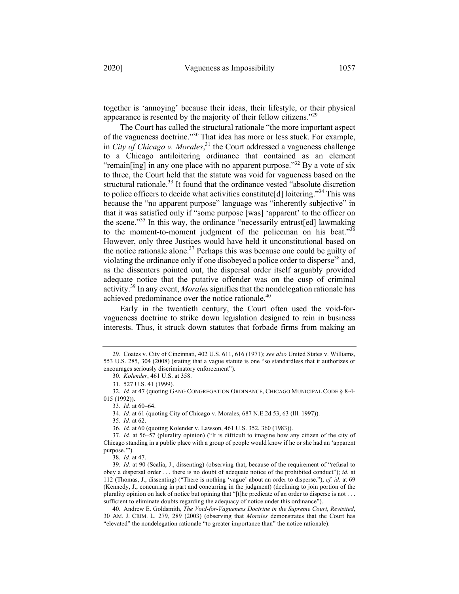together is 'annoying' because their ideas, their lifestyle, or their physical appearance is resented by the majority of their fellow citizens."<sup>29</sup>

The Court has called the structural rationale "the more important aspect of the vagueness doctrine."<sup>30</sup> That idea has more or less stuck. For example, in *City of Chicago v. Morales*, <sup>31</sup> the Court addressed a vagueness challenge to a Chicago antiloitering ordinance that contained as an element "remain[ing] in any one place with no apparent purpose."<sup>32</sup> By a vote of six to three, the Court held that the statute was void for vagueness based on the structural rationale.<sup>33</sup> It found that the ordinance vested "absolute discretion to police officers to decide what activities constitute[d] loitering."<sup>34</sup> This was because the "no apparent purpose" language was "inherently subjective" in that it was satisfied only if "some purpose [was] 'apparent' to the officer on the scene."<sup>35</sup> In this way, the ordinance "necessarily entrust[ed] lawmaking to the moment-to-moment judgment of the policeman on his beat."<sup>36</sup> However, only three Justices would have held it unconstitutional based on the notice rationale alone.<sup>37</sup> Perhaps this was because one could be guilty of violating the ordinance only if one disobeyed a police order to disperse<sup>38</sup> and, as the dissenters pointed out, the dispersal order itself arguably provided adequate notice that the putative offender was on the cusp of criminal activity.39 In any event, *Morales* signifies that the nondelegation rationale has achieved predominance over the notice rationale.<sup>40</sup>

Early in the twentieth century, the Court often used the void-forvagueness doctrine to strike down legislation designed to rein in business interests. Thus, it struck down statutes that forbade firms from making an

35. *Id.* at 62.

36. *Id.* at 60 (quoting Kolender v. Lawson, 461 U.S. 352, 360 (1983)).

<sup>29.</sup> Coates v. City of Cincinnati, 402 U.S. 611, 616 (1971); *see also* United States v. Williams, 553 U.S. 285, 304 (2008) (stating that a vague statute is one "so standardless that it authorizes or encourages seriously discriminatory enforcement").

<sup>30.</sup> *Kolender*, 461 U.S. at 358.

<sup>31.</sup> 527 U.S. 41 (1999).

<sup>32.</sup> *Id.* at 47 (quoting GANG CONGREGATION ORDINANCE, CHICAGO MUNICIPAL CODE § 8-4- 015 (1992)).

<sup>33.</sup> *Id.* at 60–64.

<sup>34.</sup> *Id.* at 61 (quoting City of Chicago v. Morales, 687 N.E.2d 53, 63 (Ill. 1997)).

<sup>37.</sup> *Id.* at 56–57 (plurality opinion) ("It is difficult to imagine how any citizen of the city of Chicago standing in a public place with a group of people would know if he or she had an 'apparent purpose.'").

<sup>38.</sup> *Id.* at 47.

<sup>39.</sup> *Id.* at 90 (Scalia, J., dissenting) (observing that, because of the requirement of "refusal to obey a dispersal order . . . there is no doubt of adequate notice of the prohibited conduct"); *id.* at 112 (Thomas, J., dissenting) ("There is nothing 'vague' about an order to disperse."); *cf. id.* at 69 (Kennedy, J., concurring in part and concurring in the judgment) (declining to join portion of the plurality opinion on lack of notice but opining that "[t]he predicate of an order to disperse is not . . . sufficient to eliminate doubts regarding the adequacy of notice under this ordinance").

<sup>40.</sup> Andrew E. Goldsmith, *The Void-for-Vagueness Doctrine in the Supreme Court, Revisited*, 30 AM. J. CRIM. L. 279, 289 (2003) (observing that *Morales* demonstrates that the Court has "elevated" the nondelegation rationale "to greater importance than" the notice rationale).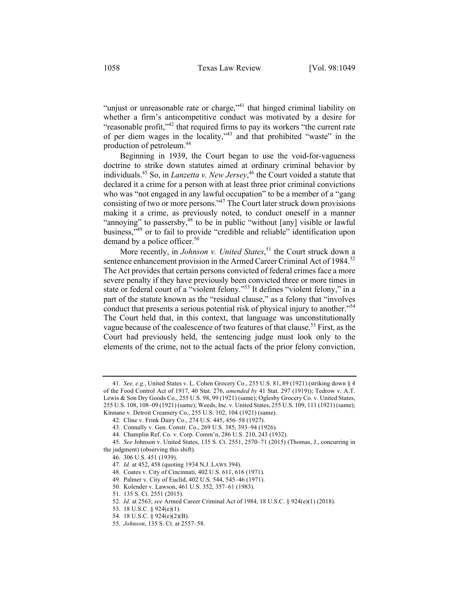"unjust or unreasonable rate or charge,"<sup>41</sup> that hinged criminal liability on whether a firm's anticompetitive conduct was motivated by a desire for "reasonable profit,"<sup>42</sup> that required firms to pay its workers "the current rate" of per diem wages in the locality,"<sup>43</sup> and that prohibited "waste" in the production of petroleum.44

Beginning in 1939, the Court began to use the void-for-vagueness doctrine to strike down statutes aimed at ordinary criminal behavior by individuals.45 So, in *Lanzetta v. New Jersey*, <sup>46</sup> the Court voided a statute that declared it a crime for a person with at least three prior criminal convictions who was "not engaged in any lawful occupation" to be a member of a "gang consisting of two or more persons."47 The Court later struck down provisions making it a crime, as previously noted, to conduct oneself in a manner "annoying" to passersby,<sup>48</sup> to be in public "without [any] visible or lawful business,"49 or to fail to provide "credible and reliable" identification upon demand by a police officer. $50$ 

More recently, in *Johnson v. United States*, <sup>51</sup> the Court struck down a sentence enhancement provision in the Armed Career Criminal Act of 1984.<sup>52</sup> The Act provides that certain persons convicted of federal crimes face a more severe penalty if they have previously been convicted three or more times in state or federal court of a "violent felony."<sup>53</sup> It defines "violent felony," in a part of the statute known as the "residual clause," as a felony that "involves conduct that presents a serious potential risk of physical injury to another."<sup>54</sup> The Court held that, in this context, that language was unconstitutionally vague because of the coalescence of two features of that clause.<sup>55</sup> First, as the Court had previously held, the sentencing judge must look only to the elements of the crime, not to the actual facts of the prior felony conviction,

<sup>41.</sup> *See, e.g.*, United States v. L. Cohen Grocery Co., 255 U.S. 81, 89 (1921) (striking down § 4 of the Food Control Act of 1917, 40 Stat. 276, *amended by* 41 Stat. 297 (1919)); Tedrow v. A.T. Lewis & Son Dry Goods Co., 255 U.S. 98, 99 (1921) (same); Oglesby Grocery Co. v. United States, 255 U.S. 108, 108–09 (1921) (same); Weeds, Inc. v. United States, 255 U.S. 109, 111 (1921) (same); Kinnane v. Detroit Creamery Co., 255 U.S. 102, 104 (1921) (same).

<sup>42.</sup> Cline v. Frink Dairy Co., 274 U.S. 445, 456–58 (1927).

<sup>43.</sup> Connally v. Gen. Constr. Co., 269 U.S. 385, 393–94 (1926).

<sup>44.</sup> Champlin Ref. Co. v. Corp. Comm'n, 286 U.S. 210, 243 (1932).

<sup>45.</sup> *See* Johnson v. United States, 135 S. Ct. 2551, 2570–71 (2015) (Thomas, J., concurring in the judgment) (observing this shift).

<sup>46.</sup> 306 U.S. 451 (1939).

<sup>47.</sup> *Id.* at 452, 458 (quoting 1934 N.J. LAWS 394).

<sup>48.</sup> Coates v. City of Cincinnati, 402 U.S. 611, 616 (1971).

<sup>49.</sup> Palmer v. City of Euclid, 402 U.S. 544, 545–46 (1971).

<sup>50.</sup> Kolender v. Lawson, 461 U.S. 352, 357–61 (1983).

<sup>51.</sup> 135 S. Ct. 2551 (2015).

<sup>52.</sup> *Id.* at 2563; *see* Armed Career Criminal Act of 1984, 18 U.S.C. § 924(e)(1) (2018).

<sup>53.</sup> 18 U.S.C. § 924(e)(1).

<sup>54.</sup> 18 U.S.C. § 924(e)(2)(B).

<sup>55.</sup> *Johnson*, 135 S. Ct. at 2557–58.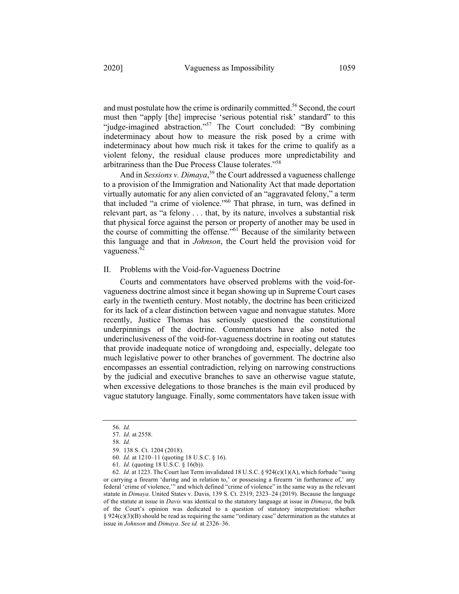and must postulate how the crime is ordinarily committed.56 Second, the court must then "apply [the] imprecise 'serious potential risk' standard" to this "judge-imagined abstraction."<sup>57</sup> The Court concluded: "By combining indeterminacy about how to measure the risk posed by a crime with indeterminacy about how much risk it takes for the crime to qualify as a violent felony, the residual clause produces more unpredictability and arbitrariness than the Due Process Clause tolerates."58

And in *Sessions v. Dimaya*, <sup>59</sup> the Court addressed a vagueness challenge to a provision of the Immigration and Nationality Act that made deportation virtually automatic for any alien convicted of an "aggravated felony," a term that included "a crime of violence."60 That phrase, in turn, was defined in relevant part, as "a felony . . . that, by its nature, involves a substantial risk that physical force against the person or property of another may be used in the course of committing the offense."61 Because of the similarity between this language and that in *Johnson*, the Court held the provision void for vagueness.<sup>62</sup>

#### II. Problems with the Void-for-Vagueness Doctrine

Courts and commentators have observed problems with the void-forvagueness doctrine almost since it began showing up in Supreme Court cases early in the twentieth century. Most notably, the doctrine has been criticized for its lack of a clear distinction between vague and nonvague statutes. More recently, Justice Thomas has seriously questioned the constitutional underpinnings of the doctrine. Commentators have also noted the underinclusiveness of the void-for-vagueness doctrine in rooting out statutes that provide inadequate notice of wrongdoing and, especially, delegate too much legislative power to other branches of government. The doctrine also encompasses an essential contradiction, relying on narrowing constructions by the judicial and executive branches to save an otherwise vague statute, when excessive delegations to those branches is the main evil produced by vague statutory language. Finally, some commentators have taken issue with

<sup>56.</sup> *Id.*

<sup>57.</sup> *Id.* at 2558.

<sup>58.</sup> *Id.*

<sup>59.</sup> 138 S. Ct. 1204 (2018).

<sup>60.</sup> *Id.* at 1210–11 (quoting 18 U.S.C. § 16).

<sup>61.</sup> *Id.* (quoting 18 U.S.C. § 16(b)).

<sup>62.</sup> *Id.* at 1223. The Court last Term invalidated 18 U.S.C. § 924(c)(1)(A), which forbade "using or carrying a firearm 'during and in relation to,' or possessing a firearm 'in furtherance of,' any federal 'crime of violence,'" and which defined "crime of violence" in the same way as the relevant statute in *Dimaya*. United States v. Davis, 139 S. Ct. 2319, 2323–24 (2019). Because the language of the statute at issue in *Davis* was identical to the statutory language at issue in *Dimaya*, the bulk of the Court's opinion was dedicated to a question of statutory interpretation: whether  $§$  924(c)(3)(B) should be read as requiring the same "ordinary case" determination as the statutes at issue in *Johnson* and *Dimaya*. *See id.* at 2326–36.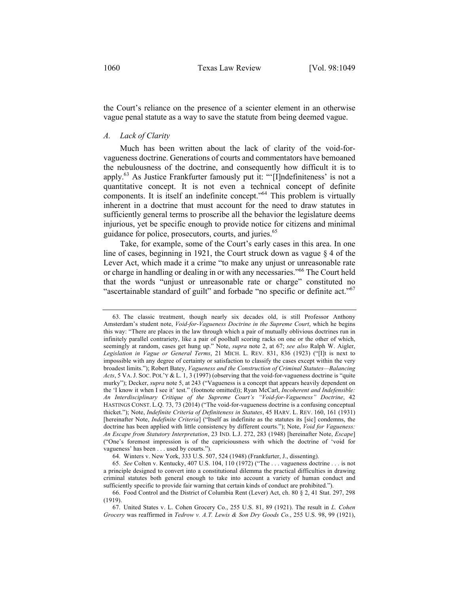the Court's reliance on the presence of a scienter element in an otherwise vague penal statute as a way to save the statute from being deemed vague.

## *A. Lack of Clarity*

Much has been written about the lack of clarity of the void-forvagueness doctrine. Generations of courts and commentators have bemoaned the nebulousness of the doctrine, and consequently how difficult it is to apply.<sup>63</sup> As Justice Frankfurter famously put it: "'[I]ndefiniteness' is not a quantitative concept. It is not even a technical concept of definite components. It is itself an indefinite concept."<sup>64</sup> This problem is virtually inherent in a doctrine that must account for the need to draw statutes in sufficiently general terms to proscribe all the behavior the legislature deems injurious, yet be specific enough to provide notice for citizens and minimal guidance for police, prosecutors, courts, and juries.<sup>65</sup>

Take, for example, some of the Court's early cases in this area. In one line of cases, beginning in 1921, the Court struck down as vague § 4 of the Lever Act, which made it a crime "to make any unjust or unreasonable rate or charge in handling or dealing in or with any necessaries."66 The Court held that the words "unjust or unreasonable rate or charge" constituted no "ascertainable standard of guilt" and forbade "no specific or definite act." $67$ 

<sup>63.</sup> The classic treatment, though nearly six decades old, is still Professor Anthony Amsterdam's student note, *Void-for-Vagueness Doctrine in the Supreme Court*, which he begins this way: "There are places in the law through which a pair of mutually oblivious doctrines run in infinitely parallel contrariety, like a pair of poolhall scoring racks on one or the other of which, seemingly at random, cases get hung up." Note, *supra* note 2, at 67; *see also* Ralph W. Aigler, *Legislation in Vague or General Terms*, 21 MICH. L. REV. 831, 836 (1923) ("[I]t is next to impossible with any degree of certainty or satisfaction to classify the cases except within the very broadest limits."); Robert Batey, *Vagueness and the Construction of Criminal Statutes—Balancing Acts*, 5 VA.J. SOC. POL'Y & L. 1, 3 (1997) (observing that the void-for-vagueness doctrine is "quite murky"); Decker, *supra* note 5, at 243 ("Vagueness is a concept that appears heavily dependent on the 'I know it when I see it' test." (footnote omitted)); Ryan McCarl, *Incoherent and Indefensible: An Interdisciplinary Critique of the Supreme Court's "Void-for-Vagueness" Doctrine*, 42 HASTINGS CONST. L.Q. 73, 73 (2014) ("The void-for-vagueness doctrine is a confusing conceptual thicket."); Note, *Indefinite Criteria of Definiteness in Statutes*, 45 HARV. L. REV. 160, 161 (1931) [hereinafter Note, *Indefinite Criteria*] ("Itself as indefinite as the statutes its [sic] condemns, the doctrine has been applied with little consistency by different courts."); Note, *Void for Vagueness: An Escape from Statutory Interpretation*, 23 IND. L.J. 272, 283 (1948) [hereinafter Note, *Escape*] ("One's foremost impression is of the capriciousness with which the doctrine of 'void for vagueness' has been . . . used by courts.").

<sup>64.</sup> Winters v. New York, 333 U.S. 507, 524 (1948) (Frankfurter, J., dissenting).

<sup>65.</sup> *See* Colten v. Kentucky, 407 U.S. 104, 110 (1972) ("The . . . vagueness doctrine . . . is not a principle designed to convert into a constitutional dilemma the practical difficulties in drawing criminal statutes both general enough to take into account a variety of human conduct and sufficiently specific to provide fair warning that certain kinds of conduct are prohibited.").

<sup>66.</sup> Food Control and the District of Columbia Rent (Lever) Act, ch. 80 § 2, 41 Stat. 297, 298 (1919).

<sup>67.</sup> United States v. L. Cohen Grocery Co., 255 U.S. 81, 89 (1921). The result in *L. Cohen Grocery* was reaffirmed in *Tedrow v. A.T. Lewis & Son Dry Goods Co.*, 255 U.S. 98, 99 (1921),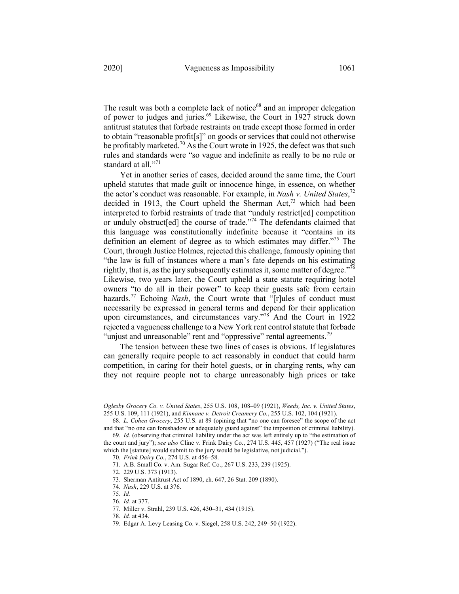The result was both a complete lack of notice<sup>68</sup> and an improper delegation of power to judges and juries.<sup>69</sup> Likewise, the Court in 1927 struck down antitrust statutes that forbade restraints on trade except those formed in order to obtain "reasonable profit[s]" on goods or services that could not otherwise be profitably marketed.<sup>70</sup> As the Court wrote in 1925, the defect was that such rules and standards were "so vague and indefinite as really to be no rule or standard at all."71

Yet in another series of cases, decided around the same time, the Court upheld statutes that made guilt or innocence hinge, in essence, on whether the actor's conduct was reasonable. For example, in *Nash v. United States*, 72 decided in 1913, the Court upheld the Sherman  $Act<sub>1</sub><sup>73</sup>$  which had been interpreted to forbid restraints of trade that "unduly restrict[ed] competition or unduly obstruct[ed] the course of trade."<sup>74</sup> The defendants claimed that this language was constitutionally indefinite because it "contains in its definition an element of degree as to which estimates may differ."75 The Court, through Justice Holmes, rejected this challenge, famously opining that "the law is full of instances where a man's fate depends on his estimating rightly, that is, as the jury subsequently estimates it, some matter of degree. $176$ Likewise, two years later, the Court upheld a state statute requiring hotel owners "to do all in their power" to keep their guests safe from certain hazards.<sup>77</sup> Echoing *Nash*, the Court wrote that "[r]ules of conduct must necessarily be expressed in general terms and depend for their application upon circumstances, and circumstances vary."<sup>78</sup> And the Court in 1922 rejected a vagueness challenge to a New York rent control statute that forbade "unjust and unreasonable" rent and "oppressive" rental agreements.<sup>79</sup>

The tension between these two lines of cases is obvious. If legislatures can generally require people to act reasonably in conduct that could harm competition, in caring for their hotel guests, or in charging rents, why can they not require people not to charge unreasonably high prices or take

*Oglesby Grocery Co. v. United States*, 255 U.S. 108, 108–09 (1921), *Weeds, Inc. v. United States*, 255 U.S. 109, 111 (1921), and *Kinnane v. Detroit Creamery Co.*, 255 U.S. 102, 104 (1921).

<sup>68.</sup> *L. Cohen Grocery*, 255 U.S. at 89 (opining that "no one can foresee" the scope of the act and that "no one can foreshadow or adequately guard against" the imposition of criminal liability).

<sup>69.</sup> *Id.* (observing that criminal liability under the act was left entirely up to "the estimation of the court and jury"); *see also* Cline v. Frink Dairy Co., 274 U.S. 445, 457 (1927) ("The real issue which the [statute] would submit to the jury would be legislative, not judicial.").

<sup>70.</sup> *Frink Dairy Co.*, 274 U.S. at 456–58.

<sup>71.</sup> A.B. Small Co. v. Am. Sugar Ref. Co., 267 U.S. 233, 239 (1925).

<sup>72.</sup> 229 U.S. 373 (1913).

<sup>73.</sup> Sherman Antitrust Act of 1890, ch. 647, 26 Stat. 209 (1890).

<sup>74.</sup> *Nash*, 229 U.S. at 376.

<sup>75.</sup> *Id.*

<sup>76.</sup> *Id.* at 377.

<sup>77.</sup> Miller v. Strahl, 239 U.S. 426, 430–31, 434 (1915).

<sup>78.</sup> *Id.* at 434.

<sup>79.</sup> Edgar A. Levy Leasing Co. v. Siegel, 258 U.S. 242, 249–50 (1922).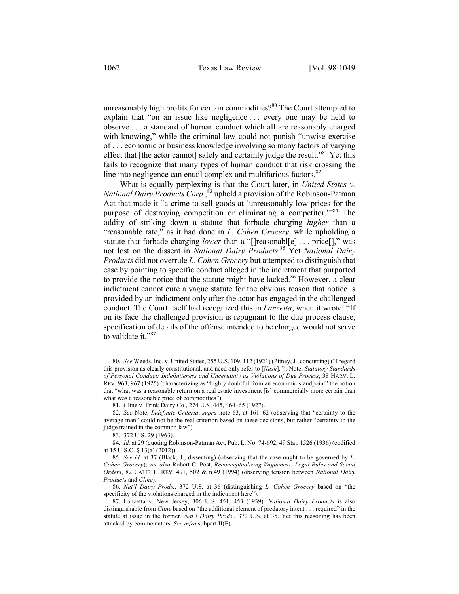unreasonably high profits for certain commodities? $80$  The Court attempted to explain that "on an issue like negligence . . . every one may be held to observe . . . a standard of human conduct which all are reasonably charged with knowing," while the criminal law could not punish "unwise exercise of . . . economic or business knowledge involving so many factors of varying effect that [the actor cannot] safely and certainly judge the result.<sup> $381$ </sup> Yet this fails to recognize that many types of human conduct that risk crossing the line into negligence can entail complex and multifarious factors.<sup>82</sup>

What is equally perplexing is that the Court later, in *United States v. National Dairy Products Corp.*, <sup>83</sup> upheld a provision of the Robinson-Patman Act that made it "a crime to sell goods at 'unreasonably low prices for the purpose of destroying competition or eliminating a competitor.'"84 The oddity of striking down a statute that forbade charging *higher* than a "reasonable rate," as it had done in *L. Cohen Grocery*, while upholding a statute that forbade charging *lower* than a "[]reasonabl[e] . . . price[]," was not lost on the dissent in *National Dairy Products*. <sup>85</sup> Yet *National Dairy Products* did not overrule *L. Cohen Grocery* but attempted to distinguish that case by pointing to specific conduct alleged in the indictment that purported to provide the notice that the statute might have lacked.<sup>86</sup> However, a clear indictment cannot cure a vague statute for the obvious reason that notice is provided by an indictment only after the actor has engaged in the challenged conduct. The Court itself had recognized this in *Lanzetta*, when it wrote: "If on its face the challenged provision is repugnant to the due process clause, specification of details of the offense intended to be charged would not serve to validate it."<sup>87</sup>

<sup>80.</sup> *See* Weeds, Inc. v. United States, 255 U.S. 109, 112 (1921) (Pitney, J., concurring) ("I regard this provision as clearly constitutional, and need only refer to [*Nash*]."); Note, *Statutory Standards of Personal Conduct: Indefiniteness and Uncertainty as Violations of Due Process*, 38 HARV. L. REV. 963, 967 (1925) (characterizing as "highly doubtful from an economic standpoint" the notion that "what was a reasonable return on a real estate investment [is] commercially more certain than what was a reasonable price of commodities").

<sup>81.</sup> Cline v. Frink Dairy Co., 274 U.S. 445, 464–65 (1927).

<sup>82.</sup> *See* Note, *Indefinite Criteria*, *supra* note 63, at 161–62 (observing that "certainty to the average man" could not be the real criterion based on these decisions, but rather "certainty to the judge trained in the common law").

<sup>83.</sup> 372 U.S. 29 (1963).

<sup>84.</sup> *Id.* at 29 (quoting Robinson-Patman Act, Pub. L. No. 74-692, 49 Stat. 1526 (1936) (codified at 15 U.S.C. § 13(a) (2012)).

<sup>85.</sup> *See id.* at 37 (Black, J., dissenting) (observing that the case ought to be governed by *L. Cohen Grocery*); *see also* Robert C. Post, *Reconceptualizing Vagueness: Legal Rules and Social Orders*, 82 CALIF. L. REV. 491, 502 & n.49 (1994) (observing tension between *National Dairy Products* and *Cline*).

<sup>86.</sup> *Nat'l Dairy Prods.*, 372 U.S. at 36 (distinguishing *L. Cohen Grocery* based on "the specificity of the violations charged in the indictment here").

<sup>87.</sup> Lanzetta v. New Jersey, 306 U.S. 451, 453 (1939). *National Dairy Products* is also distinguishable from *Cline* based on "the additional element of predatory intent . . . required" in the statute at issue in the former. *Nat'l Dairy Prods.*, 372 U.S. at 35. Yet this reasoning has been attacked by commentators. *See infra* subpart II(E).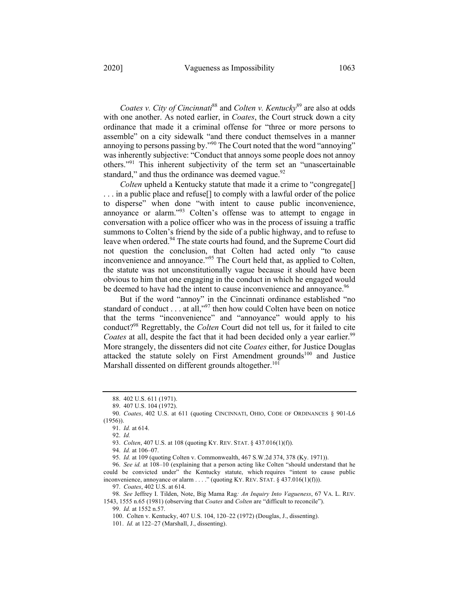*Coates v. City of Cincinnati*<sup>88</sup> and *Colten v. Kentucky*<sup>89</sup> are also at odds with one another. As noted earlier, in *Coates*, the Court struck down a city ordinance that made it a criminal offense for "three or more persons to assemble" on a city sidewalk "and there conduct themselves in a manner annoying to persons passing by."<sup>90</sup> The Court noted that the word "annoying" was inherently subjective: "Conduct that annoys some people does not annoy others."<sup>91</sup> This inherent subjectivity of the term set an "unascertainable standard," and thus the ordinance was deemed vague. $92$ 

*Colten* upheld a Kentucky statute that made it a crime to "congregate[] ... in a public place and refuse<sup>[]</sup> to comply with a lawful order of the police to disperse" when done "with intent to cause public inconvenience, annoyance or alarm."<sup>93</sup> Colten's offense was to attempt to engage in conversation with a police officer who was in the process of issuing a traffic summons to Colten's friend by the side of a public highway, and to refuse to leave when ordered.<sup>94</sup> The state courts had found, and the Supreme Court did not question the conclusion, that Colten had acted only "to cause inconvenience and annoyance."<sup>95</sup> The Court held that, as applied to Colten, the statute was not unconstitutionally vague because it should have been obvious to him that one engaging in the conduct in which he engaged would be deemed to have had the intent to cause inconvenience and annoyance.<sup>96</sup>

But if the word "annoy" in the Cincinnati ordinance established "no standard of conduct . . . at all," $97$  then how could Colten have been on notice that the terms "inconvenience" and "annoyance" would apply to his conduct?98 Regrettably, the *Colten* Court did not tell us, for it failed to cite *Coates* at all, despite the fact that it had been decided only a year earlier.<sup>99</sup> More strangely, the dissenters did not cite *Coates* either, for Justice Douglas attacked the statute solely on First Amendment grounds<sup>100</sup> and Justice Marshall dissented on different grounds altogether.<sup>101</sup>

<sup>88.</sup> 402 U.S. 611 (1971).

<sup>89.</sup> 407 U.S. 104 (1972).

<sup>90.</sup> *Coates*, 402 U.S. at 611 (quoting CINCINNATI, OHIO, CODE OF ORDINANCES § 901-L6 (1956)).

<sup>91.</sup> *Id.* at 614.

<sup>92.</sup> *Id.*

<sup>93.</sup> *Colten*, 407 U.S. at 108 (quoting KY. REV. STAT. § 437.016(1)(f)).

<sup>94.</sup> *Id.* at 106–07.

<sup>95.</sup> *Id.* at 109 (quoting Colten v. Commonwealth, 467 S.W.2d 374, 378 (Ky. 1971)).

<sup>96.</sup> *See id.* at 108–10 (explaining that a person acting like Colten "should understand that he could be convicted under" the Kentucky statute, which requires "intent to cause public inconvenience, annoyance or alarm . . . ." (quoting KY. REV. STAT.  $\S$  437.016(1)(f))).

<sup>97.</sup> *Coates*, 402 U.S. at 614.

<sup>98.</sup> *See* Jeffrey I. Tilden, Note, Big Mama Rag*: An Inquiry Into Vagueness*, 67 VA. L. REV. 1543, 1555 n.65 (1981) (observing that *Coates* and *Colten* are "difficult to reconcile"). 99. *Id.* at 1552 n.57.

<sup>100.</sup> Colten v. Kentucky, 407 U.S. 104, 120–22 (1972) (Douglas, J., dissenting).

<sup>101.</sup> *Id.* at 122–27 (Marshall, J., dissenting).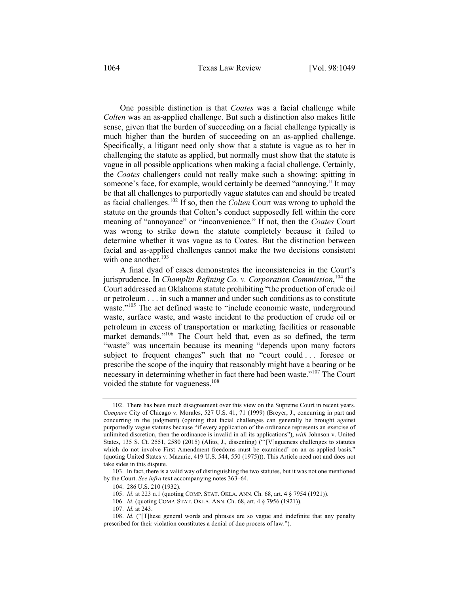One possible distinction is that *Coates* was a facial challenge while *Colten* was an as-applied challenge. But such a distinction also makes little sense, given that the burden of succeeding on a facial challenge typically is much higher than the burden of succeeding on an as-applied challenge. Specifically, a litigant need only show that a statute is vague as to her in challenging the statute as applied, but normally must show that the statute is vague in all possible applications when making a facial challenge. Certainly, the *Coates* challengers could not really make such a showing: spitting in someone's face, for example, would certainly be deemed "annoying." It may be that all challenges to purportedly vague statutes can and should be treated as facial challenges.102 If so, then the *Colten* Court was wrong to uphold the statute on the grounds that Colten's conduct supposedly fell within the core meaning of "annoyance" or "inconvenience." If not, then the *Coates* Court was wrong to strike down the statute completely because it failed to determine whether it was vague as to Coates. But the distinction between facial and as-applied challenges cannot make the two decisions consistent with one another. $103$ 

A final dyad of cases demonstrates the inconsistencies in the Court's jurisprudence. In *Champlin Refining Co. v. Corporation Commission*, <sup>104</sup> the Court addressed an Oklahoma statute prohibiting "the production of crude oil or petroleum . . . in such a manner and under such conditions as to constitute waste."<sup>105</sup> The act defined waste to "include economic waste, underground waste, surface waste, and waste incident to the production of crude oil or petroleum in excess of transportation or marketing facilities or reasonable market demands."<sup>106</sup> The Court held that, even as so defined, the term "waste" was uncertain because its meaning "depends upon many factors subject to frequent changes" such that no "court could . . . foresee or prescribe the scope of the inquiry that reasonably might have a bearing or be necessary in determining whether in fact there had been waste."107 The Court voided the statute for vagueness.<sup>108</sup>

<sup>102.</sup> There has been much disagreement over this view on the Supreme Court in recent years. *Compare* City of Chicago v. Morales, 527 U.S. 41, 71 (1999) (Breyer, J., concurring in part and concurring in the judgment) (opining that facial challenges can generally be brought against purportedly vague statutes because "if every application of the ordinance represents an exercise of unlimited discretion, then the ordinance is invalid in all its applications"), *with* Johnson v. United States, 135 S. Ct. 2551, 2580 (2015) (Alito, J., dissenting) ("'[V]agueness challenges to statutes which do not involve First Amendment freedoms must be examined' on an as-applied basis." (quoting United States v. Mazurie, 419 U.S. 544, 550 (1975))). This Article need not and does not take sides in this dispute.

<sup>103.</sup> In fact, there is a valid way of distinguishing the two statutes, but it was not one mentioned by the Court. *See infra* text accompanying notes 363–64.

<sup>104.</sup> 286 U.S. 210 (1932).

<sup>105.</sup> *Id.* at 223 n.1 (quoting COMP. STAT. OKLA. ANN. Ch. 68, art. 4 § 7954 (1921)).

<sup>106.</sup> *Id.* (quoting COMP. STAT. OKLA. ANN. Ch. 68, art. 4 § 7956 (1921)).

<sup>107.</sup> *Id.* at 243.

<sup>108.</sup> *Id.* ("[T]hese general words and phrases are so vague and indefinite that any penalty prescribed for their violation constitutes a denial of due process of law.").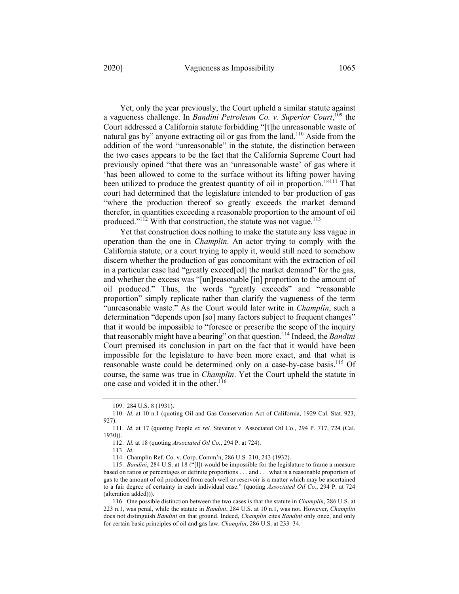Yet, only the year previously, the Court upheld a similar statute against a vagueness challenge. In *Bandini Petroleum Co. v. Superior Court*, <sup>109</sup> the Court addressed a California statute forbidding "[t]he unreasonable waste of natural gas by" anyone extracting oil or gas from the land.<sup>110</sup> Aside from the addition of the word "unreasonable" in the statute, the distinction between the two cases appears to be the fact that the California Supreme Court had previously opined "that there was an 'unreasonable waste' of gas where it 'has been allowed to come to the surface without its lifting power having been utilized to produce the greatest quantity of oil in proportion.<sup>""111</sup> That court had determined that the legislature intended to bar production of gas "where the production thereof so greatly exceeds the market demand therefor, in quantities exceeding a reasonable proportion to the amount of oil produced."<sup>112</sup> With that construction, the statute was not vague. $113$ 

Yet that construction does nothing to make the statute any less vague in operation than the one in *Champlin*. An actor trying to comply with the California statute, or a court trying to apply it, would still need to somehow discern whether the production of gas concomitant with the extraction of oil in a particular case had "greatly exceed[ed] the market demand" for the gas, and whether the excess was "[un]reasonable [in] proportion to the amount of oil produced." Thus, the words "greatly exceeds" and "reasonable proportion" simply replicate rather than clarify the vagueness of the term "unreasonable waste." As the Court would later write in *Champlin*, such a determination "depends upon [so] many factors subject to frequent changes" that it would be impossible to "foresee or prescribe the scope of the inquiry that reasonably might have a bearing" on that question.114 Indeed, the *Bandini* Court premised its conclusion in part on the fact that it would have been impossible for the legislature to have been more exact, and that what is reasonable waste could be determined only on a case-by-case basis.<sup>115</sup> Of course, the same was true in *Champlin*. Yet the Court upheld the statute in one case and voided it in the other.<sup>116</sup>

113. *Id.*

114. Champlin Ref. Co. v. Corp. Comm'n, 286 U.S*.* 210, 243 (1932).

<sup>109.</sup> 284 U.S. 8 (1931).

<sup>110.</sup> *Id.* at 10 n.1 (quoting Oil and Gas Conservation Act of California, 1929 Cal. Stat. 923, 927).

<sup>111.</sup> *Id.* at 17 (quoting People *ex rel.* Stevenot v. Associated Oil Co., 294 P. 717, 724 (Cal. 1930)).

<sup>112.</sup> *Id.* at 18 (quoting *Associated Oil Co.*, 294 P. at 724).

<sup>115.</sup> *Bandini*, 284 U.S. at 18 ("[I]t would be impossible for the legislature to frame a measure based on ratios or percentages or definite proportions . . . and . . . what is a reasonable proportion of gas to the amount of oil produced from each well or reservoir is a matter which may be ascertained to a fair degree of certainty in each individual case." (quoting *Associated Oil Co.*, 294 P. at 724 (alteration added))).

<sup>116.</sup> One possible distinction between the two cases is that the statute in *Champlin*, 286 U.S. at 223 n.1, was penal, while the statute in *Bandini*, 284 U.S. at 10 n.1, was not. However, *Champlin*  does not distinguish *Bandini* on that ground. Indeed, *Champlin* cites *Bandini* only once, and only for certain basic principles of oil and gas law. *Champlin*, 286 U.S. at 233–34.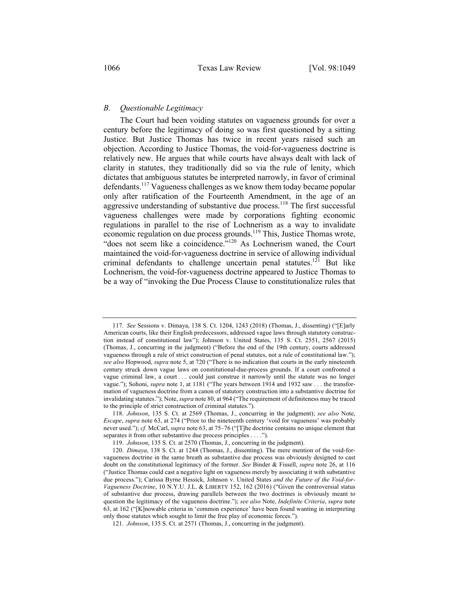## *B. Questionable Legitimacy*

The Court had been voiding statutes on vagueness grounds for over a century before the legitimacy of doing so was first questioned by a sitting Justice. But Justice Thomas has twice in recent years raised such an objection. According to Justice Thomas, the void-for-vagueness doctrine is relatively new. He argues that while courts have always dealt with lack of clarity in statutes, they traditionally did so via the rule of lenity, which dictates that ambiguous statutes be interpreted narrowly, in favor of criminal defendants.<sup>117</sup> Vagueness challenges as we know them today became popular only after ratification of the Fourteenth Amendment, in the age of an aggressive understanding of substantive due process.<sup>118</sup> The first successful vagueness challenges were made by corporations fighting economic regulations in parallel to the rise of Lochnerism as a way to invalidate economic regulation on due process grounds.<sup>119</sup> This, Justice Thomas wrote, "does not seem like a coincidence."<sup>120</sup> As Lochnerism waned, the Court maintained the void-for-vagueness doctrine in service of allowing individual criminal defendants to challenge uncertain penal statutes.<sup>121</sup> But like Lochnerism, the void-for-vagueness doctrine appeared to Justice Thomas to be a way of "invoking the Due Process Clause to constitutionalize rules that

<sup>117.</sup> *See* Sessions v. Dimaya, 138 S. Ct. 1204, 1243 (2018) (Thomas, J., dissenting) ("[E]arly American courts, like their English predecessors, addressed vague laws through statutory construction instead of constitutional law"); Johnson v. United States, 135 S. Ct. 2551, 2567 (2015) (Thomas, J., concurring in the judgment) ("Before the end of the 19th century, courts addressed vagueness through a rule of strict construction of penal statutes, not a rule of constitutional law."); *see also* Hopwood, *supra* note 5, at 720 ("There is no indication that courts in the early nineteenth century struck down vague laws on constitutional-due-process grounds. If a court confronted a vague criminal law, a court . . . could just construe it narrowly until the statute was no longer vague."); Sohoni, *supra* note 1, at 1181 ("The years between 1914 and 1932 saw . . . the transformation of vagueness doctrine from a canon of statutory construction into a substantive doctrine for invalidating statutes."); Note, *supra* note 80, at 964 ("The requirement of definiteness may be traced to the principle of strict construction of criminal statutes.").

<sup>118.</sup> *Johnson*, 135 S. Ct. at 2569 (Thomas, J., concurring in the judgment); *see also* Note, *Escape*, *supra* note 63, at 274 ("Prior to the nineteenth century 'void for vagueness' was probably never used."); *cf.* McCarl, *supra* note 63, at 75–76 ("[T]he doctrine contains no unique element that separates it from other substantive due process principles . . . .").

<sup>119.</sup> *Johnson*, 135 S. Ct. at 2570 (Thomas, J., concurring in the judgment).

<sup>120.</sup> *Dimaya*, 138 S. Ct. at 1244 (Thomas, J., dissenting). The mere mention of the void-forvagueness doctrine in the same breath as substantive due process was obviously designed to cast doubt on the constitutional legitimacy of the former. *See* Binder & Fissell, *supra* note 26, at 116 ("Justice Thomas could cast a negative light on vagueness merely by associating it with substantive due process."); Carissa Byrne Hessick, Johnson v. United States *and the Future of the Void-for-Vagueness Doctrine*, 10 N.Y.U. J.L. & LIBERTY 152, 162 (2016) ("Given the controversial status of substantive due process, drawing parallels between the two doctrines is obviously meant to question the legitimacy of the vagueness doctrine."); *see also* Note, *Indefinite Criteria*, *supra* note 63, at 162 ("[K]nowable criteria in 'common experience' have been found wanting in interpreting only those statutes which sought to limit the free play of economic forces.").

<sup>121.</sup> *Johnson*, 135 S. Ct. at 2571 (Thomas, J., concurring in the judgment).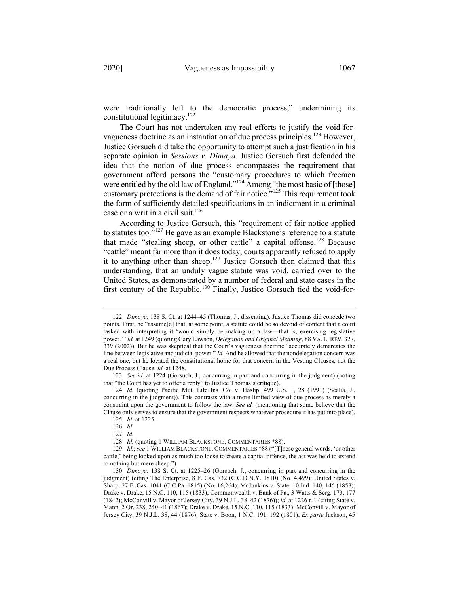were traditionally left to the democratic process," undermining its

constitutional legitimacy.<sup>122</sup> The Court has not undertaken any real efforts to justify the void-forvagueness doctrine as an instantiation of due process principles.<sup>123</sup> However, Justice Gorsuch did take the opportunity to attempt such a justification in his separate opinion in *Sessions v. Dimaya*. Justice Gorsuch first defended the idea that the notion of due process encompasses the requirement that government afford persons the "customary procedures to which freemen were entitled by the old law of England."<sup>124</sup> Among "the most basic of [those] customary protections is the demand of fair notice."125 This requirement took the form of sufficiently detailed specifications in an indictment in a criminal case or a writ in a civil suit.<sup>126</sup>

According to Justice Gorsuch, this "requirement of fair notice applied to statutes too."<sup>127</sup> He gave as an example Blackstone's reference to a statute that made "stealing sheep, or other cattle" a capital offense.<sup>128</sup> Because "cattle" meant far more than it does today, courts apparently refused to apply it to anything other than sheep.<sup>129</sup> Justice Gorsuch then claimed that this understanding, that an unduly vague statute was void, carried over to the United States, as demonstrated by a number of federal and state cases in the first century of the Republic.<sup>130</sup> Finally, Justice Gorsuch tied the void-for-

<sup>122.</sup> *Dimaya*, 138 S. Ct. at 1244–45 (Thomas, J., dissenting). Justice Thomas did concede two points. First, he "assume[d] that, at some point, a statute could be so devoid of content that a court tasked with interpreting it 'would simply be making up a law—that is, exercising legislative power.'" *Id.* at 1249 (quoting Gary Lawson, *Delegation and Original Meaning*, 88 VA. L. REV. 327, 339 (2002)). But he was skeptical that the Court's vagueness doctrine "accurately demarcates the line between legislative and judicial power." *Id.* And he allowed that the nondelegation concern was a real one, but he located the constitutional home for that concern in the Vesting Clauses, not the Due Process Clause. *Id.* at 1248.

<sup>123.</sup> *See id.* at 1224 (Gorsuch, J., concurring in part and concurring in the judgment) (noting that "the Court has yet to offer a reply" to Justice Thomas's critique).

<sup>124.</sup> *Id.* (quoting Pacific Mut. Life Ins. Co. v. Haslip, 499 U.S. 1, 28 (1991) (Scalia, J., concurring in the judgment)). This contrasts with a more limited view of due process as merely a constraint upon the government to follow the law. *See id.* (mentioning that some believe that the Clause only serves to ensure that the government respects whatever procedure it has put into place).

<sup>125.</sup> *Id.* at 1225.

<sup>126.</sup> *Id.*

<sup>127.</sup> *Id.*

<sup>128.</sup> *Id.* (quoting 1 WILLIAM BLACKSTONE, COMMENTARIES \*88).

<sup>129.</sup> *Id.*; *see* 1 WILLIAM BLACKSTONE, COMMENTARIES \*88 ("[T]hese general words, 'or other cattle,' being looked upon as much too loose to create a capital offence, the act was held to extend to nothing but mere sheep.").

<sup>130.</sup> *Dimaya*, 138 S. Ct. at 1225–26 (Gorsuch, J., concurring in part and concurring in the judgment) (citing The Enterprise, 8 F. Cas. 732 (C.C.D.N.Y. 1810) (No. 4,499); United States v. Sharp, 27 F. Cas. 1041 (C.C.Pa. 1815) (No. 16,264); McJunkins v. State, 10 Ind. 140, 145 (1858); Drake v. Drake, 15 N.C. 110, 115 (1833); Commonwealth v. Bank of Pa., 3 Watts & Serg. 173, 177 (1842); McConvill v. Mayor of Jersey City, 39 N.J.L. 38, 42 (1876)); *id.* at 1226 n.1 (citing State v. Mann, 2 Or. 238, 240–41 (1867); Drake v. Drake, 15 N.C. 110, 115 (1833); McConvill v. Mayor of Jersey City, 39 N.J.L. 38, 44 (1876); State v. Boon, 1 N.C. 191, 192 (1801); *Ex parte* Jackson, 45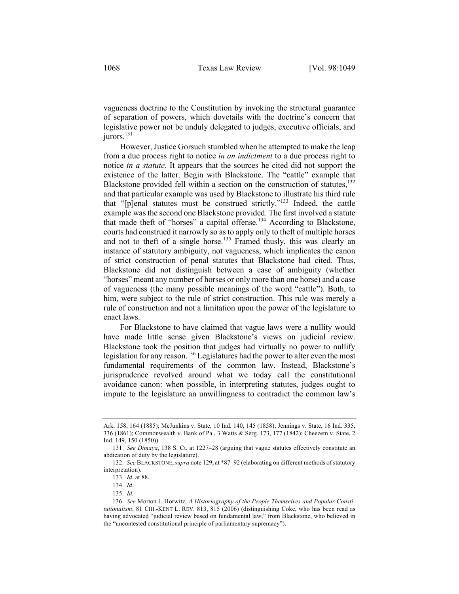vagueness doctrine to the Constitution by invoking the structural guarantee of separation of powers, which dovetails with the doctrine's concern that legislative power not be unduly delegated to judges, executive officials, and jurors.<sup>131</sup>

However, Justice Gorsuch stumbled when he attempted to make the leap from a due process right to notice *in an indictment* to a due process right to notice *in a statute*. It appears that the sources he cited did not support the existence of the latter. Begin with Blackstone. The "cattle" example that Blackstone provided fell within a section on the construction of statutes,  $132$ and that particular example was used by Blackstone to illustrate his third rule that "[p]enal statutes must be construed strictly."133 Indeed, the cattle example was the second one Blackstone provided. The first involved a statute that made theft of "horses" a capital offense.<sup>134</sup> According to Blackstone, courts had construed it narrowly so as to apply only to theft of multiple horses and not to theft of a single horse.<sup>135</sup> Framed thusly, this was clearly an instance of statutory ambiguity, not vagueness, which implicates the canon of strict construction of penal statutes that Blackstone had cited. Thus, Blackstone did not distinguish between a case of ambiguity (whether "horses" meant any number of horses or only more than one horse) and a case of vagueness (the many possible meanings of the word "cattle"). Both, to him, were subject to the rule of strict construction. This rule was merely a rule of construction and not a limitation upon the power of the legislature to enact laws.

For Blackstone to have claimed that vague laws were a nullity would have made little sense given Blackstone's views on judicial review. Blackstone took the position that judges had virtually no power to nullify legislation for any reason.<sup>136</sup> Legislatures had the power to alter even the most fundamental requirements of the common law. Instead, Blackstone's jurisprudence revolved around what we today call the constitutional avoidance canon: when possible, in interpreting statutes, judges ought to impute to the legislature an unwillingness to contradict the common law's

Ark. 158, 164 (1885); McJunkins v. State, 10 Ind. 140, 145 (1858); Jennings v. State, 16 Ind. 335, 336 (1861); Commonwealth v. Bank of Pa., 3 Watts & Serg. 173, 177 (1842); Cheezem v. State, 2 Ind. 149, 150 (1850)).

<sup>131.</sup> *See Dimaya*, 138 S. Ct. at 1227–28 (arguing that vague statutes effectively constitute an abdication of duty by the legislature).

<sup>132.</sup> *See* BLACKSTONE,*supra* note 129, at \*87–92 (elaborating on different methods of statutory interpretation).

<sup>133.</sup> *Id.* at 88.

<sup>134.</sup> *Id.*

<sup>135.</sup> *Id.*

<sup>136.</sup> *See* Morton J. Horwitz, *A Historiography of the People Themselves and Popular Constitutionalism*, 81 CHI.-KENT L. REV. 813, 815 (2006) (distinguishing Coke, who has been read as having advocated "judicial review based on fundamental law," from Blackstone, who believed in the "uncontested constitutional principle of parliamentary supremacy").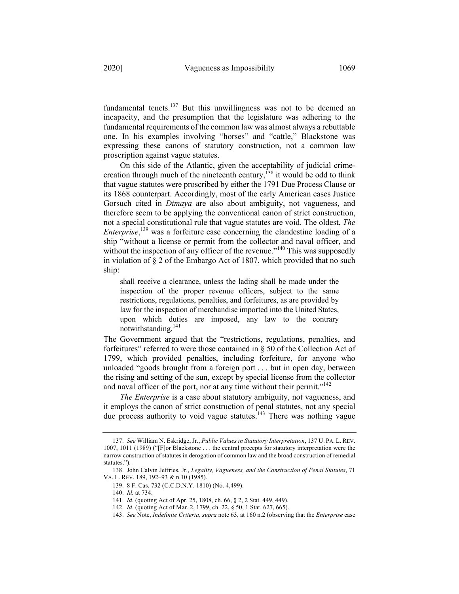fundamental tenets. $137$  But this unwillingness was not to be deemed an incapacity, and the presumption that the legislature was adhering to the fundamental requirements of the common law was almost always a rebuttable one. In his examples involving "horses" and "cattle," Blackstone was expressing these canons of statutory construction, not a common law

On this side of the Atlantic, given the acceptability of judicial crimecreation through much of the nineteenth century,<sup> $138$ </sup> it would be odd to think that vague statutes were proscribed by either the 1791 Due Process Clause or its 1868 counterpart. Accordingly, most of the early American cases Justice Gorsuch cited in *Dimaya* are also about ambiguity, not vagueness, and therefore seem to be applying the conventional canon of strict construction, not a special constitutional rule that vague statutes are void. The oldest, *The Enterprise*, <sup>139</sup> was a forfeiture case concerning the clandestine loading of a ship "without a license or permit from the collector and naval officer, and without the inspection of any officer of the revenue."<sup>140</sup> This was supposedly in violation of § 2 of the Embargo Act of 1807, which provided that no such ship:

shall receive a clearance, unless the lading shall be made under the inspection of the proper revenue officers, subject to the same restrictions, regulations, penalties, and forfeitures, as are provided by law for the inspection of merchandise imported into the United States, upon which duties are imposed, any law to the contrary notwithstanding.<sup>141</sup>

The Government argued that the "restrictions, regulations, penalties, and forfeitures" referred to were those contained in  $\S$  50 of the Collection Act of 1799, which provided penalties, including forfeiture, for anyone who unloaded "goods brought from a foreign port . . . but in open day, between the rising and setting of the sun, except by special license from the collector and naval officer of the port, nor at any time without their permit."<sup>142</sup>

*The Enterprise* is a case about statutory ambiguity, not vagueness, and it employs the canon of strict construction of penal statutes, not any special due process authority to void vague statutes.<sup>143</sup> There was nothing vague

proscription against vague statutes.

<sup>137.</sup> *See* William N. Eskridge, Jr., *Public Values in Statutory Interpretation*, 137 U. PA. L. REV. 1007, 1011 (1989) ("[F]or Blackstone . . . the central precepts for statutory interpretation were the narrow construction of statutes in derogation of common law and the broad construction of remedial statutes.").

<sup>138.</sup> John Calvin Jeffries, Jr., *Legality, Vagueness, and the Construction of Penal Statutes*, 71 VA. L. REV. 189, 192–93 & n.10 (1985).

<sup>139.</sup> 8 F. Cas. 732 (C.C.D.N.Y. 1810) (No. 4,499).

<sup>140.</sup> *Id.* at 734.

<sup>141.</sup> *Id.* (quoting Act of Apr. 25, 1808, ch. 66, § 2, 2 Stat. 449, 449).

<sup>142.</sup> *Id.* (quoting Act of Mar. 2, 1799, ch. 22, § 50, 1 Stat. 627, 665).

<sup>143.</sup> *See* Note, *Indefinite Criteria*, *supra* note 63, at 160 n.2 (observing that the *Enterprise* case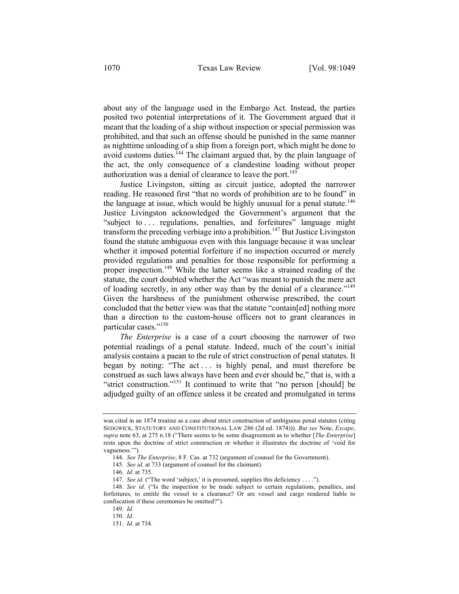about any of the language used in the Embargo Act. Instead, the parties posited two potential interpretations of it. The Government argued that it meant that the loading of a ship without inspection or special permission was prohibited, and that such an offense should be punished in the same manner as nighttime unloading of a ship from a foreign port, which might be done to avoid customs duties.<sup>144</sup> The claimant argued that, by the plain language of the act, the only consequence of a clandestine loading without proper authorization was a denial of clearance to leave the port.<sup>145</sup>

Justice Livingston, sitting as circuit justice, adopted the narrower reading. He reasoned first "that no words of prohibition are to be found" in the language at issue, which would be highly unusual for a penal statute.<sup>146</sup> Justice Livingston acknowledged the Government's argument that the "subject to ... regulations, penalties, and forfeitures" language might transform the preceding verbiage into a prohibition.<sup>147</sup> But Justice Livingston found the statute ambiguous even with this language because it was unclear whether it imposed potential forfeiture if no inspection occurred or merely provided regulations and penalties for those responsible for performing a proper inspection.<sup>148</sup> While the latter seems like a strained reading of the statute, the court doubted whether the Act "was meant to punish the mere act of loading secretly, in any other way than by the denial of a clearance."149 Given the harshness of the punishment otherwise prescribed, the court concluded that the better view was that the statute "contain[ed] nothing more than a direction to the custom-house officers not to grant clearances in particular cases."<sup>150</sup>

*The Enterprise* is a case of a court choosing the narrower of two potential readings of a penal statute. Indeed, much of the court's initial analysis contains a paean to the rule of strict construction of penal statutes. It began by noting: "The act . . . is highly penal, and must therefore be construed as such laws always have been and ever should be," that is, with a "strict construction."<sup>151</sup> It continued to write that "no person [should] be adjudged guilty of an offence unless it be created and promulgated in terms

was cited in an 1874 treatise as a case about strict construction of ambiguous penal statutes (citing SEDGWICK, STATUTORY AND CONSTITUTIONAL LAW 286 (2d ed. 1874))). *But see* Note, *Escape*, *supra* note 63, at 275 n.18 ("There seems to be some disagreement as to whether [*The Enterprise*] rests upon the doctrine of strict construction or whether it illustrates the doctrine of 'void for vagueness.'").

<sup>144.</sup> *See The Enterprise*, 8 F. Cas. at 732 (argument of counsel for the Government).

<sup>145.</sup> *See id.* at 733 (argument of counsel for the claimant).

<sup>146.</sup> *Id.* at 735.

<sup>147.</sup> *See id.* ("The word 'subject,' it is presumed, supplies this deficiency . . . .").

<sup>148.</sup> *See id.* ("Is the inspection to be made subject to certain regulations, penalties, and forfeitures, to entitle the vessel to a clearance? Or are vessel and cargo rendered liable to confiscation if these ceremonies be omitted?").

<sup>149.</sup> *Id.*

<sup>150.</sup> *Id.*

<sup>151.</sup> *Id.* at 734.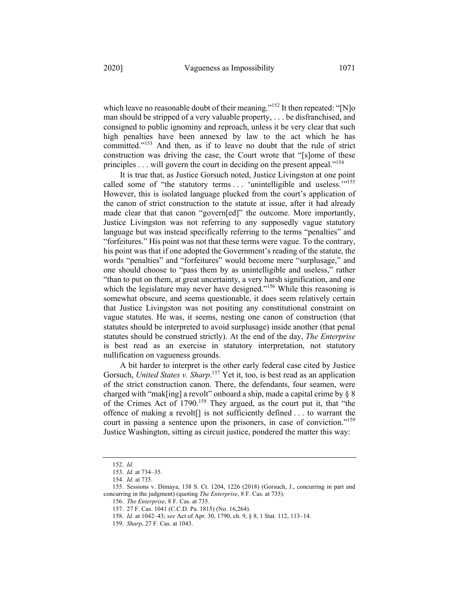which leave no reasonable doubt of their meaning."<sup>152</sup> It then repeated: "[N]o man should be stripped of a very valuable property, . . . be disfranchised, and consigned to public ignominy and reproach, unless it be very clear that such

high penalties have been annexed by law to the act which he has committed."<sup>153</sup> And then, as if to leave no doubt that the rule of strict construction was driving the case, the Court wrote that "[s]ome of these principles . . . will govern the court in deciding on the present appeal."<sup>154</sup>

It is true that, as Justice Gorsuch noted, Justice Livingston at one point called some of "the statutory terms . . . 'unintelligible and useless.'"<sup>155</sup> However, this is isolated language plucked from the court's application of the canon of strict construction to the statute at issue, after it had already made clear that that canon "govern[ed]" the outcome. More importantly, Justice Livingston was not referring to any supposedly vague statutory language but was instead specifically referring to the terms "penalties" and "forfeitures." His point was not that these terms were vague. To the contrary, his point was that if one adopted the Government's reading of the statute, the words "penalties" and "forfeitures" would become mere "surplusage," and one should choose to "pass them by as unintelligible and useless," rather "than to put on them, at great uncertainty, a very harsh signification, and one which the legislature may never have designed."<sup>156</sup> While this reasoning is somewhat obscure, and seems questionable, it does seem relatively certain that Justice Livingston was not positing any constitutional constraint on vague statutes. He was, it seems, nesting one canon of construction (that statutes should be interpreted to avoid surplusage) inside another (that penal statutes should be construed strictly). At the end of the day, *The Enterprise*  is best read as an exercise in statutory interpretation, not statutory nullification on vagueness grounds.

A bit harder to interpret is the other early federal case cited by Justice Gorsuch, *United States v. Sharp*. <sup>157</sup> Yet it, too, is best read as an application of the strict construction canon. There, the defendants, four seamen, were charged with "mak[ing] a revolt" onboard a ship, made a capital crime by § 8 of the Crimes Act of 1790.<sup>158</sup> They argued, as the court put it, that "the offence of making a revolt[] is not sufficiently defined . . . to warrant the court in passing a sentence upon the prisoners, in case of conviction."<sup>159</sup> Justice Washington, sitting as circuit justice, pondered the matter this way:

<sup>152.</sup> *Id.*

<sup>153.</sup> *Id.* at 734–35.

<sup>154.</sup> *Id.* at 735.

<sup>155.</sup> Sessions v. Dimaya, 138 S. Ct. 1204, 1226 (2018) (Gorsuch, J., concurring in part and concurring in the judgment) (quoting *The Enterprise*, 8 F. Cas. at 735).

<sup>156.</sup> *The Enterprise*, 8 F. Cas. at 735.

<sup>157.</sup> 27 F. Cas. 1041 (C.C.D. Pa. 1815) (No. 16,264).

<sup>158.</sup> *Id.* at 1042–43; *see* Act of Apr. 30, 1790, ch. 9, § 8, 1 Stat. 112, 113–14.

<sup>159.</sup> *Sharp*, 27 F. Cas. at 1043.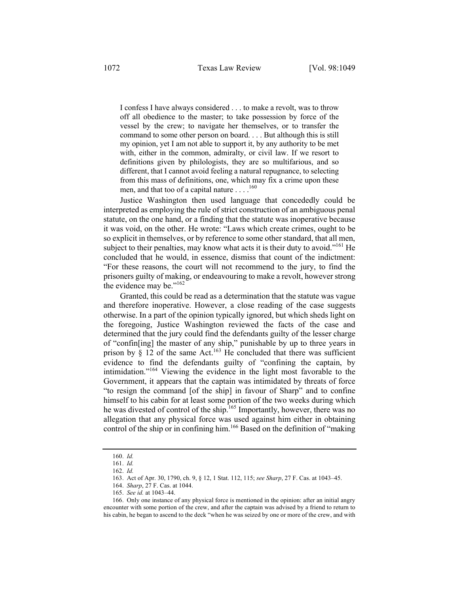I confess I have always considered . . . to make a revolt, was to throw off all obedience to the master; to take possession by force of the vessel by the crew; to navigate her themselves, or to transfer the command to some other person on board. . . . But although this is still my opinion, yet I am not able to support it, by any authority to be met with, either in the common, admiralty, or civil law. If we resort to definitions given by philologists, they are so multifarious, and so different, that I cannot avoid feeling a natural repugnance, to selecting from this mass of definitions, one, which may fix a crime upon these men, and that too of a capital nature  $\dots$ .<sup>160</sup>

Justice Washington then used language that concededly could be interpreted as employing the rule of strict construction of an ambiguous penal statute, on the one hand, or a finding that the statute was inoperative because it was void, on the other. He wrote: "Laws which create crimes, ought to be so explicit in themselves, or by reference to some other standard, that all men, subject to their penalties, may know what acts it is their duty to avoid."<sup>161</sup> He concluded that he would, in essence, dismiss that count of the indictment: "For these reasons, the court will not recommend to the jury, to find the prisoners guilty of making, or endeavouring to make a revolt, however strong the evidence may be."<sup>162</sup>

Granted, this could be read as a determination that the statute was vague and therefore inoperative. However, a close reading of the case suggests otherwise. In a part of the opinion typically ignored, but which sheds light on the foregoing, Justice Washington reviewed the facts of the case and determined that the jury could find the defendants guilty of the lesser charge of "confin[ing] the master of any ship," punishable by up to three years in prison by  $\S$  12 of the same Act.<sup>163</sup> He concluded that there was sufficient evidence to find the defendants guilty of "confining the captain, by intimidation."<sup>164</sup> Viewing the evidence in the light most favorable to the Government, it appears that the captain was intimidated by threats of force "to resign the command [of the ship] in favour of Sharp" and to confine himself to his cabin for at least some portion of the two weeks during which he was divested of control of the ship.<sup>165</sup> Importantly, however, there was no allegation that any physical force was used against him either in obtaining control of the ship or in confining him.<sup>166</sup> Based on the definition of "making"

<sup>160.</sup> *Id.*

<sup>161.</sup> *Id.*

<sup>162.</sup> *Id.*

<sup>163.</sup> Act of Apr. 30, 1790, ch. 9, § 12, 1 Stat. 112, 115; *see Sharp*, 27 F. Cas. at 1043–45.

<sup>164.</sup> *Sharp*, 27 F. Cas. at 1044.

<sup>165.</sup> *See id.* at 1043–44.

<sup>166.</sup> Only one instance of any physical force is mentioned in the opinion: after an initial angry encounter with some portion of the crew, and after the captain was advised by a friend to return to his cabin, he began to ascend to the deck "when he was seized by one or more of the crew, and with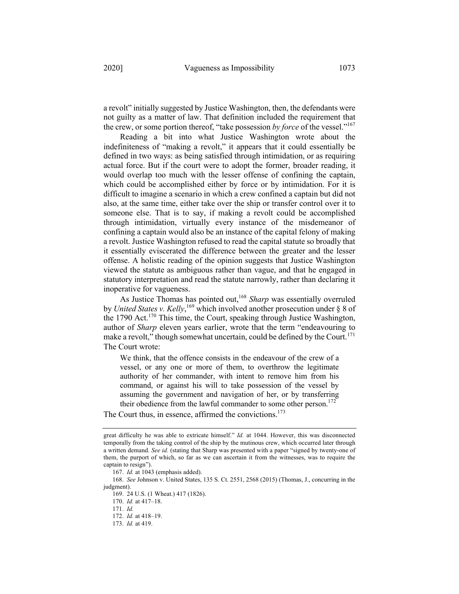a revolt" initially suggested by Justice Washington, then, the defendants were not guilty as a matter of law. That definition included the requirement that the crew, or some portion thereof, "take possession *by force* of the vessel."167

Reading a bit into what Justice Washington wrote about the indefiniteness of "making a revolt," it appears that it could essentially be defined in two ways: as being satisfied through intimidation, or as requiring actual force. But if the court were to adopt the former, broader reading, it would overlap too much with the lesser offense of confining the captain, which could be accomplished either by force or by intimidation. For it is difficult to imagine a scenario in which a crew confined a captain but did not also, at the same time, either take over the ship or transfer control over it to someone else. That is to say, if making a revolt could be accomplished through intimidation, virtually every instance of the misdemeanor of confining a captain would also be an instance of the capital felony of making a revolt. Justice Washington refused to read the capital statute so broadly that it essentially eviscerated the difference between the greater and the lesser offense. A holistic reading of the opinion suggests that Justice Washington viewed the statute as ambiguous rather than vague, and that he engaged in statutory interpretation and read the statute narrowly, rather than declaring it inoperative for vagueness.

As Justice Thomas has pointed out,168 *Sharp* was essentially overruled by *United States v. Kelly*, <sup>169</sup> which involved another prosecution under § 8 of the 1790 Act.<sup>170</sup> This time, the Court, speaking through Justice Washington, author of *Sharp* eleven years earlier, wrote that the term "endeavouring to make a revolt," though somewhat uncertain, could be defined by the Court.<sup>171</sup> The Court wrote:

We think, that the offence consists in the endeavour of the crew of a vessel, or any one or more of them, to overthrow the legitimate authority of her commander, with intent to remove him from his command, or against his will to take possession of the vessel by assuming the government and navigation of her, or by transferring their obedience from the lawful commander to some other person.<sup>172</sup>

The Court thus, in essence, affirmed the convictions.<sup>173</sup>

169. 24 U.S. (1 Wheat.) 417 (1826).

great difficulty he was able to extricate himself." *Id.* at 1044. However, this was disconnected temporally from the taking control of the ship by the mutinous crew, which occurred later through a written demand. *See id.* (stating that Sharp was presented with a paper "signed by twenty-one of them, the purport of which, so far as we can ascertain it from the witnesses, was to require the captain to resign").

<sup>167.</sup> *Id.* at 1043 (emphasis added).

<sup>168.</sup> *See* Johnson v. United States, 135 S. Ct. 2551, 2568 (2015) (Thomas, J., concurring in the judgment).

<sup>170.</sup> *Id.* at 417–18.

<sup>171.</sup> *Id.*

<sup>172.</sup> *Id.* at 418–19.

<sup>173.</sup> *Id.* at 419.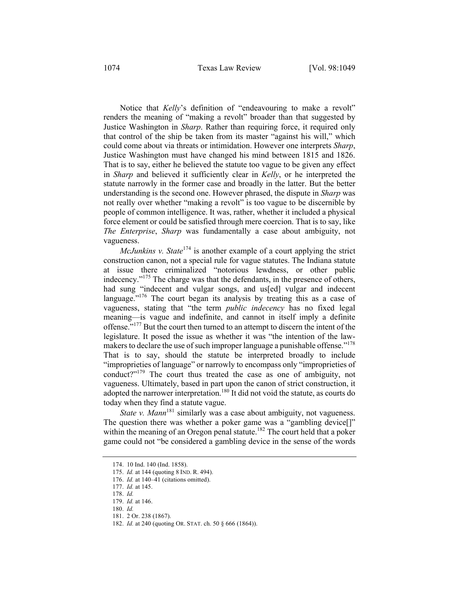Notice that *Kelly*'s definition of "endeavouring to make a revolt" renders the meaning of "making a revolt" broader than that suggested by Justice Washington in *Sharp*. Rather than requiring force, it required only that control of the ship be taken from its master "against his will," which could come about via threats or intimidation. However one interprets *Sharp*, Justice Washington must have changed his mind between 1815 and 1826. That is to say, either he believed the statute too vague to be given any effect in *Sharp* and believed it sufficiently clear in *Kelly*, or he interpreted the statute narrowly in the former case and broadly in the latter. But the better understanding is the second one. However phrased, the dispute in *Sharp* was not really over whether "making a revolt" is too vague to be discernible by people of common intelligence. It was, rather, whether it included a physical force element or could be satisfied through mere coercion. That is to say, like *The Enterprise*, *Sharp* was fundamentally a case about ambiguity, not vagueness.

*McJunkins v. State*<sup>174</sup> is another example of a court applying the strict construction canon, not a special rule for vague statutes. The Indiana statute at issue there criminalized "notorious lewdness, or other public indecency."<sup>175</sup> The charge was that the defendants, in the presence of others, had sung "indecent and vulgar songs, and us[ed] vulgar and indecent language."<sup>176</sup> The court began its analysis by treating this as a case of vagueness, stating that "the term *public indecency* has no fixed legal meaning—is vague and indefinite, and cannot in itself imply a definite offense."<sup>177</sup> But the court then turned to an attempt to discern the intent of the legislature. It posed the issue as whether it was "the intention of the lawmakers to declare the use of such improper language a punishable offense."<sup>178</sup> That is to say, should the statute be interpreted broadly to include "improprieties of language" or narrowly to encompass only "improprieties of conduct?"<sup>179</sup> The court thus treated the case as one of ambiguity, not vagueness. Ultimately, based in part upon the canon of strict construction, it adopted the narrower interpretation.<sup>180</sup> It did not void the statute, as courts do today when they find a statute vague.

*State v. Mann*<sup>181</sup> similarly was a case about ambiguity, not vagueness. The question there was whether a poker game was a "gambling device[]" within the meaning of an Oregon penal statute.<sup>182</sup> The court held that a poker game could not "be considered a gambling device in the sense of the words

<sup>174.</sup> 10 Ind. 140 (Ind. 1858).

<sup>175.</sup> *Id.* at 144 (quoting 8 IND. R. 494).

<sup>176.</sup> *Id.* at 140–41 (citations omitted).

<sup>177.</sup> *Id.* at 145. 178. *Id.*

<sup>179.</sup> *Id.* at 146.

<sup>180.</sup> *Id.*

<sup>181.</sup> 2 Or. 238 (1867).

<sup>182.</sup> *Id.* at 240 (quoting OR. STAT. ch. 50 § 666 (1864)).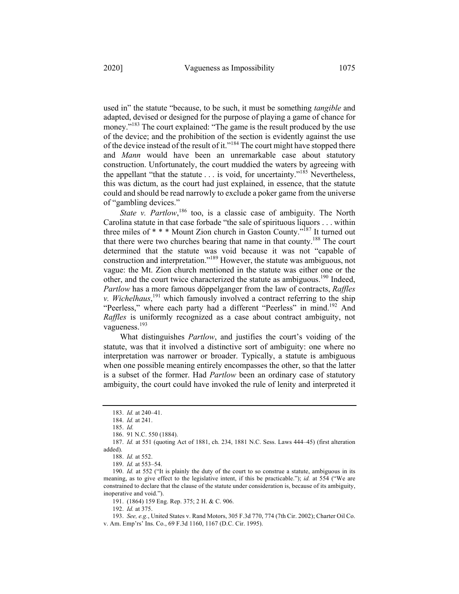used in" the statute "because, to be such, it must be something *tangible* and adapted, devised or designed for the purpose of playing a game of chance for money."<sup>183</sup> The court explained: "The game is the result produced by the use of the device; and the prohibition of the section is evidently against the use of the device instead of the result of it."<sup>184</sup> The court might have stopped there and *Mann* would have been an unremarkable case about statutory construction. Unfortunately, the court muddied the waters by agreeing with the appellant "that the statute . . . is void, for uncertainty."<sup>185</sup> Nevertheless, this was dictum, as the court had just explained, in essence, that the statute could and should be read narrowly to exclude a poker game from the universe of "gambling devices."

State v. Partlow,<sup>186</sup> too, is a classic case of ambiguity. The North Carolina statute in that case forbade "the sale of spirituous liquors . . . within three miles of  $***$  Mount Zion church in Gaston County.<sup> $n\bar{1}87$ </sup> It turned out that there were two churches bearing that name in that county.188 The court determined that the statute was void because it was not "capable of construction and interpretation."189 However, the statute was ambiguous, not vague: the Mt. Zion church mentioned in the statute was either one or the other, and the court twice characterized the statute as ambiguous.<sup>190</sup> Indeed, *Partlow* has a more famous döppelganger from the law of contracts, *Raffles v. Wichelhaus*, <sup>191</sup> which famously involved a contract referring to the ship "Peerless," where each party had a different "Peerless" in mind.<sup>192</sup> And *Raffles* is uniformly recognized as a case about contract ambiguity, not vagueness.<sup>193</sup>

What distinguishes *Partlow*, and justifies the court's voiding of the statute, was that it involved a distinctive sort of ambiguity: one where no interpretation was narrower or broader. Typically, a statute is ambiguous when one possible meaning entirely encompasses the other, so that the latter is a subset of the former. Had *Partlow* been an ordinary case of statutory ambiguity, the court could have invoked the rule of lenity and interpreted it

192. *Id.* at 375.

<sup>183.</sup> *Id.* at 240–41.

<sup>184.</sup> *Id.* at 241.

<sup>185.</sup> *Id.*

<sup>186.</sup> 91 N.C. 550 (1884).

<sup>187.</sup> *Id.* at 551 (quoting Act of 1881, ch. 234, 1881 N.C. Sess. Laws 444–45) (first alteration added).

<sup>188.</sup> *Id.* at 552.

<sup>189.</sup> *Id.* at 553–54.

<sup>190.</sup> *Id.* at 552 ("It is plainly the duty of the court to so construe a statute, ambiguous in its meaning, as to give effect to the legislative intent, if this be practicable."); *id.* at 554 ("We are constrained to declare that the clause of the statute under consideration is, because of its ambiguity, inoperative and void.").

<sup>191.</sup> (1864) 159 Eng. Rep. 375; 2 H. & C. 906.

<sup>193.</sup> *See, e.g.*, United States v. Rand Motors, 305 F.3d 770, 774 (7th Cir. 2002); Charter Oil Co. v. Am. Emp'rs' Ins. Co., 69 F.3d 1160, 1167 (D.C. Cir. 1995).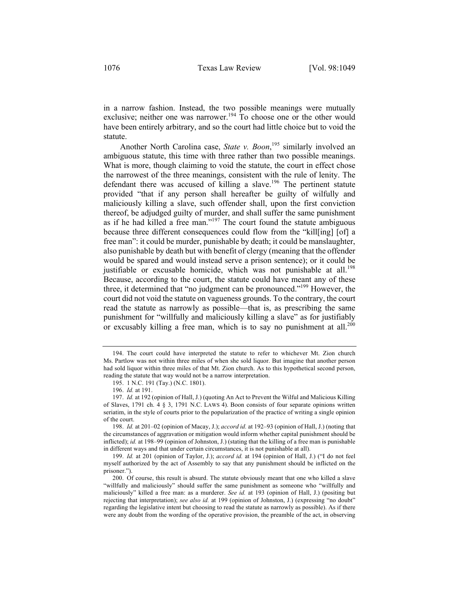in a narrow fashion. Instead, the two possible meanings were mutually exclusive; neither one was narrower.<sup>194</sup> To choose one or the other would have been entirely arbitrary, and so the court had little choice but to void the statute.

Another North Carolina case, *State v. Boon*, <sup>195</sup> similarly involved an ambiguous statute, this time with three rather than two possible meanings. What is more, though claiming to void the statute, the court in effect chose the narrowest of the three meanings, consistent with the rule of lenity. The defendant there was accused of killing a slave.<sup>196</sup> The pertinent statute provided "that if any person shall hereafter be guilty of wilfully and maliciously killing a slave, such offender shall, upon the first conviction thereof, be adjudged guilty of murder, and shall suffer the same punishment as if he had killed a free man."<sup>197</sup> The court found the statute ambiguous because three different consequences could flow from the "kill[ing] [of] a free man": it could be murder, punishable by death; it could be manslaughter, also punishable by death but with benefit of clergy (meaning that the offender would be spared and would instead serve a prison sentence); or it could be justifiable or excusable homicide, which was not punishable at all.<sup>198</sup> Because, according to the court, the statute could have meant any of these three, it determined that "no judgment can be pronounced."199 However, the court did not void the statute on vagueness grounds. To the contrary, the court read the statute as narrowly as possible—that is, as prescribing the same punishment for "willfully and maliciously killing a slave" as for justifiably or excusably killing a free man, which is to say no punishment at all.<sup>200</sup>

<sup>194.</sup> The court could have interpreted the statute to refer to whichever Mt. Zion church Ms. Partlow was not within three miles of when she sold liquor. But imagine that another person had sold liquor within three miles of that Mt. Zion church. As to this hypothetical second person, reading the statute that way would not be a narrow interpretation.

<sup>195.</sup> 1 N.C. 191 (Tay.) (N.C. 1801).

<sup>196.</sup> *Id.* at 191.

<sup>197.</sup> *Id.* at 192 (opinion of Hall, J.) (quoting An Act to Prevent the Wilful and Malicious Killing of Slaves, 1791 ch. 4 § 3, 1791 N.C. LAWS 4). Boon consists of four separate opinions written seriatim, in the style of courts prior to the popularization of the practice of writing a single opinion of the court.

<sup>198.</sup> *Id.* at 201–02 (opinion of Macay, J.); *accord id.* at 192–93 (opinion of Hall, J.) (noting that the circumstances of aggravation or mitigation would inform whether capital punishment should be inflicted); *id.* at 198–99 (opinion of Johnston, J.) (stating that the killing of a free man is punishable in different ways and that under certain circumstances, it is not punishable at all).

<sup>199.</sup> *Id.* at 201 (opinion of Taylor, J.); *accord id.* at 194 (opinion of Hall, J.) ("I do not feel myself authorized by the act of Assembly to say that any punishment should be inflicted on the prisoner.").

<sup>200.</sup> Of course, this result is absurd. The statute obviously meant that one who killed a slave "willfully and maliciously" should suffer the same punishment as someone who "willfully and maliciously" killed a free man: as a murderer. *See id.* at 193 (opinion of Hall, J.) (positing but rejecting that interpretation); *see also id.* at 199 (opinion of Johnston, J.) (expressing "no doubt" regarding the legislative intent but choosing to read the statute as narrowly as possible). As if there were any doubt from the wording of the operative provision, the preamble of the act, in observing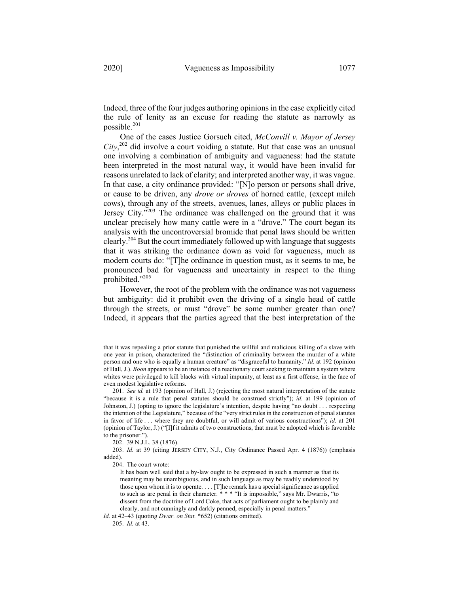Indeed, three of the four judges authoring opinions in the case explicitly cited the rule of lenity as an excuse for reading the statute as narrowly as possible.<sup>201</sup>

One of the cases Justice Gorsuch cited, *McConvill v. Mayor of Jersey City*, <sup>202</sup> did involve a court voiding a statute. But that case was an unusual one involving a combination of ambiguity and vagueness: had the statute been interpreted in the most natural way, it would have been invalid for reasons unrelated to lack of clarity; and interpreted another way, it was vague. In that case, a city ordinance provided: "[N]o person or persons shall drive, or cause to be driven, any *drove or droves* of horned cattle, (except milch cows), through any of the streets, avenues, lanes, alleys or public places in Jersey City."<sup>203</sup> The ordinance was challenged on the ground that it was unclear precisely how many cattle were in a "drove." The court began its analysis with the uncontroversial bromide that penal laws should be written clearly.<sup>204</sup> But the court immediately followed up with language that suggests that it was striking the ordinance down as void for vagueness, much as modern courts do: "[T]he ordinance in question must, as it seems to me, be pronounced bad for vagueness and uncertainty in respect to the thing prohibited."205

However, the root of the problem with the ordinance was not vagueness but ambiguity: did it prohibit even the driving of a single head of cattle through the streets, or must "drove" be some number greater than one? Indeed, it appears that the parties agreed that the best interpretation of the

202. 39 N.J.L. 38 (1876).

that it was repealing a prior statute that punished the willful and malicious killing of a slave with one year in prison, characterized the "distinction of criminality between the murder of a white person and one who is equally a human creature" as "disgraceful to humanity." *Id.* at 192 (opinion of Hall, J.). *Boon* appears to be an instance of a reactionary court seeking to maintain a system where whites were privileged to kill blacks with virtual impunity, at least as a first offense, in the face of even modest legislative reforms.

<sup>201.</sup> *See id.* at 193 (opinion of Hall, J.) (rejecting the most natural interpretation of the statute "because it is a rule that penal statutes should be construed strictly"); *id.* at 199 (opinion of Johnston, J.) (opting to ignore the legislature's intention, despite having "no doubt . . . respecting the intention of the Legislature," because of the "very strict rules in the construction of penal statutes in favor of life . . . where they are doubtful, or will admit of various constructions"); *id.* at 201 (opinion of Taylor, J.) ("[I]f it admits of two constructions, that must be adopted which is favorable to the prisoner.").

<sup>203.</sup> *Id.* at 39 (citing JERSEY CITY, N.J., City Ordinance Passed Apr. 4 (1876)) (emphasis added).

<sup>204.</sup> The court wrote:

It has been well said that a by-law ought to be expressed in such a manner as that its meaning may be unambiguous, and in such language as may be readily understood by those upon whom it is to operate. . . . [T]he remark has a special significance as applied to such as are penal in their character. \* \* \* "It is impossible," says Mr. Dwarris, "to dissent from the doctrine of Lord Coke, that acts of parliament ought to be plainly and clearly, and not cunningly and darkly penned, especially in penal matters."

*Id.* at 42–43 (quoting *Dwar. on Stat.* \*652) (citations omitted).

<sup>205.</sup> *Id.* at 43.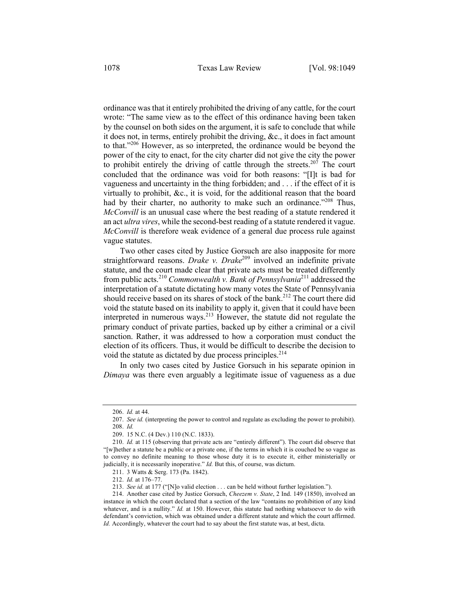ordinance was that it entirely prohibited the driving of any cattle, for the court wrote: "The same view as to the effect of this ordinance having been taken by the counsel on both sides on the argument, it is safe to conclude that while it does not, in terms, entirely prohibit the driving, &c., it does in fact amount to that."206 However, as so interpreted, the ordinance would be beyond the power of the city to enact, for the city charter did not give the city the power to prohibit entirely the driving of cattle through the streets.<sup>207</sup> The court concluded that the ordinance was void for both reasons: "[I]t is bad for vagueness and uncertainty in the thing forbidden; and . . . if the effect of it is virtually to prohibit, &c., it is void, for the additional reason that the board had by their charter, no authority to make such an ordinance."<sup>208</sup> Thus, *McConvill* is an unusual case where the best reading of a statute rendered it an act *ultra vires*, while the second-best reading of a statute rendered it vague. *McConvill* is therefore weak evidence of a general due process rule against vague statutes.

Two other cases cited by Justice Gorsuch are also inapposite for more straightforward reasons. *Drake v. Drake*<sup>209</sup> involved an indefinite private statute, and the court made clear that private acts must be treated differently from public acts.<sup>210</sup> *Commonwealth v. Bank of Pennsylvania*<sup>211</sup> addressed the interpretation of a statute dictating how many votes the State of Pennsylvania should receive based on its shares of stock of the bank.<sup>212</sup> The court there did void the statute based on its inability to apply it, given that it could have been interpreted in numerous ways. $^{213}$  However, the statute did not regulate the primary conduct of private parties, backed up by either a criminal or a civil sanction. Rather, it was addressed to how a corporation must conduct the election of its officers. Thus, it would be difficult to describe the decision to void the statute as dictated by due process principles. $^{214}$ 

In only two cases cited by Justice Gorsuch in his separate opinion in *Dimaya* was there even arguably a legitimate issue of vagueness as a due

<sup>206.</sup> *Id.* at 44.

<sup>207.</sup> *See id.* (interpreting the power to control and regulate as excluding the power to prohibit). 208. *Id.*

<sup>209.</sup> 15 N.C. (4 Dev.) 110 (N.C. 1833).

<sup>210.</sup> *Id.* at 115 (observing that private acts are "entirely different"). The court did observe that "[w]hether a statute be a public or a private one, if the terms in which it is couched be so vague as to convey no definite meaning to those whose duty it is to execute it, either ministerially or judicially, it is necessarily inoperative." *Id.* But this, of course, was dictum.

<sup>211.</sup> 3 Watts & Serg. 173 (Pa. 1842).

<sup>212.</sup> *Id.* at 176–77.

<sup>213.</sup> *See id.* at 177 ("[N]o valid election . . . can be held without further legislation.").

<sup>214.</sup> Another case cited by Justice Gorsuch, *Cheezem v. State*, 2 Ind. 149 (1850), involved an instance in which the court declared that a section of the law "contains no prohibition of any kind whatever, and is a nullity." *Id.* at 150. However, this statute had nothing whatsoever to do with defendant's conviction, which was obtained under a different statute and which the court affirmed. *Id.* Accordingly, whatever the court had to say about the first statute was, at best, dicta.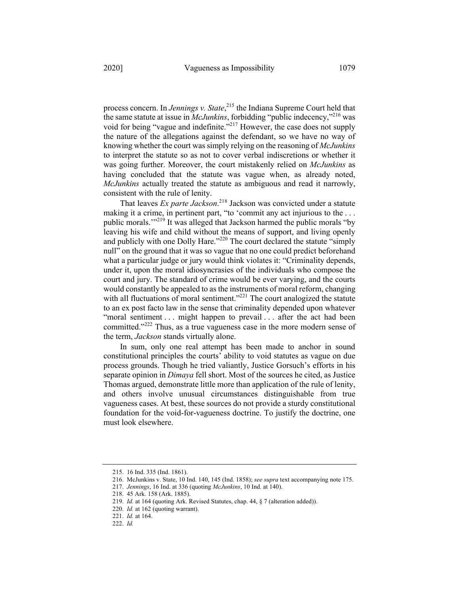process concern. In *Jennings v. State*, <sup>215</sup> the Indiana Supreme Court held that the same statute at issue in *McJunkins*, forbidding "public indecency,"<sup>216</sup> was void for being "vague and indefinite."<sup>217</sup> However, the case does not supply the nature of the allegations against the defendant, so we have no way of knowing whether the court was simply relying on the reasoning of *McJunkins* to interpret the statute so as not to cover verbal indiscretions or whether it was going further. Moreover, the court mistakenly relied on *McJunkins* as having concluded that the statute was vague when, as already noted, *McJunkins* actually treated the statute as ambiguous and read it narrowly, consistent with the rule of lenity.

That leaves *Ex parte Jackson*. <sup>218</sup> Jackson was convicted under a statute making it a crime, in pertinent part, "to 'commit any act injurious to the . . . public morals."<sup>219</sup> It was alleged that Jackson harmed the public morals "by leaving his wife and child without the means of support, and living openly and publicly with one Dolly Hare."<sup>220</sup> The court declared the statute "simply" null" on the ground that it was so vague that no one could predict beforehand what a particular judge or jury would think violates it: "Criminality depends, under it, upon the moral idiosyncrasies of the individuals who compose the court and jury. The standard of crime would be ever varying, and the courts would constantly be appealed to as the instruments of moral reform, changing with all fluctuations of moral sentiment."<sup>221</sup> The court analogized the statute to an ex post facto law in the sense that criminality depended upon whatever "moral sentiment . . . might happen to prevail . . . after the act had been committed."<sup>222</sup> Thus, as a true vagueness case in the more modern sense of the term, *Jackson* stands virtually alone.

In sum, only one real attempt has been made to anchor in sound constitutional principles the courts' ability to void statutes as vague on due process grounds. Though he tried valiantly, Justice Gorsuch's efforts in his separate opinion in *Dimaya* fell short. Most of the sources he cited, as Justice Thomas argued, demonstrate little more than application of the rule of lenity, and others involve unusual circumstances distinguishable from true vagueness cases. At best, these sources do not provide a sturdy constitutional foundation for the void-for-vagueness doctrine. To justify the doctrine, one must look elsewhere.

<sup>215.</sup> 16 Ind. 335 (Ind. 1861).

<sup>216.</sup> McJunkins v. State, 10 Ind. 140, 145 (Ind. 1858); *see supra* text accompanying note 175.

<sup>217.</sup> *Jennings*, 16 Ind. at 336 (quoting *McJunkins*, 10 Ind. at 140).

<sup>218.</sup> 45 Ark. 158 (Ark. 1885).

<sup>219.</sup> *Id.* at 164 (quoting Ark. Revised Statutes, chap. 44, § 7 (alteration added)).

<sup>220.</sup> *Id.* at 162 (quoting warrant).

<sup>221.</sup> *Id.* at 164.

<sup>222.</sup> *Id.*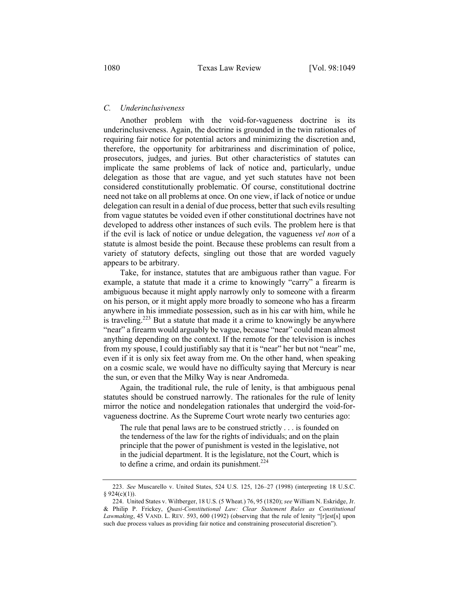#### *C. Underinclusiveness*

Another problem with the void-for-vagueness doctrine is its underinclusiveness. Again, the doctrine is grounded in the twin rationales of requiring fair notice for potential actors and minimizing the discretion and, therefore, the opportunity for arbitrariness and discrimination of police, prosecutors, judges, and juries. But other characteristics of statutes can implicate the same problems of lack of notice and, particularly, undue delegation as those that are vague, and yet such statutes have not been considered constitutionally problematic. Of course, constitutional doctrine need not take on all problems at once. On one view, if lack of notice or undue delegation can result in a denial of due process, better that such evils resulting from vague statutes be voided even if other constitutional doctrines have not developed to address other instances of such evils. The problem here is that if the evil is lack of notice or undue delegation, the vagueness *vel non* of a statute is almost beside the point. Because these problems can result from a variety of statutory defects, singling out those that are worded vaguely appears to be arbitrary.

Take, for instance, statutes that are ambiguous rather than vague. For example, a statute that made it a crime to knowingly "carry" a firearm is ambiguous because it might apply narrowly only to someone with a firearm on his person, or it might apply more broadly to someone who has a firearm anywhere in his immediate possession, such as in his car with him, while he is traveling.<sup>223</sup> But a statute that made it a crime to knowingly be anywhere "near" a firearm would arguably be vague, because "near" could mean almost anything depending on the context. If the remote for the television is inches from my spouse, I could justifiably say that it is "near" her but not "near" me, even if it is only six feet away from me. On the other hand, when speaking on a cosmic scale, we would have no difficulty saying that Mercury is near the sun, or even that the Milky Way is near Andromeda.

Again, the traditional rule, the rule of lenity, is that ambiguous penal statutes should be construed narrowly. The rationales for the rule of lenity mirror the notice and nondelegation rationales that undergird the void-forvagueness doctrine. As the Supreme Court wrote nearly two centuries ago:

The rule that penal laws are to be construed strictly . . . is founded on the tenderness of the law for the rights of individuals; and on the plain principle that the power of punishment is vested in the legislative, not in the judicial department. It is the legislature, not the Court, which is to define a crime, and ordain its punishment. $224$ 

<sup>223.</sup> *See* Muscarello v. United States, 524 U.S. 125, 126–27 (1998) (interpreting 18 U.S.C.  $§ 924(c)(1)).$ 

<sup>224.</sup> United States v. Wiltberger, 18 U.S. (5 Wheat.) 76, 95 (1820); *see* William N. Eskridge, Jr. & Philip P. Frickey, *Quasi-Constitutional Law: Clear Statement Rules as Constitutional Lawmaking*, 45 VAND. L. REV. 593, 600 (1992) (observing that the rule of lenity "[r]est[s] upon such due process values as providing fair notice and constraining prosecutorial discretion").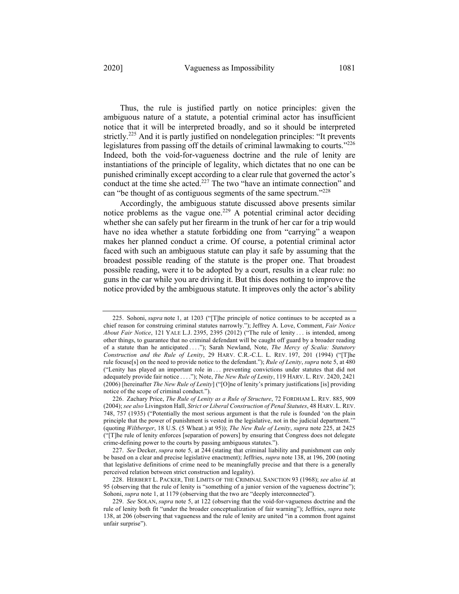Thus, the rule is justified partly on notice principles: given the ambiguous nature of a statute, a potential criminal actor has insufficient notice that it will be interpreted broadly, and so it should be interpreted strictly.<sup>225</sup> And it is partly justified on nondelegation principles: "It prevents legislatures from passing off the details of criminal lawmaking to courts."<sup>226</sup>

Indeed, both the void-for-vagueness doctrine and the rule of lenity are instantiations of the principle of legality, which dictates that no one can be punished criminally except according to a clear rule that governed the actor's conduct at the time she acted.<sup>227</sup> The two "have an intimate connection" and can "be thought of as contiguous segments of the same spectrum."<sup>228</sup>

Accordingly, the ambiguous statute discussed above presents similar notice problems as the vague one.<sup>229</sup> A potential criminal actor deciding whether she can safely put her firearm in the trunk of her car for a trip would have no idea whether a statute forbidding one from "carrying" a weapon makes her planned conduct a crime. Of course, a potential criminal actor faced with such an ambiguous statute can play it safe by assuming that the broadest possible reading of the statute is the proper one. That broadest possible reading, were it to be adopted by a court, results in a clear rule: no guns in the car while you are driving it. But this does nothing to improve the notice provided by the ambiguous statute. It improves only the actor's ability

<sup>225.</sup> Sohoni, *supra* note 1, at 1203 ("[T]he principle of notice continues to be accepted as a chief reason for construing criminal statutes narrowly."); Jeffrey A. Love, Comment, *Fair Notice About Fair Notice*, 121 YALE L.J. 2395, 2395 (2012) ("The rule of lenity . . . is intended, among other things, to guarantee that no criminal defendant will be caught off guard by a broader reading of a statute than he anticipated . . . ."); Sarah Newland, Note, *The Mercy of Scalia: Statutory Construction and the Rule of Lenity*, 29 HARV. C.R.-C.L. L. REV. 197, 201 (1994) ("[T]he rule focuse[s] on the need to provide notice to the defendant."); *Rule of Lenity*, *supra* note 5, at 480 ("Lenity has played an important role in . . . preventing convictions under statutes that did not adequately provide fair notice . . . ."); Note, *The New Rule of Lenity*, 119 HARV. L. REV. 2420, 2421 (2006) [hereinafter *The New Rule of Lenity*] ("[O]ne of lenity's primary justifications [is] providing notice of the scope of criminal conduct.").

<sup>226.</sup> Zachary Price, *The Rule of Lenity as a Rule of Structure*, 72 FORDHAM L. REV. 885, 909 (2004); *see also* Livingston Hall, *Strict or Liberal Construction of Penal Statutes*, 48 HARV. L. REV. 748, 757 (1935) ("Potentially the most serious argument is that the rule is founded 'on the plain principle that the power of punishment is vested in the legislative, not in the judicial department.'" (quoting *Wiltberger*, 18 U.S. (5 Wheat.) at 95)); *The New Rule of Lenity*, *supra* note 225, at 2425 ("[T]he rule of lenity enforces [separation of powers] by ensuring that Congress does not delegate crime-defining power to the courts by passing ambiguous statutes.").

<sup>227.</sup> *See* Decker, *supra* note 5, at 244 (stating that criminal liability and punishment can only be based on a clear and precise legislative enactment); Jeffries, *supra* note 138, at 196, 200 (noting that legislative definitions of crime need to be meaningfully precise and that there is a generally perceived relation between strict construction and legality).

<sup>228.</sup> HERBERT L. PACKER, THE LIMITS OF THE CRIMINAL SANCTION 93 (1968); *see also id.* at 95 (observing that the rule of lenity is "something of a junior version of the vagueness doctrine"); Sohoni, *supra* note 1, at 1179 (observing that the two are "deeply interconnected").

<sup>229.</sup> *See* SOLAN, *supra* note 5, at 122 (observing that the void-for-vagueness doctrine and the rule of lenity both fit "under the broader conceptualization of fair warning"); Jeffries, *supra* note 138, at 206 (observing that vagueness and the rule of lenity are united "in a common front against unfair surprise").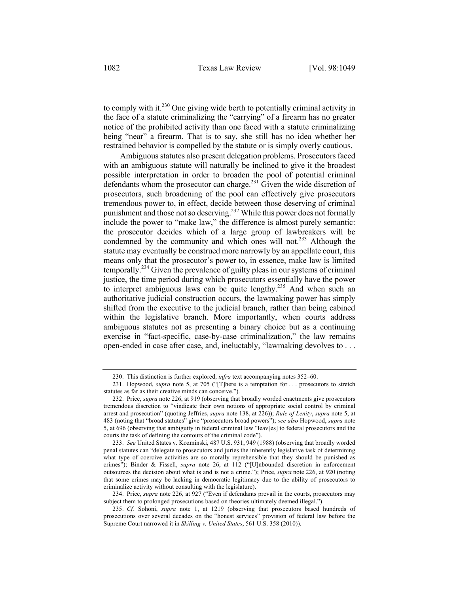to comply with it.<sup>230</sup> One giving wide berth to potentially criminal activity in the face of a statute criminalizing the "carrying" of a firearm has no greater notice of the prohibited activity than one faced with a statute criminalizing being "near" a firearm. That is to say, she still has no idea whether her restrained behavior is compelled by the statute or is simply overly cautious.

Ambiguous statutes also present delegation problems. Prosecutors faced with an ambiguous statute will naturally be inclined to give it the broadest possible interpretation in order to broaden the pool of potential criminal defendants whom the prosecutor can charge.<sup>231</sup> Given the wide discretion of prosecutors, such broadening of the pool can effectively give prosecutors tremendous power to, in effect, decide between those deserving of criminal punishment and those not so deserving.<sup>232</sup> While this power does not formally include the power to "make law," the difference is almost purely semantic: the prosecutor decides which of a large group of lawbreakers will be condemned by the community and which ones will not.<sup>233</sup> Although the statute may eventually be construed more narrowly by an appellate court, this means only that the prosecutor's power to, in essence, make law is limited temporally.<sup>234</sup> Given the prevalence of guilty pleas in our systems of criminal justice, the time period during which prosecutors essentially have the power to interpret ambiguous laws can be quite lengthy.<sup>235</sup> And when such an authoritative judicial construction occurs, the lawmaking power has simply shifted from the executive to the judicial branch, rather than being cabined within the legislative branch. More importantly, when courts address ambiguous statutes not as presenting a binary choice but as a continuing exercise in "fact-specific, case-by-case criminalization," the law remains open-ended in case after case, and, ineluctably, "lawmaking devolves to . . .

<sup>230.</sup> This distinction is further explored, *infra* text accompanying notes 352–60.

<sup>231.</sup> Hopwood, *supra* note 5, at 705 ("[T]here is a temptation for . . . prosecutors to stretch statutes as far as their creative minds can conceive.").

<sup>232.</sup> Price, *supra* note 226, at 919 (observing that broadly worded enactments give prosecutors tremendous discretion to "vindicate their own notions of appropriate social control by criminal arrest and prosecution" (quoting Jeffries, *supra* note 138, at 226)); *Rule of Lenity*, *supra* note 5, at 483 (noting that "broad statutes" give "prosecutors broad powers"); *see also* Hopwood, *supra* note 5, at 696 (observing that ambiguity in federal criminal law "leav[es] to federal prosecutors and the courts the task of defining the contours of the criminal code").

<sup>233.</sup> *See* United States v. Kozminski, 487 U.S. 931, 949 (1988) (observing that broadly worded penal statutes can "delegate to prosecutors and juries the inherently legislative task of determining what type of coercive activities are so morally reprehensible that they should be punished as crimes"); Binder & Fissell, *supra* note 26, at 112 ("[U]nbounded discretion in enforcement outsources the decision about what is and is not a crime."); Price, *supra* note 226, at 920 (noting that some crimes may be lacking in democratic legitimacy due to the ability of prosecutors to criminalize activity without consulting with the legislature).

<sup>234.</sup> Price, *supra* note 226, at 927 ("Even if defendants prevail in the courts, prosecutors may subject them to prolonged prosecutions based on theories ultimately deemed illegal.").

<sup>235.</sup> *Cf.* Sohoni, *supra* note 1, at 1219 (observing that prosecutors based hundreds of prosecutions over several decades on the "honest services" provision of federal law before the Supreme Court narrowed it in *Skilling v. United States*, 561 U.S. 358 (2010)).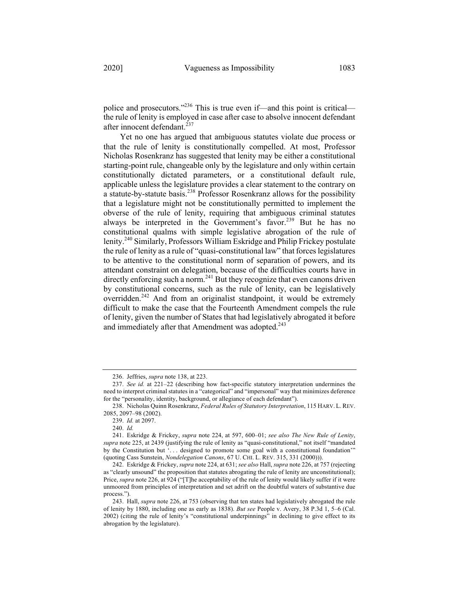police and prosecutors."<sup>236</sup> This is true even if—and this point is critical the rule of lenity is employed in case after case to absolve innocent defendant after innocent defendant. $^{237}$ 

Yet no one has argued that ambiguous statutes violate due process or that the rule of lenity is constitutionally compelled. At most, Professor Nicholas Rosenkranz has suggested that lenity may be either a constitutional starting-point rule, changeable only by the legislature and only within certain constitutionally dictated parameters, or a constitutional default rule, applicable unless the legislature provides a clear statement to the contrary on a statute-by-statute basis.<sup>238</sup> Professor Rosenkranz allows for the possibility that a legislature might not be constitutionally permitted to implement the obverse of the rule of lenity, requiring that ambiguous criminal statutes always be interpreted in the Government's favor.<sup>239</sup> But he has no constitutional qualms with simple legislative abrogation of the rule of lenity.<sup>240</sup> Similarly, Professors William Eskridge and Philip Frickey postulate the rule of lenity as a rule of "quasi-constitutional law" that forces legislatures to be attentive to the constitutional norm of separation of powers, and its attendant constraint on delegation, because of the difficulties courts have in  $\frac{d}{dt}$  directly enforcing such a norm.<sup>241</sup> But they recognize that even canons driven by constitutional concerns, such as the rule of lenity, can be legislatively overridden.<sup>242</sup> And from an originalist standpoint, it would be extremely difficult to make the case that the Fourteenth Amendment compels the rule of lenity, given the number of States that had legislatively abrogated it before and immediately after that Amendment was adopted.<sup>243</sup>

<sup>236.</sup> Jeffries, *supra* note 138, at 223.

<sup>237.</sup> *See id.* at 221–22 (describing how fact-specific statutory interpretation undermines the need to interpret criminal statutes in a "categorical" and "impersonal" way that minimizes deference for the "personality, identity, background, or allegiance of each defendant").

<sup>238.</sup> Nicholas Quinn Rosenkranz, *Federal Rules of Statutory Interpretation*, 115 HARV. L.REV. 2085, 2097–98 (2002).

<sup>239.</sup> *Id.* at 2097.

<sup>240.</sup> *Id.*

<sup>241.</sup> Eskridge & Frickey, *supra* note 224, at 597, 600–01; *see also The New Rule of Lenity*, *supra* note 225, at 2439 (justifying the rule of lenity as "quasi-constitutional," not itself "mandated by the Constitution but '. . . designed to promote some goal with a constitutional foundation'" (quoting Cass Sunstein, *Nondelegation Canons*, 67 U. CHI. L. REV. 315, 331 (2000))).

<sup>242.</sup> Eskridge & Frickey, *supra* note 224, at 631; *see also* Hall, *supra* note 226, at 757 (rejecting as "clearly unsound" the proposition that statutes abrogating the rule of lenity are unconstitutional); Price, *supra* note 226, at 924 ("[T]he acceptability of the rule of lenity would likely suffer if it were unmoored from principles of interpretation and set adrift on the doubtful waters of substantive due process.").

<sup>243.</sup> Hall, *supra* note 226, at 753 (observing that ten states had legislatively abrogated the rule of lenity by 1880, including one as early as 1838). *But see* People v. Avery, 38 P.3d 1, 5–6 (Cal. 2002) (citing the rule of lenity's "constitutional underpinnings" in declining to give effect to its abrogation by the legislature).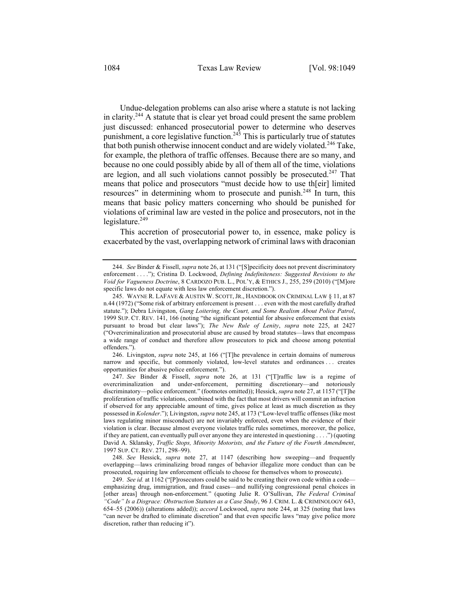Undue-delegation problems can also arise where a statute is not lacking in clarity.<sup>244</sup> A statute that is clear yet broad could present the same problem just discussed: enhanced prosecutorial power to determine who deserves punishment, a core legislative function.<sup>245</sup> This is particularly true of statutes that both punish otherwise innocent conduct and are widely violated.<sup>246</sup> Take, for example, the plethora of traffic offenses. Because there are so many, and because no one could possibly abide by all of them all of the time, violations are legion, and all such violations cannot possibly be prosecuted.<sup>247</sup> That means that police and prosecutors "must decide how to use th[eir] limited resources" in determining whom to prosecute and punish.<sup>248</sup> In turn, this means that basic policy matters concerning who should be punished for violations of criminal law are vested in the police and prosecutors, not in the legislature. $249$ 

This accretion of prosecutorial power to, in essence, make policy is exacerbated by the vast, overlapping network of criminal laws with draconian

246. Livingston, *supra* note 245, at 166 ("[T]he prevalence in certain domains of numerous narrow and specific, but commonly violated, low-level statutes and ordinances . . . creates opportunities for abusive police enforcement.").

247. *See* Binder & Fissell, *supra* note 26, at 131 ("[T]raffic law is a regime of overcriminalization and under-enforcement, permitting discretionary—and notoriously discriminatory—police enforcement." (footnotes omitted)); Hessick, *supra* note 27, at 1157 ("[T]he proliferation of traffic violations, combined with the fact that most drivers will commit an infraction if observed for any appreciable amount of time, gives police at least as much discretion as they possessed in *Kolender*."); Livingston, *supra* note 245, at 173 ("Low-level traffic offenses (like most laws regulating minor misconduct) are not invariably enforced, even when the evidence of their violation is clear. Because almost everyone violates traffic rules sometimes, moreover, the police, if they are patient, can eventually pull over anyone they are interested in questioning . . . .") (quoting David A. Sklansky, *Traffic Stops, Minority Motorists, and the Future of the Fourth Amendment*, 1997 SUP. CT. REV. 271, 298–99).

248. *See* Hessick, *supra* note 27, at 1147 (describing how sweeping—and frequently overlapping—laws criminalizing broad ranges of behavior illegalize more conduct than can be prosecuted, requiring law enforcement officials to choose for themselves whom to prosecute).

249. *See id.* at 1162 ("[P]rosecutors could be said to be creating their own code within a code emphasizing drug, immigration, and fraud cases—and nullifying congressional penal choices in [other areas] through non-enforcement." (quoting Julie R. O'Sullivan, *The Federal Criminal "Code" Is a Disgrace: Obstruction Statutes as a Case Study*, 96 J. CRIM. L. & CRIMINOLOGY 643, 654–55 (2006)) (alterations added)); *accord* Lockwood, *supra* note 244, at 325 (noting that laws "can never be drafted to eliminate discretion" and that even specific laws "may give police more discretion, rather than reducing it").

<sup>244.</sup> *See* Binder & Fissell, *supra* note 26, at 131 ("[S]pecificity does not prevent discriminatory enforcement . . . ."); Cristina D. Lockwood, *Defining Indefiniteness: Suggested Revisions to the Void for Vagueness Doctrine*, 8 CARDOZO PUB. L., POL'Y, & ETHICS J., 255, 259 (2010) ("[M]ore specific laws do not equate with less law enforcement discretion.").

<sup>245.</sup> WAYNE R. LAFAVE & AUSTIN W. SCOTT, JR., HANDBOOK ON CRIMINAL LAW § 11, at 87 n.44 (1972) ("Some risk of arbitrary enforcement is present . . . even with the most carefully drafted statute."); Debra Livingston, *Gang Loitering, the Court, and Some Realism About Police Patrol*, 1999 SUP. CT. REV. 141, 166 (noting "the significant potential for abusive enforcement that exists pursuant to broad but clear laws"); *The New Rule of Lenity*, *supra* note 225, at 2427 ("Overcriminalization and prosecutorial abuse are caused by broad statutes—laws that encompass a wide range of conduct and therefore allow prosecutors to pick and choose among potential offenders.").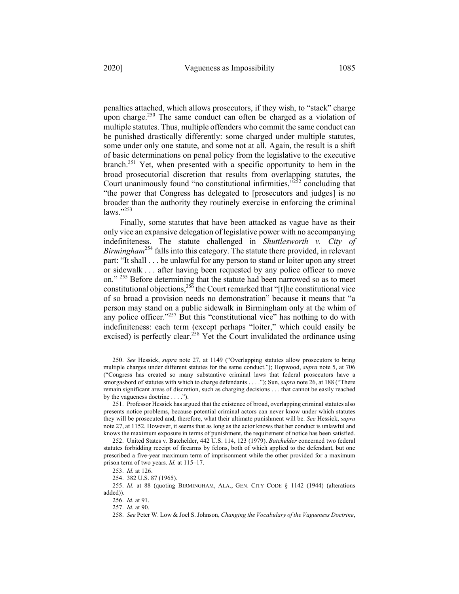penalties attached, which allows prosecutors, if they wish, to "stack" charge upon charge.<sup>250</sup> The same conduct can often be charged as a violation of multiple statutes. Thus, multiple offenders who commit the same conduct can be punished drastically differently: some charged under multiple statutes, some under only one statute, and some not at all. Again, the result is a shift of basic determinations on penal policy from the legislative to the executive branch.251 Yet, when presented with a specific opportunity to hem in the broad prosecutorial discretion that results from overlapping statutes, the Court unanimously found "no constitutional infirmities," $252$  concluding that "the power that Congress has delegated to [prosecutors and judges] is no broader than the authority they routinely exercise in enforcing the criminal  $\text{laws.}$ "253

Finally, some statutes that have been attacked as vague have as their only vice an expansive delegation of legislative power with no accompanying indefiniteness. The statute challenged in *Shuttlesworth v. City of Birmingham*<sup>254</sup> falls into this category. The statute there provided, in relevant part: "It shall . . . be unlawful for any person to stand or loiter upon any street or sidewalk . . . after having been requested by any police officer to move on." <sup>255</sup> Before determining that the statute had been narrowed so as to meet constitutional objections,  $256$  the Court remarked that "[t]he constitutional vice of so broad a provision needs no demonstration" because it means that "a person may stand on a public sidewalk in Birmingham only at the whim of any police officer." $257$  But this "constitutional vice" has nothing to do with indefiniteness: each term (except perhaps "loiter," which could easily be excised) is perfectly clear.<sup>258</sup> Yet the Court invalidated the ordinance using

<sup>250.</sup> *See* Hessick, *supra* note 27, at 1149 ("Overlapping statutes allow prosecutors to bring multiple charges under different statutes for the same conduct."); Hopwood, *supra* note 5, at 706 ("Congress has created so many substantive criminal laws that federal prosecutors have a smorgasbord of statutes with which to charge defendants . . . ."); Sun, *supra* note 26, at 188 ("There remain significant areas of discretion, such as charging decisions . . . that cannot be easily reached by the vagueness doctrine . . . .").

<sup>251.</sup> Professor Hessick has argued that the existence of broad, overlapping criminal statutes also presents notice problems, because potential criminal actors can never know under which statutes they will be prosecuted and, therefore, what their ultimate punishment will be. *See* Hessick, *supra* note 27, at 1152. However, it seems that as long as the actor knows that her conduct is unlawful and knows the maximum exposure in terms of punishment, the requirement of notice has been satisfied.

<sup>252.</sup> United States v. Batchelder, 442 U.S. 114, 123 (1979). *Batchelder* concerned two federal statutes forbidding receipt of firearms by felons, both of which applied to the defendant, but one prescribed a five-year maximum term of imprisonment while the other provided for a maximum prison term of two years. *Id.* at 115–17.

<sup>253.</sup> *Id.* at 126.

<sup>254.</sup> 382 U.S. 87 (1965).

<sup>255.</sup> *Id.* at 88 (quoting BIRMINGHAM, ALA., GEN. CITY CODE § 1142 (1944) (alterations added)).

<sup>256.</sup> *Id.* at 91.

<sup>257.</sup> *Id.* at 90.

<sup>258.</sup> *See* Peter W. Low & Joel S. Johnson, *Changing the Vocabulary of the Vagueness Doctrine*,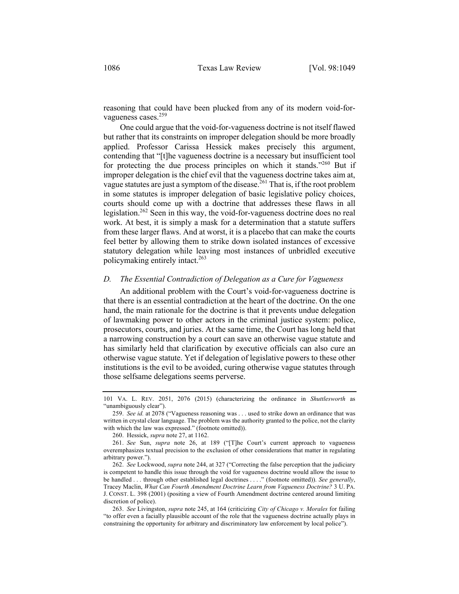reasoning that could have been plucked from any of its modern void-forvagueness cases.<sup>259</sup>

One could argue that the void-for-vagueness doctrine is not itself flawed but rather that its constraints on improper delegation should be more broadly applied. Professor Carissa Hessick makes precisely this argument, contending that "[t]he vagueness doctrine is a necessary but insufficient tool for protecting the due process principles on which it stands."<sup>260</sup> But if improper delegation is the chief evil that the vagueness doctrine takes aim at, vague statutes are just a symptom of the disease.<sup>261</sup> That is, if the root problem in some statutes is improper delegation of basic legislative policy choices, courts should come up with a doctrine that addresses these flaws in all legislation.262 Seen in this way, the void-for-vagueness doctrine does no real work. At best, it is simply a mask for a determination that a statute suffers from these larger flaws. And at worst, it is a placebo that can make the courts feel better by allowing them to strike down isolated instances of excessive statutory delegation while leaving most instances of unbridled executive policymaking entirely intact.263

#### *D. The Essential Contradiction of Delegation as a Cure for Vagueness*

An additional problem with the Court's void-for-vagueness doctrine is that there is an essential contradiction at the heart of the doctrine. On the one hand, the main rationale for the doctrine is that it prevents undue delegation of lawmaking power to other actors in the criminal justice system: police, prosecutors, courts, and juries. At the same time, the Court has long held that a narrowing construction by a court can save an otherwise vague statute and has similarly held that clarification by executive officials can also cure an otherwise vague statute. Yet if delegation of legislative powers to these other institutions is the evil to be avoided, curing otherwise vague statutes through those selfsame delegations seems perverse.

260. Hessick, *supra* note 27, at 1162.

<sup>101</sup> VA. L. REV. 2051, 2076 (2015) (characterizing the ordinance in *Shuttlesworth* as "unambiguously clear").

<sup>259.</sup> *See id.* at 2078 ("Vagueness reasoning was . . . used to strike down an ordinance that was written in crystal clear language. The problem was the authority granted to the police, not the clarity with which the law was expressed." (footnote omitted)).

<sup>261.</sup> *See* Sun, *supra* note 26, at 189 ("[T]he Court's current approach to vagueness overemphasizes textual precision to the exclusion of other considerations that matter in regulating arbitrary power.").

<sup>262.</sup> *See* Lockwood, *supra* note 244, at 327 ("Correcting the false perception that the judiciary is competent to handle this issue through the void for vagueness doctrine would allow the issue to be handled . . . through other established legal doctrines . . . ." (footnote omitted)). *See generally*, Tracey Maclin, *What Can Fourth Amendment Doctrine Learn from Vagueness Doctrine?* 3 U. PA. J. CONST. L. 398 (2001) (positing a view of Fourth Amendment doctrine centered around limiting discretion of police).

<sup>263.</sup> *See* Livingston, *supra* note 245, at 164 (criticizing *City of Chicago v. Morales* for failing "to offer even a facially plausible account of the role that the vagueness doctrine actually plays in constraining the opportunity for arbitrary and discriminatory law enforcement by local police").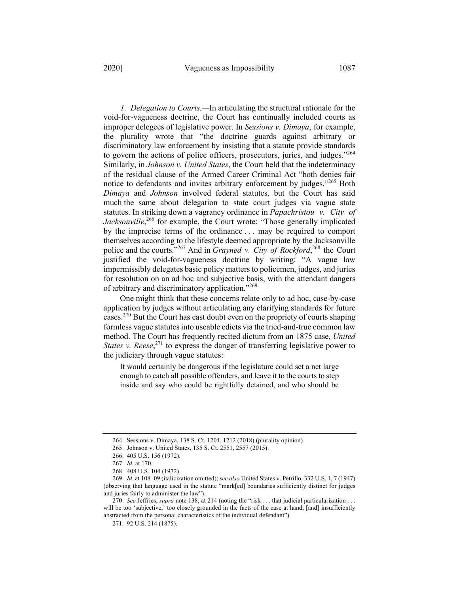*1. Delegation to Courts.—*In articulating the structural rationale for the void-for-vagueness doctrine, the Court has continually included courts as improper delegees of legislative power. In *Sessions v. Dimaya*, for example, the plurality wrote that "the doctrine guards against arbitrary or discriminatory law enforcement by insisting that a statute provide standards to govern the actions of police officers, prosecutors, juries, and judges."<sup>264</sup> Similarly, in *Johnson v. United States*, the Court held that the indeterminacy of the residual clause of the Armed Career Criminal Act "both denies fair notice to defendants and invites arbitrary enforcement by judges."<sup>265</sup> Both *Dimaya* and *Johnson* involved federal statutes, but the Court has said much the same about delegation to state court judges via vague state statutes. In striking down a vagrancy ordinance in *Papachristou v. City of* Jacksonville,<sup>266</sup> for example, the Court wrote: "Those generally implicated by the imprecise terms of the ordinance . . . may be required to comport themselves according to the lifestyle deemed appropriate by the Jacksonville police and the courts."267 And in *Grayned v. City of Rockford*, <sup>268</sup> the Court justified the void-for-vagueness doctrine by writing: "A vague law impermissibly delegates basic policy matters to policemen, judges, and juries for resolution on an ad hoc and subjective basis, with the attendant dangers of arbitrary and discriminatory application."<sup>269</sup>

One might think that these concerns relate only to ad hoc, case-by-case application by judges without articulating any clarifying standards for future cases.270 But the Court has cast doubt even on the propriety of courts shaping formless vague statutes into useable edicts via the tried-and-true common law method. The Court has frequently recited dictum from an 1875 case, *United States v. Reese*, <sup>271</sup> to express the danger of transferring legislative power to the judiciary through vague statutes:

It would certainly be dangerous if the legislature could set a net large enough to catch all possible offenders, and leave it to the courts to step inside and say who could be rightfully detained, and who should be

<sup>264.</sup> Sessions v. Dimaya, 138 S. Ct. 1204, 1212 (2018) (plurality opinion).

<sup>265.</sup> Johnson v. United States, 135 S. Ct. 2551, 2557 (2015).

<sup>266.</sup> 405 U.S. 156 (1972).

<sup>267.</sup> *Id.* at 170.

<sup>268.</sup> 408 U.S. 104 (1972).

<sup>269.</sup> *Id.* at 108–09 (italicization omitted); *see also* United States v. Petrillo, 332 U.S. 1, 7 (1947) (observing that language used in the statute "mark[ed] boundaries sufficiently distinct for judges and juries fairly to administer the law").

<sup>270.</sup> *See* Jeffries, *supra* note 138, at 214 (noting the "risk . . . that judicial particularization . . . will be too 'subjective,' too closely grounded in the facts of the case at hand, [and] insufficiently abstracted from the personal characteristics of the individual defendant").

<sup>271.</sup> 92 U.S. 214 (1875).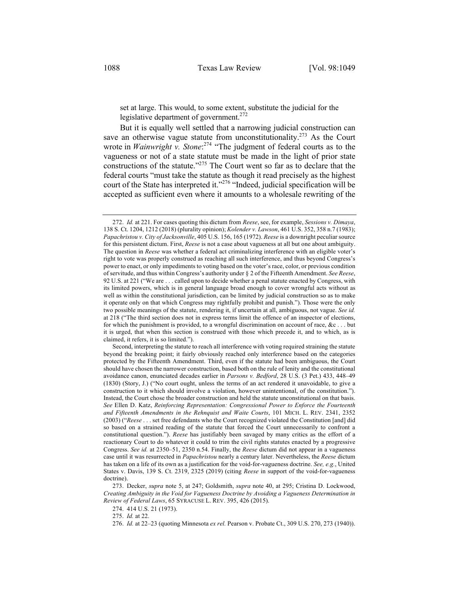set at large. This would, to some extent, substitute the judicial for the legislative department of government. $272$ 

But it is equally well settled that a narrowing judicial construction can save an otherwise vague statute from unconstitutionality.<sup>273</sup> As the Court wrote in *Wainwright v. Stone*: <sup>274</sup> "The judgment of federal courts as to the vagueness or not of a state statute must be made in the light of prior state constructions of the statute."275 The Court went so far as to declare that the federal courts "must take the statute as though it read precisely as the highest court of the State has interpreted it."<sup>276</sup> "Indeed, judicial specification will be accepted as sufficient even where it amounts to a wholesale rewriting of the

274. 414 U.S. 21 (1973).

275. *Id.* at 22.

<sup>272.</sup> *Id.* at 221. For cases quoting this dictum from *Reese*, see, for example, *Sessions v. Dimaya*, 138 S. Ct. 1204, 1212 (2018) (plurality opinion); *Kolender v. Lawson*, 461 U.S. 352, 358 n.7 (1983); *Papachristou v. City of Jacksonville*, 405 U.S. 156, 165 (1972). *Reese* is a downright peculiar source for this persistent dictum. First, *Reese* is not a case about vagueness at all but one about ambiguity. The question in *Reese* was whether a federal act criminalizing interference with an eligible voter's right to vote was properly construed as reaching all such interference, and thus beyond Congress's power to enact, or only impediments to voting based on the voter's race, color, or previous condition of servitude, and thus within Congress's authority under § 2 of the Fifteenth Amendment. *See Reese*, 92 U.S. at 221 ("We are . . . called upon to decide whether a penal statute enacted by Congress, with its limited powers, which is in general language broad enough to cover wrongful acts without as well as within the constitutional jurisdiction, can be limited by judicial construction so as to make it operate only on that which Congress may rightfully prohibit and punish."). Those were the only two possible meanings of the statute, rendering it, if uncertain at all, ambiguous, not vague. *See id.*  at 218 ("The third section does not in express terms limit the offence of an inspector of elections, for which the punishment is provided, to a wrongful discrimination on account of race,  $\&c \dots$  but it is urged, that when this section is construed with those which precede it, and to which, as is claimed, it refers, it is so limited.").

Second, interpreting the statute to reach all interference with voting required straining the statute beyond the breaking point; it fairly obviously reached only interference based on the categories protected by the Fifteenth Amendment. Third, even if the statute had been ambiguous, the Court should have chosen the narrower construction, based both on the rule of lenity and the constitutional avoidance canon, enunciated decades earlier in *Parsons v. Bedford*, 28 U.S. (3 Pet.) 433, 448–49 (1830) (Story, J.) ("No court ought, unless the terms of an act rendered it unavoidable, to give a construction to it which should involve a violation, however unintentional, of the constitution."). Instead, the Court chose the broader construction and held the statute unconstitutional on that basis. *See* Ellen D. Katz, *Reinforcing Representation: Congressional Power to Enforce the Fourteenth and Fifteenth Amendments in the Rehnquist and Waite Courts*, 101 MICH. L. REV. 2341, 2352 (2003) ("*Reese* . . . set free defendants who the Court recognized violated the Constitution [and] did so based on a strained reading of the statute that forced the Court unnecessarily to confront a constitutional question."). *Reese* has justifiably been savaged by many critics as the effort of a reactionary Court to do whatever it could to trim the civil rights statutes enacted by a progressive Congress. *See id.* at 2350–51, 2350 n.54. Finally, the *Reese* dictum did not appear in a vagueness case until it was resurrected in *Papachristou* nearly a century later. Nevertheless, the *Reese* dictum has taken on a life of its own as a justification for the void-for-vagueness doctrine. *See, e.g.*, United States v. Davis, 139 S. Ct. 2319, 2325 (2019) (citing *Reese* in support of the void-for-vagueness doctrine).

<sup>273.</sup> Decker, *supra* note 5, at 247; Goldsmith, *supra* note 40, at 295; Cristina D. Lockwood, *Creating Ambiguity in the Void for Vagueness Doctrine by Avoiding a Vagueness Determination in Review of Federal Laws*, 65 SYRACUSE L. REV. 395, 426 (2015).

<sup>276.</sup> *Id.* at 22–23 (quoting Minnesota *ex rel.* Pearson v. Probate Ct., 309 U.S. 270, 273 (1940)).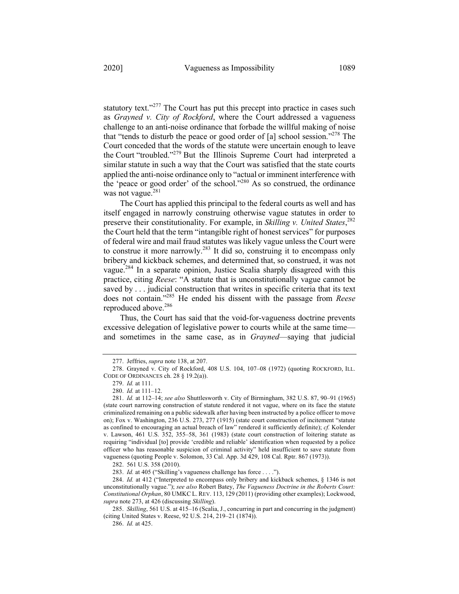statutory text."<sup>277</sup> The Court has put this precept into practice in cases such as *Grayned v. City of Rockford*, where the Court addressed a vagueness challenge to an anti-noise ordinance that forbade the willful making of noise that "tends to disturb the peace or good order of  $[a]$  school session."<sup>278</sup> The Court conceded that the words of the statute were uncertain enough to leave the Court "troubled."279 But the Illinois Supreme Court had interpreted a similar statute in such a way that the Court was satisfied that the state courts applied the anti-noise ordinance only to "actual or imminent interference with the 'peace or good order' of the school."280 As so construed, the ordinance was not vague. $281$ 

The Court has applied this principal to the federal courts as well and has itself engaged in narrowly construing otherwise vague statutes in order to preserve their constitutionality. For example, in *Skilling v. United States*, 282 the Court held that the term "intangible right of honest services" for purposes of federal wire and mail fraud statutes was likely vague unless the Court were to construe it more narrowly.<sup>283</sup> It did so, construing it to encompass only bribery and kickback schemes, and determined that, so construed, it was not vague.<sup>284</sup> In a separate opinion, Justice Scalia sharply disagreed with this practice, citing *Reese*: "A statute that is unconstitutionally vague cannot be saved by . . . judicial construction that writes in specific criteria that its text does not contain."285 He ended his dissent with the passage from *Reese* reproduced above.<sup>286</sup>

Thus, the Court has said that the void-for-vagueness doctrine prevents excessive delegation of legislative power to courts while at the same time and sometimes in the same case, as in *Grayned*—saying that judicial

<sup>277.</sup> Jeffries, *supra* note 138, at 207.

<sup>278.</sup> Grayned v. City of Rockford, 408 U.S. 104, 107–08 (1972) (quoting ROCKFORD, ILL. CODE OF ORDINANCES ch. 28 § 19.2(a)).

<sup>279.</sup> *Id.* at 111.

<sup>280.</sup> *Id.* at 111–12.

<sup>281.</sup> *Id.* at 112–14; *see also* Shuttlesworth v. City of Birmingham, 382 U.S. 87, 90–91 (1965) (state court narrowing construction of statute rendered it not vague, where on its face the statute criminalized remaining on a public sidewalk after having been instructed by a police officer to move on); Fox v. Washington, 236 U.S. 273, 277 (1915) (state court construction of incitement "statute as confined to encouraging an actual breach of law" rendered it sufficiently definite); *cf.* Kolender v. Lawson, 461 U.S. 352, 355–58, 361 (1983) (state court construction of loitering statute as requiring "individual [to] provide 'credible and reliable' identification when requested by a police officer who has reasonable suspicion of criminal activity" held insufficient to save statute from vagueness (quoting People v. Solomon, 33 Cal. App. 3d 429, 108 Cal. Rptr. 867 (1973)).

<sup>282.</sup> 561 U.S. 358 (2010).

<sup>283.</sup> *Id.* at 405 ("Skilling's vagueness challenge has force . . . .").

<sup>284.</sup> *Id.* at 412 ("Interpreted to encompass only bribery and kickback schemes, § 1346 is not unconstitutionally vague."); *see also* Robert Batey, *The Vagueness Doctrine in the Roberts Court: Constitutional Orphan*, 80 UMKC L. REV. 113, 129 (2011) (providing other examples); Lockwood, *supra* note 273, at 426 (discussing *Skilling*).

<sup>285.</sup> *Skilling*, 561 U.S. at 415–16 (Scalia, J., concurring in part and concurring in the judgment) (citing United States v. Reese, 92 U.S. 214, 219–21 (1874)).

<sup>286.</sup> *Id.* at 425.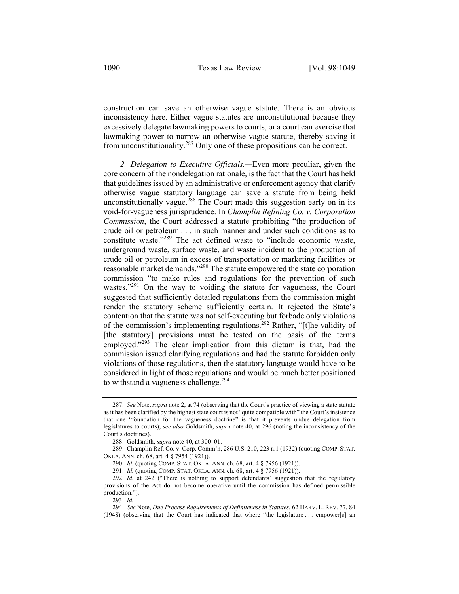construction can save an otherwise vague statute. There is an obvious inconsistency here. Either vague statutes are unconstitutional because they excessively delegate lawmaking powers to courts, or a court can exercise that lawmaking power to narrow an otherwise vague statute, thereby saving it from unconstitutionality.<sup>287</sup> Only one of these propositions can be correct.

*2. Delegation to Executive Officials.—*Even more peculiar, given the core concern of the nondelegation rationale, is the fact that the Court has held that guidelines issued by an administrative or enforcement agency that clarify otherwise vague statutory language can save a statute from being held unconstitutionally vague.<sup>288</sup> The Court made this suggestion early on in its void-for-vagueness jurisprudence. In *Champlin Refining Co. v. Corporation Commission*, the Court addressed a statute prohibiting "the production of crude oil or petroleum . . . in such manner and under such conditions as to constitute waste."<sup>289</sup> The act defined waste to "include economic waste, underground waste, surface waste, and waste incident to the production of crude oil or petroleum in excess of transportation or marketing facilities or reasonable market demands."290 The statute empowered the state corporation commission "to make rules and regulations for the prevention of such wastes. $1291}$  On the way to voiding the statute for vagueness, the Court suggested that sufficiently detailed regulations from the commission might render the statutory scheme sufficiently certain. It rejected the State's contention that the statute was not self-executing but forbade only violations of the commission's implementing regulations.<sup>292</sup> Rather, "[t]he validity of [the statutory] provisions must be tested on the basis of the terms employed."<sup>293</sup> The clear implication from this dictum is that, had the commission issued clarifying regulations and had the statute forbidden only violations of those regulations, then the statutory language would have to be considered in light of those regulations and would be much better positioned to withstand a vagueness challenge. $^{294}$ 

<sup>287.</sup> *See* Note, *supra* note 2, at 74 (observing that the Court's practice of viewing a state statute as it has been clarified by the highest state court is not "quite compatible with" the Court's insistence that one "foundation for the vagueness doctrine" is that it prevents undue delegation from legislatures to courts); *see also* Goldsmith, *supra* note 40, at 296 (noting the inconsistency of the Court's doctrines).

<sup>288.</sup> Goldsmith, *supra* note 40, at 300–01.

<sup>289.</sup> Champlin Ref. Co. v. Corp. Comm'n, 286 U.S. 210, 223 n.1 (1932) (quoting COMP. STAT. OKLA. ANN. ch. 68, art. 4 § 7954 (1921)).

<sup>290.</sup> *Id.* (quoting COMP. STAT. OKLA. ANN. ch. 68, art. 4 § 7956 (1921)).

<sup>291.</sup> *Id.* (quoting COMP. STAT. OKLA. ANN. ch. 68, art. 4 § 7956 (1921)).

<sup>292.</sup> *Id.* at 242 ("There is nothing to support defendants' suggestion that the regulatory provisions of the Act do not become operative until the commission has defined permissible production.").

<sup>293.</sup> *Id.*

<sup>294.</sup> *See* Note, *Due Process Requirements of Definiteness in Statutes*, 62 HARV. L. REV. 77, 84 (1948) (observing that the Court has indicated that where "the legislature . . . empower[s] an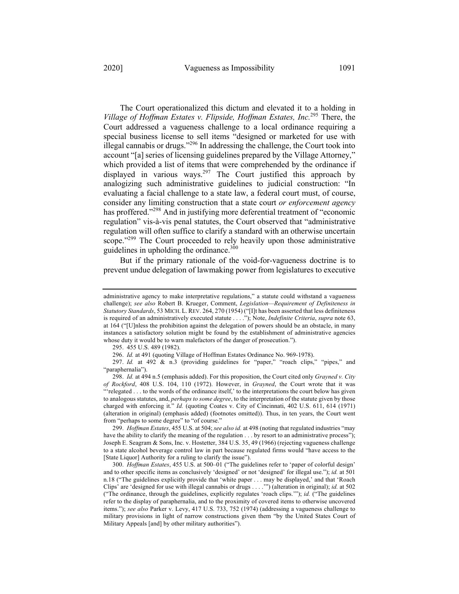The Court operationalized this dictum and elevated it to a holding in *Village of Hoffman Estates v. Flipside, Hoffman Estates, Inc.*<sup>295</sup> There, the Court addressed a vagueness challenge to a local ordinance requiring a special business license to sell items "designed or marketed for use with illegal cannabis or drugs."<sup>296</sup> In addressing the challenge, the Court took into account "[a] series of licensing guidelines prepared by the Village Attorney," which provided a list of items that were comprehended by the ordinance if displayed in various ways.<sup>297</sup> The Court justified this approach by analogizing such administrative guidelines to judicial construction: "In evaluating a facial challenge to a state law, a federal court must, of course, consider any limiting construction that a state court *or enforcement agency* has proffered."<sup>298</sup> And in justifying more deferential treatment of "economic regulation" vis-à-vis penal statutes, the Court observed that "administrative regulation will often suffice to clarify a standard with an otherwise uncertain scope."<sup>299</sup> The Court proceeded to rely heavily upon those administrative guidelines in upholding the ordinance. $300$ 

But if the primary rationale of the void-for-vagueness doctrine is to prevent undue delegation of lawmaking power from legislatures to executive

299. *Hoffman Estates*, 455 U.S. at 504; *see also id.* at 498 (noting that regulated industries "may have the ability to clarify the meaning of the regulation  $\dots$  by resort to an administrative process"); Joseph E. Seagram & Sons, Inc. v. Hostetter, 384 U.S. 35, 49 (1966) (rejecting vagueness challenge to a state alcohol beverage control law in part because regulated firms would "have access to the [State Liquor] Authority for a ruling to clarify the issue").

300. *Hoffman Estates*, 455 U.S. at 500–01 ("The guidelines refer to 'paper of colorful design' and to other specific items as conclusively 'designed' or not 'designed' for illegal use."); *id.* at 501 n.18 ("The guidelines explicitly provide that 'white paper . . . may be displayed,' and that 'Roach Clips' are 'designed for use with illegal cannabis or drugs . . . .'") (alteration in original); *id.* at 502 ("The ordinance, through the guidelines, explicitly regulates 'roach clips.'"); *id.* ("The guidelines refer to the display of paraphernalia, and to the proximity of covered items to otherwise uncovered items."); *see also* Parker v. Levy, 417 U.S. 733, 752 (1974) (addressing a vagueness challenge to military provisions in light of narrow constructions given them "by the United States Court of Military Appeals [and] by other military authorities").

administrative agency to make interpretative regulations," a statute could withstand a vagueness challenge); *see also* Robert B. Krueger, Comment, *Legislation—Requirement of Definiteness in Statutory Standards*, 53 MICH. L. REV. 264, 270 (1954) ("[I]t has been asserted that less definiteness is required of an administratively executed statute . . . ."); Note, *Indefinite Criteria*, *supra* note 63, at 164 ("[U]nless the prohibition against the delegation of powers should be an obstacle, in many instances a satisfactory solution might be found by the establishment of administrative agencies whose duty it would be to warn malefactors of the danger of prosecution.").

<sup>295.</sup> 455 U.S. 489 (1982).

<sup>296.</sup> *Id.* at 491 (quoting Village of Hoffman Estates Ordinance No. 969-1978).

<sup>297.</sup> Id. at 492 & n.3 (providing guidelines for "paper," "roach clips," "pipes," and "paraphernalia").

<sup>298.</sup> *Id.* at 494 n.5 (emphasis added). For this proposition, the Court cited only *Grayned v. City of Rockford*, 408 U.S. 104, 110 (1972). However, in *Grayned*, the Court wrote that it was "'relegated . . . to the words of the ordinance itself,' to the interpretations the court below has given to analogous statutes, and, *perhaps to some degree*, to the interpretation of the statute given by those charged with enforcing it." *Id.* (quoting Coates v. City of Cincinnati, 402 U.S. 611, 614 (1971) (alteration in original) (emphasis added) (footnotes omitted)). Thus, in ten years, the Court went from "perhaps to some degree" to "of course."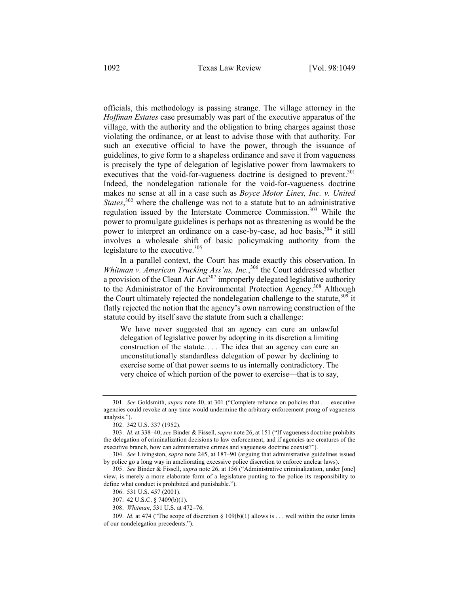officials, this methodology is passing strange. The village attorney in the *Hoffman Estates* case presumably was part of the executive apparatus of the village, with the authority and the obligation to bring charges against those violating the ordinance, or at least to advise those with that authority. For such an executive official to have the power, through the issuance of guidelines, to give form to a shapeless ordinance and save it from vagueness is precisely the type of delegation of legislative power from lawmakers to executives that the void-for-vagueness doctrine is designed to prevent.<sup>301</sup> Indeed, the nondelegation rationale for the void-for-vagueness doctrine makes no sense at all in a case such as *Boyce Motor Lines, Inc. v. United States*, <sup>302</sup> where the challenge was not to a statute but to an administrative regulation issued by the Interstate Commerce Commission.<sup>303</sup> While the power to promulgate guidelines is perhaps not as threatening as would be the power to interpret an ordinance on a case-by-case, ad hoc basis,<sup>304</sup> it still involves a wholesale shift of basic policymaking authority from the legislature to the executive.<sup>305</sup>

In a parallel context, the Court has made exactly this observation. In *Whitman v. American Trucking Ass'ns, Inc.*, <sup>306</sup> the Court addressed whether a provision of the Clean Air  $Act^{307}$  improperly delegated legislative authority to the Administrator of the Environmental Protection Agency.<sup>308</sup> Although the Court ultimately rejected the nondelegation challenge to the statute,  $309$  it flatly rejected the notion that the agency's own narrowing construction of the statute could by itself save the statute from such a challenge:

We have never suggested that an agency can cure an unlawful delegation of legislative power by adopting in its discretion a limiting construction of the statute. . . . The idea that an agency can cure an unconstitutionally standardless delegation of power by declining to exercise some of that power seems to us internally contradictory. The very choice of which portion of the power to exercise—that is to say,

<sup>301.</sup> *See* Goldsmith, *supra* note 40, at 301 ("Complete reliance on policies that . . . executive agencies could revoke at any time would undermine the arbitrary enforcement prong of vagueness analysis.").

<sup>302.</sup> 342 U.S. 337 (1952).

<sup>303.</sup> *Id.* at 338–40; *see* Binder & Fissell, *supra* note 26, at 151 ("If vagueness doctrine prohibits the delegation of criminalization decisions to law enforcement, and if agencies are creatures of the executive branch, how can administrative crimes and vagueness doctrine coexist?").

<sup>304.</sup> *See* Livingston, *supra* note 245, at 187–90 (arguing that administrative guidelines issued by police go a long way in ameliorating excessive police discretion to enforce unclear laws).

<sup>305.</sup> *See* Binder & Fissell, *supra* note 26, at 156 ("Administrative criminalization, under [one] view, is merely a more elaborate form of a legislature punting to the police its responsibility to define what conduct is prohibited and punishable.").

<sup>306.</sup> 531 U.S. 457 (2001).

<sup>307.</sup> 42 U.S.C. § 7409(b)(1).

<sup>308.</sup> *Whitman*, 531 U.S. at 472–76.

<sup>309.</sup> *Id.* at 474 ("The scope of discretion § 109(b)(1) allows is . . . well within the outer limits of our nondelegation precedents.").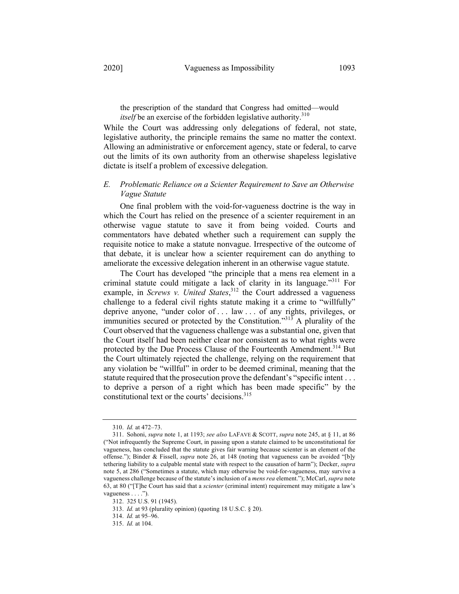the prescription of the standard that Congress had omitted—would *itself* be an exercise of the forbidden legislative authority.<sup>310</sup>

While the Court was addressing only delegations of federal, not state, legislative authority, the principle remains the same no matter the context. Allowing an administrative or enforcement agency, state or federal, to carve out the limits of its own authority from an otherwise shapeless legislative dictate is itself a problem of excessive delegation.

## *E. Problematic Reliance on a Scienter Requirement to Save an Otherwise Vague Statute*

One final problem with the void-for-vagueness doctrine is the way in which the Court has relied on the presence of a scienter requirement in an otherwise vague statute to save it from being voided. Courts and commentators have debated whether such a requirement can supply the requisite notice to make a statute nonvague. Irrespective of the outcome of that debate, it is unclear how a scienter requirement can do anything to ameliorate the excessive delegation inherent in an otherwise vague statute.

The Court has developed "the principle that a mens rea element in a criminal statute could mitigate a lack of clarity in its language."<sup>311</sup> For example, in *Screws v. United States*,<sup>312</sup> the Court addressed a vagueness challenge to a federal civil rights statute making it a crime to "willfully" deprive anyone, "under color of . . . law . . . of any rights, privileges, or immunities secured or protected by the Constitution."<sup>313</sup> A plurality of the Court observed that the vagueness challenge was a substantial one, given that the Court itself had been neither clear nor consistent as to what rights were protected by the Due Process Clause of the Fourteenth Amendment.<sup>314</sup> But the Court ultimately rejected the challenge, relying on the requirement that any violation be "willful" in order to be deemed criminal, meaning that the statute required that the prosecution prove the defendant's "specific intent . . . to deprive a person of a right which has been made specific" by the constitutional text or the courts' decisions.<sup>315</sup>

314. *Id.* at 95–96.

<sup>310.</sup> *Id.* at 472–73.

<sup>311.</sup> Sohoni, *supra* note 1, at 1193; *see also* LAFAVE & SCOTT, *supra* note 245, at § 11, at 86 ("Not infrequently the Supreme Court, in passing upon a statute claimed to be unconstitutional for vagueness, has concluded that the statute gives fair warning because scienter is an element of the offense."); Binder & Fissell, *supra* note 26, at 148 (noting that vagueness can be avoided "[b]y tethering liability to a culpable mental state with respect to the causation of harm"); Decker, *supra*  note 5, at 286 ("Sometimes a statute, which may otherwise be void-for-vagueness, may survive a vagueness challenge because of the statute's inclusion of a *mens rea* element."); McCarl, *supra* note 63, at 80 ("[T]he Court has said that a *scienter* (criminal intent) requirement may mitigate a law's vagueness . . . .").

<sup>312.</sup> 325 U.S. 91 (1945).

<sup>313.</sup> *Id.* at 93 (plurality opinion) (quoting 18 U.S.C. § 20).

<sup>315.</sup> *Id.* at 104.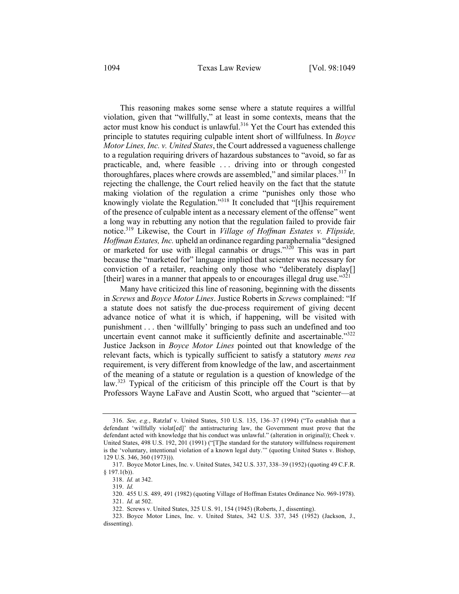This reasoning makes some sense where a statute requires a willful violation, given that "willfully," at least in some contexts, means that the actor must know his conduct is unlawful.<sup>316</sup> Yet the Court has extended this principle to statutes requiring culpable intent short of willfulness. In *Boyce Motor Lines, Inc. v. United States*, the Court addressed a vagueness challenge to a regulation requiring drivers of hazardous substances to "avoid, so far as practicable, and, where feasible . . . driving into or through congested thoroughfares, places where crowds are assembled," and similar places.<sup>317</sup> In rejecting the challenge, the Court relied heavily on the fact that the statute making violation of the regulation a crime "punishes only those who knowingly violate the Regulation."<sup>318</sup> It concluded that "[t]his requirement of the presence of culpable intent as a necessary element of the offense" went a long way in rebutting any notion that the regulation failed to provide fair notice.319 Likewise, the Court in *Village of Hoffman Estates v. Flipside, Hoffman Estates, Inc.* upheld an ordinance regarding paraphernalia "designed or marketed for use with illegal cannabis or drugs."<sup>320</sup> This was in part because the "marketed for" language implied that scienter was necessary for conviction of a retailer, reaching only those who "deliberately display[] [their] wares in a manner that appeals to or encourages illegal drug use." $321$ 

Many have criticized this line of reasoning, beginning with the dissents in *Screws* and *Boyce Motor Lines*. Justice Roberts in *Screws* complained: "If a statute does not satisfy the due-process requirement of giving decent advance notice of what it is which, if happening, will be visited with punishment . . . then 'willfully' bringing to pass such an undefined and too uncertain event cannot make it sufficiently definite and ascertainable."<sup>322</sup> Justice Jackson in *Boyce Motor Lines* pointed out that knowledge of the relevant facts, which is typically sufficient to satisfy a statutory *mens rea* requirement, is very different from knowledge of the law, and ascertainment of the meaning of a statute or regulation is a question of knowledge of the law.<sup>323</sup> Typical of the criticism of this principle off the Court is that by Professors Wayne LaFave and Austin Scott, who argued that "scienter—at

<sup>316.</sup> *See, e.g.*, Ratzlaf v. United States, 510 U.S. 135, 136–37 (1994) ("To establish that a defendant 'willfully violat[ed]' the antistructuring law, the Government must prove that the defendant acted with knowledge that his conduct was unlawful." (alteration in original)); Cheek v. United States, 498 U.S. 192, 201 (1991) ("[T]he standard for the statutory willfulness requirement is the 'voluntary, intentional violation of a known legal duty.'" (quoting United States v. Bishop, 129 U.S. 346, 360 (1973))).

<sup>317.</sup> Boyce Motor Lines, Inc. v. United States, 342 U.S. 337, 338–39 (1952) (quoting 49 C.F.R.  $§$  197.1(b)).

<sup>318.</sup> *Id.* at 342.

<sup>319.</sup> *Id.*

<sup>320.</sup> 455 U.S. 489, 491 (1982) (quoting Village of Hoffman Estates Ordinance No. 969-1978).

<sup>321.</sup> *Id.* at 502.

<sup>322.</sup> Screws v. United States, 325 U.S. 91, 154 (1945) (Roberts, J., dissenting).

<sup>323.</sup> Boyce Motor Lines, Inc. v. United States, 342 U.S. 337, 345 (1952) (Jackson, J., dissenting).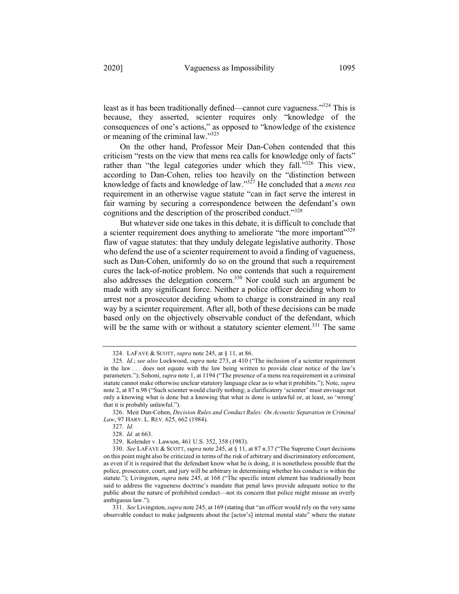least as it has been traditionally defined—cannot cure vagueness."324 This is because, they asserted, scienter requires only "knowledge of the consequences of one's actions," as opposed to "knowledge of the existence or meaning of the criminal law."325

On the other hand, Professor Meir Dan-Cohen contended that this criticism "rests on the view that mens rea calls for knowledge only of facts" rather than "the legal categories under which they fall."<sup>326</sup> This view, according to Dan-Cohen, relies too heavily on the "distinction between knowledge of facts and knowledge of law."327 He concluded that a *mens rea* requirement in an otherwise vague statute "can in fact serve the interest in fair warning by securing a correspondence between the defendant's own cognitions and the description of the proscribed conduct."<sup>328</sup>

But whatever side one takes in this debate, it is difficult to conclude that a scienter requirement does anything to ameliorate "the more important"<sup>329</sup> flaw of vague statutes: that they unduly delegate legislative authority. Those who defend the use of a scienter requirement to avoid a finding of vagueness, such as Dan-Cohen, uniformly do so on the ground that such a requirement cures the lack-of-notice problem. No one contends that such a requirement also addresses the delegation concern.<sup>330</sup> Nor could such an argument be made with any significant force. Neither a police officer deciding whom to arrest nor a prosecutor deciding whom to charge is constrained in any real way by a scienter requirement. After all, both of these decisions can be made based only on the objectively observable conduct of the defendant, which will be the same with or without a statutory scienter element.<sup>331</sup> The same

331. *See* Livingston, *supra* note 245, at 169 (stating that "an officer would rely on the very same observable conduct to make judgments about the [actor's] internal mental state" where the statute

<sup>324.</sup> LAFAVE & SCOTT, *supra* note 245, at § 11, at 86.

<sup>325.</sup> *Id.*; *see also* Lockwood, *supra* note 273, at 410 ("The inclusion of a scienter requirement in the law . . . does not equate with the law being written to provide clear notice of the law's parameters."); Sohoni, *supra* note 1, at 1194 ("The presence of a mens rea requirement in a criminal statute cannot make otherwise unclear statutory language clear as to what it prohibits."); Note, *supra* note 2, at 87 n.98 ("Such scienter would clarify nothing; a clarificatory 'scienter' must envisage not only a knowing what is done but a knowing that what is done is unlawful or, at least, so 'wrong' that it is probably unlawful.").

<sup>326.</sup> Meir Dan-Cohen, *Decision Rules and Conduct Rules: On Acoustic Separation in Criminal Law*, 97 HARV. L. REV. 625, 662 (1984).

<sup>327.</sup> *Id.*

<sup>328.</sup> *Id.* at 663.

<sup>329.</sup> Kolender v. Lawson, 461 U.S. 352, 358 (1983).

<sup>330.</sup> *See* LAFAVE & SCOTT, *supra* note 245, at § 11, at 87 n.37 ("The Supreme Court decisions on this point might also be criticized in terms of the risk of arbitrary and discriminatory enforcement, as even if it is required that the defendant know what he is doing, it is nonetheless possible that the police, prosecutor, court, and jury will be arbitrary in determining whether his conduct is within the statute."); Livingston, *supra* note 245, at 168 ("The specific intent element has traditionally been said to address the vagueness doctrine's mandate that penal laws provide adequate notice to the public about the nature of prohibited conduct—not its concern that police might misuse an overly ambiguous law.").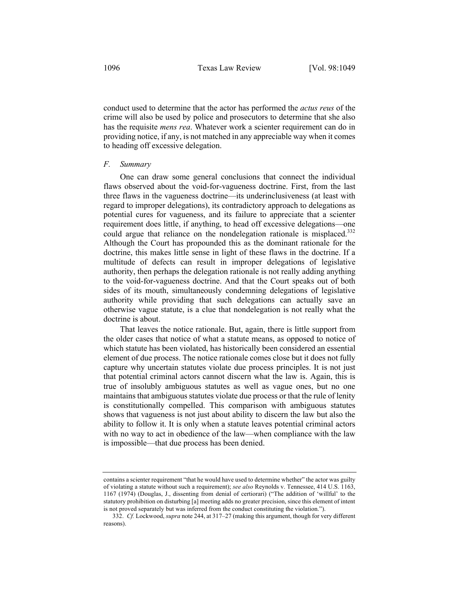conduct used to determine that the actor has performed the *actus reus* of the crime will also be used by police and prosecutors to determine that she also has the requisite *mens rea*. Whatever work a scienter requirement can do in providing notice, if any, is not matched in any appreciable way when it comes to heading off excessive delegation.

### *F. Summary*

One can draw some general conclusions that connect the individual flaws observed about the void-for-vagueness doctrine. First, from the last three flaws in the vagueness doctrine—its underinclusiveness (at least with regard to improper delegations), its contradictory approach to delegations as potential cures for vagueness, and its failure to appreciate that a scienter requirement does little, if anything, to head off excessive delegations—one could argue that reliance on the nondelegation rationale is misplaced.<sup>332</sup> Although the Court has propounded this as the dominant rationale for the doctrine, this makes little sense in light of these flaws in the doctrine. If a multitude of defects can result in improper delegations of legislative authority, then perhaps the delegation rationale is not really adding anything to the void-for-vagueness doctrine. And that the Court speaks out of both sides of its mouth, simultaneously condemning delegations of legislative authority while providing that such delegations can actually save an otherwise vague statute, is a clue that nondelegation is not really what the doctrine is about.

That leaves the notice rationale. But, again, there is little support from the older cases that notice of what a statute means, as opposed to notice of which statute has been violated, has historically been considered an essential element of due process. The notice rationale comes close but it does not fully capture why uncertain statutes violate due process principles. It is not just that potential criminal actors cannot discern what the law is. Again, this is true of insolubly ambiguous statutes as well as vague ones, but no one maintains that ambiguous statutes violate due process or that the rule of lenity is constitutionally compelled. This comparison with ambiguous statutes shows that vagueness is not just about ability to discern the law but also the ability to follow it. It is only when a statute leaves potential criminal actors with no way to act in obedience of the law—when compliance with the law is impossible—that due process has been denied.

contains a scienter requirement "that he would have used to determine whether" the actor was guilty of violating a statute without such a requirement); *see also* Reynolds v. Tennessee, 414 U.S. 1163, 1167 (1974) (Douglas, J., dissenting from denial of certiorari) ("The addition of 'willful' to the statutory prohibition on disturbing [a] meeting adds no greater precision, since this element of intent is not proved separately but was inferred from the conduct constituting the violation.").

<sup>332.</sup> *Cf.* Lockwood, *supra* note 244, at 317–27 (making this argument, though for very different reasons).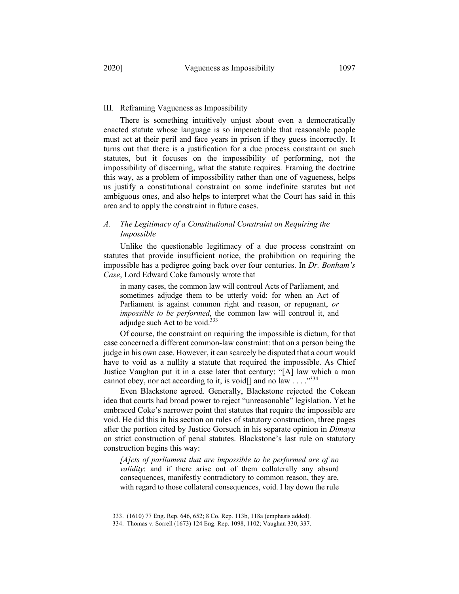There is something intuitively unjust about even a democratically enacted statute whose language is so impenetrable that reasonable people must act at their peril and face years in prison if they guess incorrectly. It turns out that there is a justification for a due process constraint on such statutes, but it focuses on the impossibility of performing, not the impossibility of discerning, what the statute requires. Framing the doctrine this way, as a problem of impossibility rather than one of vagueness, helps us justify a constitutional constraint on some indefinite statutes but not ambiguous ones, and also helps to interpret what the Court has said in this area and to apply the constraint in future cases.

## *A. The Legitimacy of a Constitutional Constraint on Requiring the Impossible*

Unlike the questionable legitimacy of a due process constraint on statutes that provide insufficient notice, the prohibition on requiring the impossible has a pedigree going back over four centuries. In *Dr. Bonham's Case*, Lord Edward Coke famously wrote that

in many cases, the common law will controul Acts of Parliament, and sometimes adjudge them to be utterly void: for when an Act of Parliament is against common right and reason, or repugnant, *or impossible to be performed*, the common law will controul it, and adjudge such Act to be void. $333$ 

Of course, the constraint on requiring the impossible is dictum, for that case concerned a different common-law constraint: that on a person being the judge in his own case. However, it can scarcely be disputed that a court would have to void as a nullity a statute that required the impossible. As Chief Justice Vaughan put it in a case later that century: "[A] law which a man cannot obey, nor act according to it, is void[] and no law  $\dots$ ."<sup>334</sup>

Even Blackstone agreed. Generally, Blackstone rejected the Cokean idea that courts had broad power to reject "unreasonable" legislation. Yet he embraced Coke's narrower point that statutes that require the impossible are void. He did this in his section on rules of statutory construction, three pages after the portion cited by Justice Gorsuch in his separate opinion in *Dimaya*  on strict construction of penal statutes. Blackstone's last rule on statutory construction begins this way:

*[A]cts of parliament that are impossible to be performed are of no validity*: and if there arise out of them collaterally any absurd consequences, manifestly contradictory to common reason, they are, with regard to those collateral consequences, void. I lay down the rule

<sup>333.</sup> (1610) 77 Eng. Rep. 646, 652; 8 Co. Rep. 113b, 118a (emphasis added).

<sup>334.</sup> Thomas v. Sorrell (1673) 124 Eng. Rep. 1098, 1102; Vaughan 330, 337.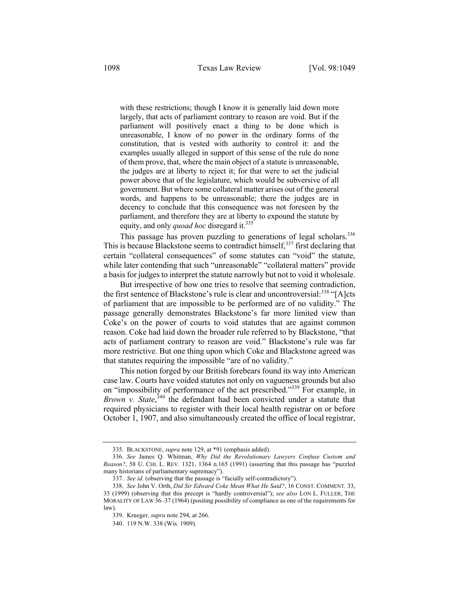with these restrictions; though I know it is generally laid down more largely, that acts of parliament contrary to reason are void. But if the parliament will positively enact a thing to be done which is unreasonable, I know of no power in the ordinary forms of the constitution, that is vested with authority to control it: and the examples usually alleged in support of this sense of the rule do none of them prove, that, where the main object of a statute is unreasonable, the judges are at liberty to reject it; for that were to set the judicial power above that of the legislature, which would be subversive of all government. But where some collateral matter arises out of the general words, and happens to be unreasonable; there the judges are in decency to conclude that this consequence was not foreseen by the parliament, and therefore they are at liberty to expound the statute by equity, and only *quoad hoc* disregard it.<sup>335</sup>

This passage has proven puzzling to generations of legal scholars.<sup>336</sup> This is because Blackstone seems to contradict himself,<sup>337</sup> first declaring that certain "collateral consequences" of some statutes can "void" the statute, while later contending that such "unreasonable" "collateral matters" provide a basis for judges to interpret the statute narrowly but not to void it wholesale.

But irrespective of how one tries to resolve that seeming contradiction, the first sentence of Blackstone's rule is clear and uncontroversial:  $338$  "[A]cts of parliament that are impossible to be performed are of no validity." The passage generally demonstrates Blackstone's far more limited view than Coke's on the power of courts to void statutes that are against common reason. Coke had laid down the broader rule referred to by Blackstone, "that acts of parliament contrary to reason are void." Blackstone's rule was far more restrictive. But one thing upon which Coke and Blackstone agreed was that statutes requiring the impossible "are of no validity."

This notion forged by our British forebears found its way into American case law. Courts have voided statutes not only on vagueness grounds but also on "impossibility of performance of the act prescribed."339 For example, in Brown v. State,<sup>340</sup> the defendant had been convicted under a statute that required physicians to register with their local health registrar on or before October 1, 1907, and also simultaneously created the office of local registrar,

340. 119 N.W. 338 (Wis. 1909).

<sup>335.</sup> BLACKSTONE, *supra* note 129, at \*91 (emphasis added).

<sup>336.</sup> *See* James Q. Whitman, *Why Did the Revolutionary Lawyers Confuse Custom and Reason?*, 58 U. CHI. L. REV. 1321, 1364 n.165 (1991) (asserting that this passage has "puzzled many historians of parliamentary supremacy").

<sup>337.</sup> *See id.* (observing that the passage is "facially self-contradictory").

<sup>338.</sup> *See* John V. Orth, *Did Sir Edward Coke Mean What He Said?*, 16 CONST. COMMENT. 33, 35 (1999) (observing that this precept is "hardly controversial"); *see also* LON L. FULLER, THE MORALITY OF LAW 36–37 (1964) (positing possibility of compliance as one of the requirements for law).

<sup>339.</sup> Krueger, *supra* note 294, at 266.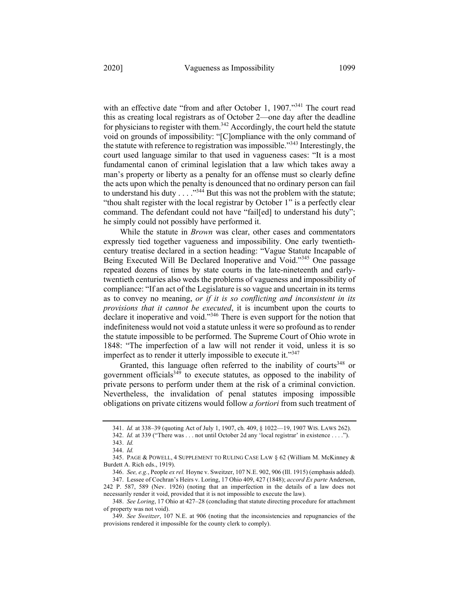with an effective date "from and after October 1, 1907."<sup>341</sup> The court read this as creating local registrars as of October 2—one day after the deadline for physicians to register with them.<sup>342</sup> Accordingly, the court held the statute void on grounds of impossibility: "[C]ompliance with the only command of the statute with reference to registration was impossible."<sup>343</sup> Interestingly, the court used language similar to that used in vagueness cases: "It is a most fundamental canon of criminal legislation that a law which takes away a man's property or liberty as a penalty for an offense must so clearly define the acts upon which the penalty is denounced that no ordinary person can fail to understand his duty  $\dots$  ."<sup>344</sup> But this was not the problem with the statute; "thou shalt register with the local registrar by October 1" is a perfectly clear command. The defendant could not have "fail[ed] to understand his duty"; he simply could not possibly have performed it.

While the statute in *Brown* was clear, other cases and commentators expressly tied together vagueness and impossibility. One early twentiethcentury treatise declared in a section heading: "Vague Statute Incapable of Being Executed Will Be Declared Inoperative and Void."<sup>345</sup> One passage repeated dozens of times by state courts in the late-nineteenth and earlytwentieth centuries also weds the problems of vagueness and impossibility of compliance: "If an act of the Legislature is so vague and uncertain in its terms as to convey no meaning, *or if it is so conflicting and inconsistent in its provisions that it cannot be executed*, it is incumbent upon the courts to declare it inoperative and void."<sup>346</sup> There is even support for the notion that indefiniteness would not void a statute unless it were so profound as to render the statute impossible to be performed. The Supreme Court of Ohio wrote in 1848: "The imperfection of a law will not render it void, unless it is so imperfect as to render it utterly impossible to execute it. $"347"$ 

Granted, this language often referred to the inability of courts<sup>348</sup> or government officials $349$  to execute statutes, as opposed to the inability of private persons to perform under them at the risk of a criminal conviction. Nevertheless, the invalidation of penal statutes imposing impossible obligations on private citizens would follow *a fortiori* from such treatment of

<sup>341.</sup> *Id.* at 338–39 (quoting Act of July 1, 1907, ch. 409, § 1022—19, 1907 WIS. LAWS 262).

<sup>342.</sup> *Id.* at 339 ("There was . . . not until October 2d any 'local registrar' in existence . . . ."). 343. *Id.*

<sup>344.</sup> *Id.*

<sup>345.</sup> PAGE & POWELL, 4 SUPPLEMENT TO RULING CASE LAW § 62 (William M. McKinney & Burdett A. Rich eds., 1919).

<sup>346.</sup> *See, e.g.*, People *ex rel.* Hoyne v. Sweitzer, 107 N.E. 902, 906 (Ill. 1915) (emphasis added).

<sup>347.</sup> Lessee of Cochran's Heirs v. Loring, 17 Ohio 409, 427 (1848); *accord Ex parte* Anderson, 242 P. 587, 589 (Nev. 1926) (noting that an imperfection in the details of a law does not necessarily render it void, provided that it is not impossible to execute the law).

<sup>348.</sup> *See Loring*, 17 Ohio at 427–28 (concluding that statute directing procedure for attachment of property was not void).

<sup>349.</sup> *See Sweitzer*, 107 N.E. at 906 (noting that the inconsistencies and repugnancies of the provisions rendered it impossible for the county clerk to comply).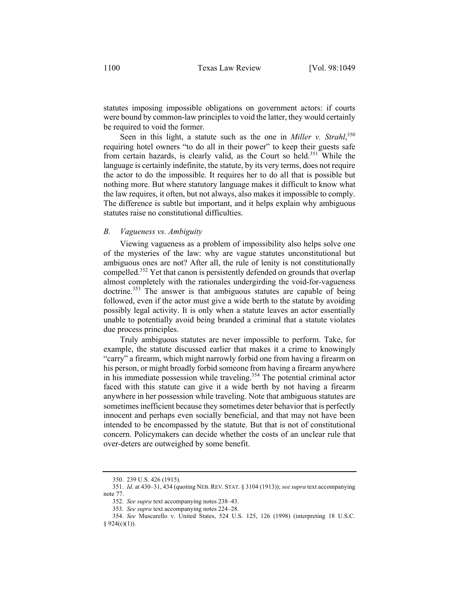statutes imposing impossible obligations on government actors: if courts were bound by common-law principles to void the latter, they would certainly be required to void the former.

Seen in this light, a statute such as the one in *Miller v. Strahl*, 350 requiring hotel owners "to do all in their power" to keep their guests safe from certain hazards, is clearly valid, as the Court so held.<sup>351</sup> While the language is certainly indefinite, the statute, by its very terms, does not require the actor to do the impossible. It requires her to do all that is possible but nothing more. But where statutory language makes it difficult to know what the law requires, it often, but not always, also makes it impossible to comply. The difference is subtle but important, and it helps explain why ambiguous statutes raise no constitutional difficulties.

#### *B. Vagueness vs. Ambiguity*

Viewing vagueness as a problem of impossibility also helps solve one of the mysteries of the law: why are vague statutes unconstitutional but ambiguous ones are not? After all, the rule of lenity is not constitutionally compelled.<sup>352</sup> Yet that canon is persistently defended on grounds that overlap almost completely with the rationales undergirding the void-for-vagueness doctrine.<sup>353</sup> The answer is that ambiguous statutes are capable of being followed, even if the actor must give a wide berth to the statute by avoiding possibly legal activity. It is only when a statute leaves an actor essentially unable to potentially avoid being branded a criminal that a statute violates due process principles.

Truly ambiguous statutes are never impossible to perform. Take, for example, the statute discussed earlier that makes it a crime to knowingly "carry" a firearm, which might narrowly forbid one from having a firearm on his person, or might broadly forbid someone from having a firearm anywhere in his immediate possession while traveling.<sup>354</sup> The potential criminal actor faced with this statute can give it a wide berth by not having a firearm anywhere in her possession while traveling. Note that ambiguous statutes are sometimes inefficient because they sometimes deter behavior that is perfectly innocent and perhaps even socially beneficial, and that may not have been intended to be encompassed by the statute. But that is not of constitutional concern. Policymakers can decide whether the costs of an unclear rule that over-deters are outweighed by some benefit.

<sup>350.</sup> 239 U.S. 426 (1915).

<sup>351.</sup> *Id.* at 430–31, 434 (quoting NEB. REV. STAT. § 3104 (1913)); *see supra* text accompanying note 77.

<sup>352.</sup> *See supra* text accompanying notes 238–43.

<sup>353.</sup> *See supra* text accompanying notes 224–28.

<sup>354.</sup> *See* Muscarello v. United States, 524 U.S. 125, 126 (1998) (interpreting 18 U.S.C.  $§ 924(c)(1)).$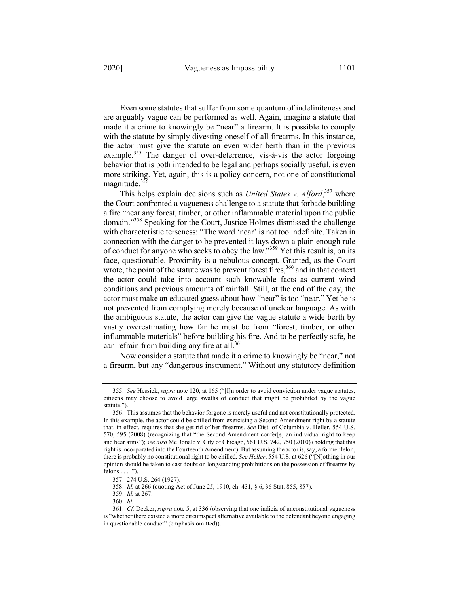Even some statutes that suffer from some quantum of indefiniteness and are arguably vague can be performed as well. Again, imagine a statute that made it a crime to knowingly be "near" a firearm. It is possible to comply with the statute by simply divesting oneself of all firearms. In this instance, the actor must give the statute an even wider berth than in the previous example.<sup>355</sup> The danger of over-deterrence, vis-à-vis the actor forgoing behavior that is both intended to be legal and perhaps socially useful, is even more striking. Yet, again, this is a policy concern, not one of constitutional magnitude.<sup>356</sup>

This helps explain decisions such as *United States v. Alford*, <sup>357</sup> where the Court confronted a vagueness challenge to a statute that forbade building a fire "near any forest, timber, or other inflammable material upon the public domain."358 Speaking for the Court, Justice Holmes dismissed the challenge with characteristic terseness: "The word 'near' is not too indefinite. Taken in connection with the danger to be prevented it lays down a plain enough rule of conduct for anyone who seeks to obey the law."359 Yet this result is, on its face, questionable. Proximity is a nebulous concept. Granted, as the Court wrote, the point of the statute was to prevent forest fires,  $360$  and in that context the actor could take into account such knowable facts as current wind conditions and previous amounts of rainfall. Still, at the end of the day, the actor must make an educated guess about how "near" is too "near." Yet he is not prevented from complying merely because of unclear language. As with the ambiguous statute, the actor can give the vague statute a wide berth by vastly overestimating how far he must be from "forest, timber, or other inflammable materials" before building his fire. And to be perfectly safe, he can refrain from building any fire at all.<sup>361</sup>

Now consider a statute that made it a crime to knowingly be "near," not a firearm, but any "dangerous instrument." Without any statutory definition

359. *Id.* at 267.

<sup>355.</sup> *See* Hessick, *supra* note 120, at 165 ("[I]n order to avoid conviction under vague statutes, citizens may choose to avoid large swaths of conduct that might be prohibited by the vague statute.").

<sup>356.</sup> This assumes that the behavior forgone is merely useful and not constitutionally protected. In this example, the actor could be chilled from exercising a Second Amendment right by a statute that, in effect, requires that she get rid of her firearms. *See* Dist. of Columbia v. Heller, 554 U.S. 570, 595 (2008) (recognizing that "the Second Amendment confer[s] an individual right to keep and bear arms"); *see also* McDonald v. City of Chicago, 561 U.S. 742, 750 (2010) (holding that this right is incorporated into the Fourteenth Amendment). But assuming the actor is, say, a former felon, there is probably no constitutional right to be chilled. *See Heller*, 554 U.S. at 626 ("[N]othing in our opinion should be taken to cast doubt on longstanding prohibitions on the possession of firearms by felons  $\dots$ .").

<sup>357.</sup> 274 U.S. 264 (1927).

<sup>358.</sup> *Id.* at 266 (quoting Act of June 25, 1910, ch. 431, § 6, 36 Stat. 855, 857).

<sup>360.</sup> *Id.*

<sup>361.</sup> *Cf.* Decker, *supra* note 5, at 336 (observing that one indicia of unconstitutional vagueness is "whether there existed a more circumspect alternative available to the defendant beyond engaging in questionable conduct" (emphasis omitted)).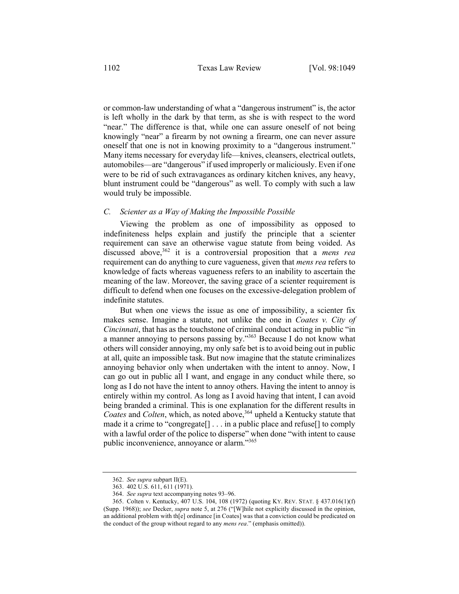or common-law understanding of what a "dangerous instrument" is, the actor is left wholly in the dark by that term, as she is with respect to the word "near." The difference is that, while one can assure oneself of not being knowingly "near" a firearm by not owning a firearm, one can never assure oneself that one is not in knowing proximity to a "dangerous instrument." Many items necessary for everyday life—knives, cleansers, electrical outlets, automobiles—are "dangerous" if used improperly or maliciously. Even if one were to be rid of such extravagances as ordinary kitchen knives, any heavy, blunt instrument could be "dangerous" as well. To comply with such a law would truly be impossible.

### *C. Scienter as a Way of Making the Impossible Possible*

Viewing the problem as one of impossibility as opposed to indefiniteness helps explain and justify the principle that a scienter requirement can save an otherwise vague statute from being voided. As discussed above,<sup>362</sup> it is a controversial proposition that a *mens rea* requirement can do anything to cure vagueness, given that *mens rea* refers to knowledge of facts whereas vagueness refers to an inability to ascertain the meaning of the law. Moreover, the saving grace of a scienter requirement is difficult to defend when one focuses on the excessive-delegation problem of indefinite statutes.

But when one views the issue as one of impossibility, a scienter fix makes sense. Imagine a statute, not unlike the one in *Coates v. City of Cincinnati*, that has as the touchstone of criminal conduct acting in public "in a manner annoying to persons passing by."<sup>363</sup> Because I do not know what others will consider annoying, my only safe bet is to avoid being out in public at all, quite an impossible task. But now imagine that the statute criminalizes annoying behavior only when undertaken with the intent to annoy. Now, I can go out in public all I want, and engage in any conduct while there, so long as I do not have the intent to annoy others. Having the intent to annoy is entirely within my control. As long as I avoid having that intent, I can avoid being branded a criminal. This is one explanation for the different results in *Coates and Colten, which, as noted above,*<sup>364</sup> upheld a Kentucky statute that made it a crime to "congregate[] . . . in a public place and refuse[] to comply with a lawful order of the police to disperse" when done "with intent to cause public inconvenience, annoyance or alarm."<sup>365</sup>

<sup>362.</sup> *See supra* subpart II(E).

<sup>363.</sup> 402 U.S. 611, 611 (1971).

<sup>364.</sup> *See supra* text accompanying notes 93–96.

<sup>365.</sup> Colten v. Kentucky, 407 U.S. 104, 108 (1972) (quoting KY. REV. STAT. § 437.016(1)(f) (Supp. 1968)); *see* Decker, *supra* note 5, at 276 ("[W]hile not explicitly discussed in the opinion, an additional problem with th[e] ordinance [in Coates] was that a conviction could be predicated on the conduct of the group without regard to any *mens rea*." (emphasis omitted)).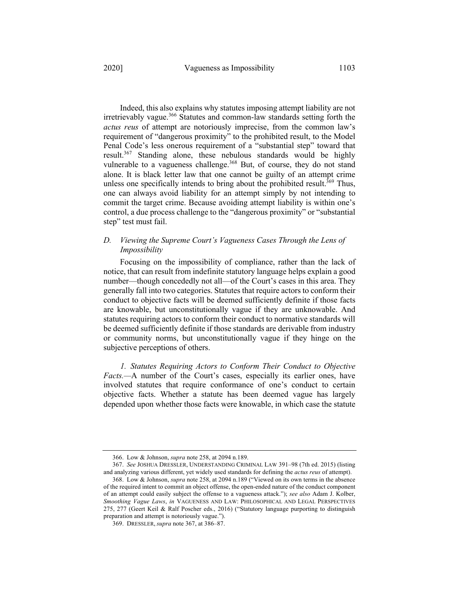Indeed, this also explains why statutes imposing attempt liability are not irretrievably vague.<sup>366</sup> Statutes and common-law standards setting forth the *actus reus* of attempt are notoriously imprecise, from the common law's requirement of "dangerous proximity" to the prohibited result, to the Model Penal Code's less onerous requirement of a "substantial step" toward that result.<sup>367</sup> Standing alone, these nebulous standards would be highly vulnerable to a vagueness challenge.<sup>368</sup> But, of course, they do not stand alone. It is black letter law that one cannot be guilty of an attempt crime unless one specifically intends to bring about the prohibited result.<sup>369</sup> Thus, one can always avoid liability for an attempt simply by not intending to commit the target crime. Because avoiding attempt liability is within one's control, a due process challenge to the "dangerous proximity" or "substantial step" test must fail.

## *D. Viewing the Supreme Court's Vagueness Cases Through the Lens of Impossibility*

Focusing on the impossibility of compliance, rather than the lack of notice, that can result from indefinite statutory language helps explain a good number—though concededly not all—of the Court's cases in this area. They generally fall into two categories. Statutes that require actors to conform their conduct to objective facts will be deemed sufficiently definite if those facts are knowable, but unconstitutionally vague if they are unknowable. And statutes requiring actors to conform their conduct to normative standards will be deemed sufficiently definite if those standards are derivable from industry or community norms, but unconstitutionally vague if they hinge on the subjective perceptions of others.

*1. Statutes Requiring Actors to Conform Their Conduct to Objective Facts.—*A number of the Court's cases, especially its earlier ones, have involved statutes that require conformance of one's conduct to certain objective facts. Whether a statute has been deemed vague has largely depended upon whether those facts were knowable, in which case the statute

<sup>366.</sup> Low & Johnson, *supra* note 258, at 2094 n.189.

<sup>367.</sup> *See* JOSHUA DRESSLER, UNDERSTANDING CRIMINAL LAW 391–98 (7th ed. 2015) (listing and analyzing various different, yet widely used standards for defining the *actus reus* of attempt).

<sup>368.</sup> Low & Johnson, *supra* note 258, at 2094 n.189 ("Viewed on its own terms in the absence of the required intent to commit an object offense, the open-ended nature of the conduct component of an attempt could easily subject the offense to a vagueness attack."); *see also* Adam J. Kolber, *Smoothing Vague Laws*, *in* VAGUENESS AND LAW: PHILOSOPHICAL AND LEGAL PERSPECTIVES 275, 277 (Geert Keil & Ralf Poscher eds., 2016) ("Statutory language purporting to distinguish preparation and attempt is notoriously vague.").

<sup>369.</sup> DRESSLER, *supra* note 367, at 386–87.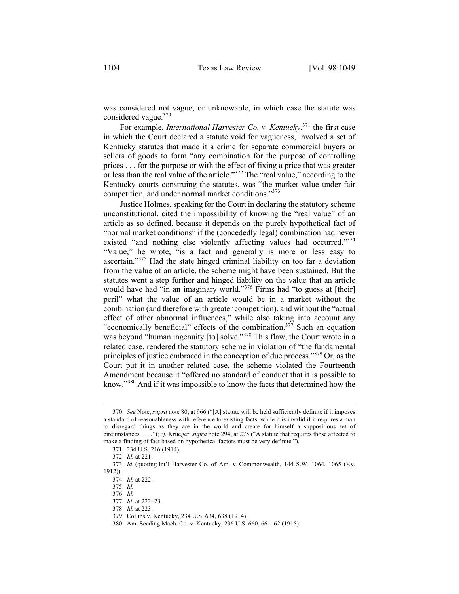was considered not vague, or unknowable, in which case the statute was considered vague.<sup>370</sup>

For example, *International Harvester Co. v. Kentucky*, <sup>371</sup> the first case in which the Court declared a statute void for vagueness, involved a set of Kentucky statutes that made it a crime for separate commercial buyers or sellers of goods to form "any combination for the purpose of controlling prices . . . for the purpose or with the effect of fixing a price that was greater or less than the real value of the article."<sup>372</sup> The "real value," according to the Kentucky courts construing the statutes, was "the market value under fair competition, and under normal market conditions."373

Justice Holmes, speaking for the Court in declaring the statutory scheme unconstitutional, cited the impossibility of knowing the "real value" of an article as so defined, because it depends on the purely hypothetical fact of "normal market conditions" if the (concededly legal) combination had never existed "and nothing else violently affecting values had occurred."<sup>374</sup> "Value," he wrote, "is a fact and generally is more or less easy to ascertain."<sup>375</sup> Had the state hinged criminal liability on too far a deviation from the value of an article, the scheme might have been sustained. But the statutes went a step further and hinged liability on the value that an article would have had "in an imaginary world."<sup>376</sup> Firms had "to guess at [their] peril" what the value of an article would be in a market without the combination (and therefore with greater competition), and without the "actual effect of other abnormal influences," while also taking into account any "economically beneficial" effects of the combination.<sup>377</sup> Such an equation was beyond "human ingenuity [to] solve."<sup>378</sup> This flaw, the Court wrote in a related case, rendered the statutory scheme in violation of "the fundamental principles of justice embraced in the conception of due process."<sup>379</sup> Or, as the Court put it in another related case, the scheme violated the Fourteenth Amendment because it "offered no standard of conduct that it is possible to know."<sup>380</sup> And if it was impossible to know the facts that determined how the

<sup>370.</sup> *See* Note, *supra* note 80, at 966 ("[A] statute will be held sufficiently definite if it imposes a standard of reasonableness with reference to existing facts, while it is invalid if it requires a man to disregard things as they are in the world and create for himself a suppositious set of circumstances . . . ."); *cf.* Krueger, *supra* note 294, at 275 ("A statute that requires those affected to make a finding of fact based on hypothetical factors must be very definite.").

<sup>371.</sup> 234 U.S. 216 (1914).

<sup>372.</sup> *Id.* at 221.

<sup>373.</sup> *Id.* (quoting Int'l Harvester Co. of Am. v. Commonwealth, 144 S.W. 1064, 1065 (Ky. 1912)).

<sup>374.</sup> *Id.* at 222.

<sup>375.</sup> *Id.*

<sup>376.</sup> *Id.*

<sup>377.</sup> *Id.* at 222–23.

<sup>378.</sup> *Id.* at 223.

<sup>379.</sup> Collins v. Kentucky, 234 U.S. 634, 638 (1914).

<sup>380.</sup> Am. Seeding Mach. Co. v. Kentucky, 236 U.S. 660, 661–62 (1915).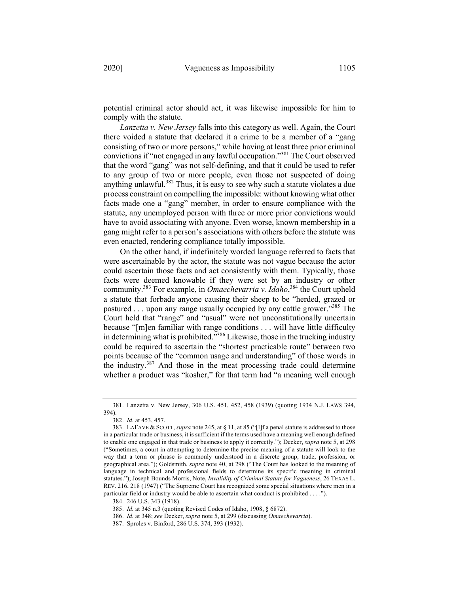potential criminal actor should act, it was likewise impossible for him to comply with the statute.

*Lanzetta v. New Jersey* falls into this category as well. Again, the Court there voided a statute that declared it a crime to be a member of a "gang consisting of two or more persons," while having at least three prior criminal convictions if "not engaged in any lawful occupation."<sup>381</sup> The Court observed that the word "gang" was not self-defining, and that it could be used to refer to any group of two or more people, even those not suspected of doing anything unlawful. $382$  Thus, it is easy to see why such a statute violates a due process constraint on compelling the impossible: without knowing what other facts made one a "gang" member, in order to ensure compliance with the statute, any unemployed person with three or more prior convictions would have to avoid associating with anyone. Even worse, known membership in a gang might refer to a person's associations with others before the statute was even enacted, rendering compliance totally impossible.

On the other hand, if indefinitely worded language referred to facts that were ascertainable by the actor, the statute was not vague because the actor could ascertain those facts and act consistently with them. Typically, those facts were deemed knowable if they were set by an industry or other community.383 For example, in *Omaechevarria v. Idaho*, <sup>384</sup> the Court upheld a statute that forbade anyone causing their sheep to be "herded, grazed or pastured  $\ldots$  upon any range usually occupied by any cattle grower."<sup>385</sup> The Court held that "range" and "usual" were not unconstitutionally uncertain because "[m]en familiar with range conditions . . . will have little difficulty in determining what is prohibited.<sup>3386</sup> Likewise, those in the trucking industry could be required to ascertain the "shortest practicable route" between two points because of the "common usage and understanding" of those words in the industry.<sup>387</sup> And those in the meat processing trade could determine whether a product was "kosher," for that term had "a meaning well enough

<sup>381.</sup> Lanzetta v. New Jersey, 306 U.S. 451, 452, 458 (1939) (quoting 1934 N.J. LAWS 394, 394).

<sup>382.</sup> *Id.* at 453, 457.

<sup>383.</sup> LAFAVE & SCOTT, *supra* note 245, at § 11, at 85 ("[I]f a penal statute is addressed to those in a particular trade or business, it is sufficient if the terms used have a meaning well enough defined to enable one engaged in that trade or business to apply it correctly."); Decker, *supra* note 5, at 298 ("Sometimes, a court in attempting to determine the precise meaning of a statute will look to the way that a term or phrase is commonly understood in a discrete group, trade, profession, or geographical area."); Goldsmith, *supra* note 40, at 298 ("The Court has looked to the meaning of language in technical and professional fields to determine its specific meaning in criminal statutes."); Joseph Bounds Morris, Note, *Invalidity of Criminal Statute for Vagueness*, 26 TEXAS L. REV. 216, 218 (1947) ("The Supreme Court has recognized some special situations where men in a particular field or industry would be able to ascertain what conduct is prohibited . . . .").

<sup>384.</sup> 246 U.S. 343 (1918).

<sup>385.</sup> *Id.* at 345 n.3 (quoting Revised Codes of Idaho, 1908, § 6872).

<sup>386.</sup> *Id.* at 348; *see* Decker, *supra* note 5, at 299 (discussing *Omaechevarria*).

<sup>387.</sup> Sproles v. Binford, 286 U.S. 374, 393 (1932).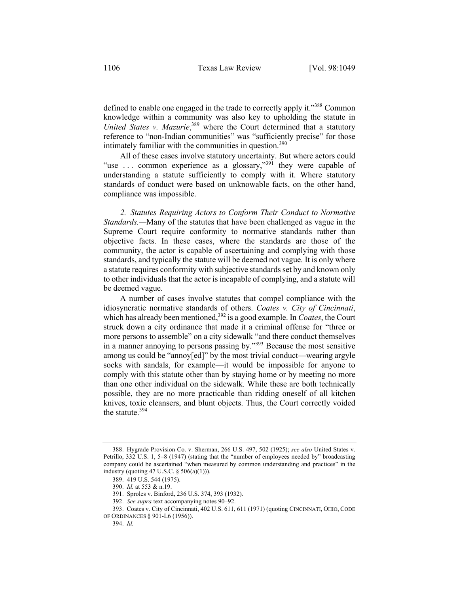defined to enable one engaged in the trade to correctly apply it."388 Common knowledge within a community was also key to upholding the statute in United States v. Mazurie,<sup>389</sup> where the Court determined that a statutory reference to "non-Indian communities" was "sufficiently precise" for those intimately familiar with the communities in question. $390$ 

All of these cases involve statutory uncertainty. But where actors could "use ... common experience as a glossary,"<sup>391</sup> they were capable of understanding a statute sufficiently to comply with it. Where statutory standards of conduct were based on unknowable facts, on the other hand, compliance was impossible.

*2. Statutes Requiring Actors to Conform Their Conduct to Normative Standards.—*Many of the statutes that have been challenged as vague in the Supreme Court require conformity to normative standards rather than objective facts. In these cases, where the standards are those of the community, the actor is capable of ascertaining and complying with those standards, and typically the statute will be deemed not vague. It is only where a statute requires conformity with subjective standards set by and known only to other individuals that the actor is incapable of complying, and a statute will be deemed vague.

A number of cases involve statutes that compel compliance with the idiosyncratic normative standards of others. *Coates v. City of Cincinnati*, which has already been mentioned,<sup>392</sup> is a good example. In *Coates*, the Court struck down a city ordinance that made it a criminal offense for "three or more persons to assemble" on a city sidewalk "and there conduct themselves in a manner annoying to persons passing by."<sup>393</sup> Because the most sensitive among us could be "annoy[ed]" by the most trivial conduct—wearing argyle socks with sandals, for example—it would be impossible for anyone to comply with this statute other than by staying home or by meeting no more than one other individual on the sidewalk. While these are both technically possible, they are no more practicable than ridding oneself of all kitchen knives, toxic cleansers, and blunt objects. Thus, the Court correctly voided the statute.<sup>394</sup>

<sup>388.</sup> Hygrade Provision Co. v. Sherman, 266 U.S. 497, 502 (1925); *see also* United States v. Petrillo, 332 U.S. 1, 5–8 (1947) (stating that the "number of employees needed by" broadcasting company could be ascertained "when measured by common understanding and practices" in the industry (quoting 47 U.S.C. § 506(a)(1))).

<sup>389.</sup> 419 U.S. 544 (1975).

<sup>390.</sup> *Id.* at 553 & n.19.

<sup>391.</sup> Sproles v. Binford, 236 U.S. 374, 393 (1932).

<sup>392.</sup> *See supra* text accompanying notes 90–92.

<sup>393.</sup> Coates v. City of Cincinnati, 402 U.S. 611, 611 (1971) (quoting CINCINNATI, OHIO, CODE OF ORDINANCES § 901-L6 (1956)).

<sup>394.</sup> *Id.*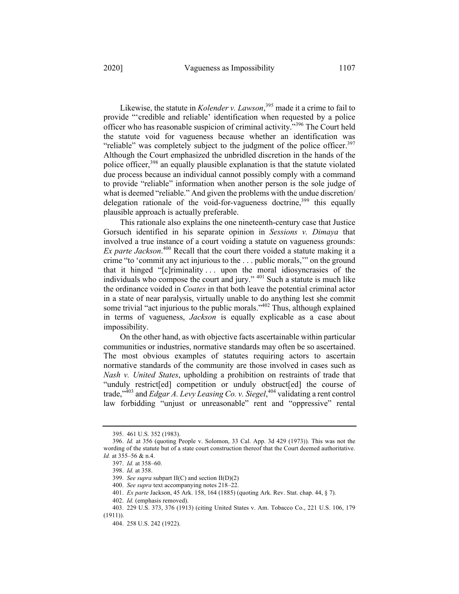Likewise, the statute in *Kolender v. Lawson*, <sup>395</sup> made it a crime to fail to provide "'credible and reliable' identification when requested by a police officer who has reasonable suspicion of criminal activity."<sup>396</sup> The Court held the statute void for vagueness because whether an identification was "reliable" was completely subject to the judgment of the police officer. $397$ Although the Court emphasized the unbridled discretion in the hands of the police officer,<sup>398</sup> an equally plausible explanation is that the statute violated due process because an individual cannot possibly comply with a command to provide "reliable" information when another person is the sole judge of what is deemed "reliable." And given the problems with the undue discretion/ delegation rationale of the void-for-vagueness doctrine,  $399$  this equally plausible approach is actually preferable.

This rationale also explains the one nineteenth-century case that Justice Gorsuch identified in his separate opinion in *Sessions v. Dimaya* that involved a true instance of a court voiding a statute on vagueness grounds: *Ex parte Jackson*. <sup>400</sup> Recall that the court there voided a statute making it a crime "to 'commit any act injurious to the . . . public morals,'" on the ground that it hinged "[c]riminality . . . upon the moral idiosyncrasies of the individuals who compose the court and jury." <sup>401</sup> Such a statute is much like the ordinance voided in *Coates* in that both leave the potential criminal actor in a state of near paralysis, virtually unable to do anything lest she commit some trivial "act injurious to the public morals."<sup>402</sup> Thus, although explained in terms of vagueness, *Jackson* is equally explicable as a case about impossibility.

On the other hand, as with objective facts ascertainable within particular communities or industries, normative standards may often be so ascertained. The most obvious examples of statutes requiring actors to ascertain normative standards of the community are those involved in cases such as *Nash v. United States*, upholding a prohibition on restraints of trade that "unduly restrict[ed] competition or unduly obstruct[ed] the course of trade,"403 and *Edgar A. Levy Leasing Co. v. Siegel*, <sup>404</sup> validating a rent control law forbidding "unjust or unreasonable" rent and "oppressive" rental

<sup>395.</sup> 461 U.S. 352 (1983).

<sup>396.</sup> *Id.* at 356 (quoting People v. Solomon, 33 Cal. App. 3d 429 (1973)). This was not the wording of the statute but of a state court construction thereof that the Court deemed authoritative. *Id.* at 355–56 & n.4.

<sup>397.</sup> *Id.* at 358–60.

<sup>398.</sup> *Id.* at 358.

<sup>399.</sup> *See supra* subpart II(C) and section II(D)(2)

<sup>400.</sup> *See supra* text accompanying notes 218–22.

<sup>401.</sup> *Ex parte* Jackson, 45 Ark. 158, 164 (1885) (quoting Ark. Rev. Stat. chap. 44, § 7).

<sup>402.</sup> *Id.* (emphasis removed).

<sup>403.</sup> 229 U.S. 373, 376 (1913) (citing United States v. Am. Tobacco Co., 221 U.S. 106, 179 (1911)).

<sup>404.</sup> 258 U.S. 242 (1922).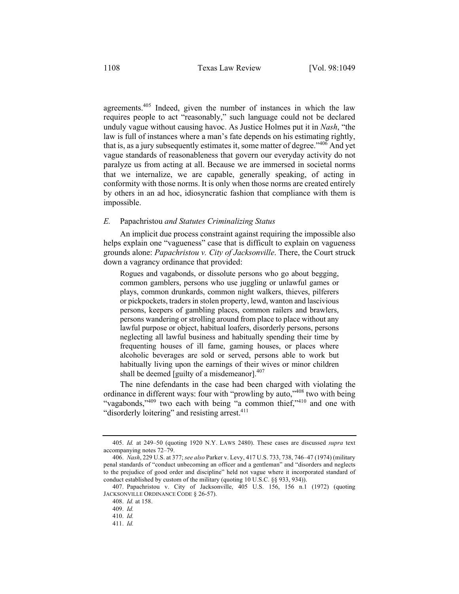agreements.405 Indeed, given the number of instances in which the law requires people to act "reasonably," such language could not be declared unduly vague without causing havoc. As Justice Holmes put it in *Nash*, "the law is full of instances where a man's fate depends on his estimating rightly, that is, as a jury subsequently estimates it, some matter of degree.<sup> $1406$ </sup> And yet vague standards of reasonableness that govern our everyday activity do not paralyze us from acting at all. Because we are immersed in societal norms that we internalize, we are capable, generally speaking, of acting in conformity with those norms. It is only when those norms are created entirely by others in an ad hoc, idiosyncratic fashion that compliance with them is impossible.

#### *E.* Papachristou *and Statutes Criminalizing Status*

An implicit due process constraint against requiring the impossible also helps explain one "vagueness" case that is difficult to explain on vagueness grounds alone: *Papachristou v. City of Jacksonville*. There, the Court struck down a vagrancy ordinance that provided:

Rogues and vagabonds, or dissolute persons who go about begging, common gamblers, persons who use juggling or unlawful games or plays, common drunkards, common night walkers, thieves, pilferers or pickpockets, traders in stolen property, lewd, wanton and lascivious persons, keepers of gambling places, common railers and brawlers, persons wandering or strolling around from place to place without any lawful purpose or object, habitual loafers, disorderly persons, persons neglecting all lawful business and habitually spending their time by frequenting houses of ill fame, gaming houses, or places where alcoholic beverages are sold or served, persons able to work but habitually living upon the earnings of their wives or minor children shall be deemed [guilty of a misdemeanor]. $407$ 

The nine defendants in the case had been charged with violating the ordinance in different ways: four with "prowling by auto,"<sup>408</sup> two with being "vagabonds,"<sup>409</sup> two each with being "a common thief,"<sup>410</sup> and one with "disorderly loitering" and resisting arrest.<sup>411</sup>

<sup>405.</sup> *Id.* at 249–50 (quoting 1920 N.Y. LAWS 2480). These cases are discussed *supra* text accompanying notes 72–79.

<sup>406.</sup> *Nash*, 229 U.S. at 377; *see also* Parker v. Levy, 417 U.S. 733, 738, 746–47 (1974) (military penal standards of "conduct unbecoming an officer and a gentleman" and "disorders and neglects to the prejudice of good order and discipline" held not vague where it incorporated standard of conduct established by custom of the military (quoting 10 U.S.C. §§ 933, 934)).

<sup>407.</sup> Papachristou v. City of Jacksonville, 405 U.S. 156, 156 n.1 (1972) (quoting JACKSONVILLE ORDINANCE CODE § 26-57).

<sup>408.</sup> *Id.* at 158.

<sup>409.</sup> *Id.*

<sup>410.</sup> *Id.*

<sup>411.</sup> *Id.*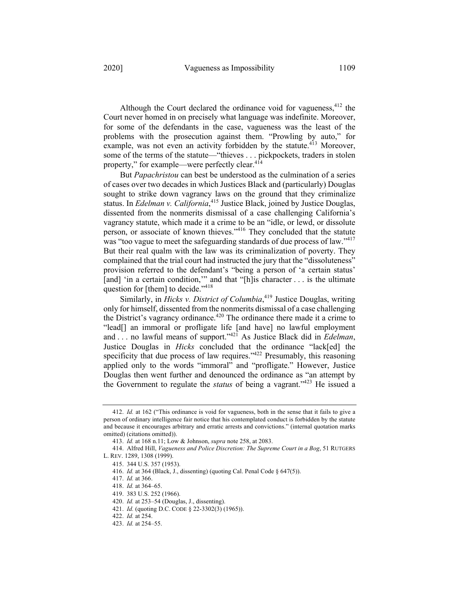Although the Court declared the ordinance void for vagueness,  $412$  the Court never homed in on precisely what language was indefinite. Moreover, for some of the defendants in the case, vagueness was the least of the problems with the prosecution against them. "Prowling by auto," for example, was not even an activity forbidden by the statute.<sup>413</sup> Moreover, some of the terms of the statute—"thieves . . . pickpockets, traders in stolen

property," for example—were perfectly clear.<sup>414</sup>

But *Papachristou* can best be understood as the culmination of a series of cases over two decades in which Justices Black and (particularly) Douglas sought to strike down vagrancy laws on the ground that they criminalize status. In *Edelman v. California*, <sup>415</sup> Justice Black, joined by Justice Douglas, dissented from the nonmerits dismissal of a case challenging California's vagrancy statute, which made it a crime to be an "idle, or lewd, or dissolute person, or associate of known thieves."416 They concluded that the statute was "too vague to meet the safeguarding standards of due process of law."<sup>417</sup> But their real qualm with the law was its criminalization of poverty. They complained that the trial court had instructed the jury that the "dissoluteness" provision referred to the defendant's "being a person of 'a certain status' [and] 'in a certain condition," and that "[h]is character . . . is the ultimate question for [them] to decide."<sup>418</sup>

Similarly, in *Hicks v. District of Columbia*, <sup>419</sup> Justice Douglas, writing only for himself, dissented from the nonmerits dismissal of a case challenging the District's vagrancy ordinance.<sup>420</sup> The ordinance there made it a crime to "lead[] an immoral or profligate life [and have] no lawful employment and . . . no lawful means of support."<sup>421</sup> As Justice Black did in *Edelman*, Justice Douglas in *Hicks* concluded that the ordinance "lack[ed] the specificity that due process of law requires."<sup>422</sup> Presumably, this reasoning applied only to the words "immoral" and "profligate." However, Justice Douglas then went further and denounced the ordinance as "an attempt by the Government to regulate the *status* of being a vagrant."423 He issued a

<sup>412.</sup> *Id.* at 162 ("This ordinance is void for vagueness, both in the sense that it fails to give a person of ordinary intelligence fair notice that his contemplated conduct is forbidden by the statute and because it encourages arbitrary and erratic arrests and convictions." (internal quotation marks omitted) (citations omitted)).

<sup>413.</sup> *Id.* at 168 n.11; Low & Johnson, *supra* note 258, at 2083.

<sup>414.</sup> Alfred Hill, *Vagueness and Police Discretion: The Supreme Court in a Bog*, 51 RUTGERS L. REV. 1289, 1308 (1999).

<sup>415.</sup> 344 U.S. 357 (1953).

<sup>416.</sup> *Id.* at 364 (Black, J., dissenting) (quoting Cal. Penal Code § 647(5)).

<sup>417.</sup> *Id.* at 366.

<sup>418.</sup> *Id.* at 364–65.

<sup>419.</sup> 383 U.S. 252 (1966).

<sup>420.</sup> *Id.* at 253–54 (Douglas, J., dissenting).

<sup>421.</sup> *Id.* (quoting D.C. CODE § 22-3302(3) (1965)).

<sup>422.</sup> *Id.* at 254.

<sup>423.</sup> *Id.* at 254–55.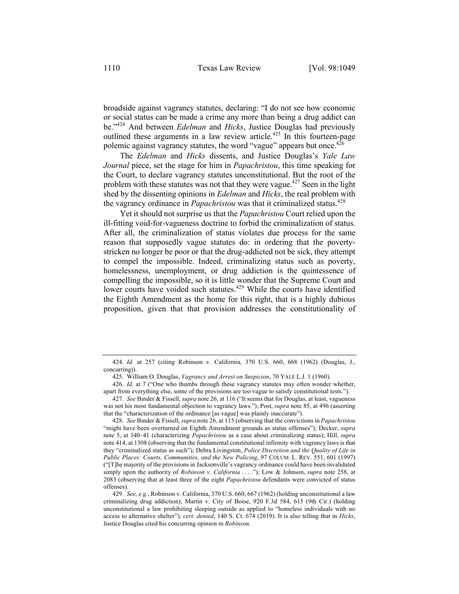broadside against vagrancy statutes, declaring: "I do not see how economic or social status can be made a crime any more than being a drug addict can be."424 And between *Edelman* and *Hicks*, Justice Douglas had previously outlined these arguments in a law review article.<sup>425</sup> In this fourteen-page polemic against vagrancy statutes, the word "vague" appears but once.<sup>426</sup>

The *Edelman* and *Hicks* dissents, and Justice Douglas's *Yale Law Journal* piece, set the stage for him in *Papachristou*, this time speaking for the Court, to declare vagrancy statutes unconstitutional. But the root of the problem with these statutes was not that they were vague.<sup>427</sup> Seen in the light shed by the dissenting opinions in *Edelman* and *Hicks*, the real problem with the vagrancy ordinance in *Papachristou* was that it criminalized status.<sup>428</sup>

Yet it should not surprise us that the *Papachristou* Court relied upon the ill-fitting void-for-vagueness doctrine to forbid the criminalization of status. After all, the criminalization of status violates due process for the same reason that supposedly vague statutes do: in ordering that the povertystricken no longer be poor or that the drug-addicted not be sick, they attempt to compel the impossible. Indeed, criminalizing status such as poverty, homelessness, unemployment, or drug addiction is the quintessence of compelling the impossible, so it is little wonder that the Supreme Court and lower courts have voided such statutes.<sup>429</sup> While the courts have identified the Eighth Amendment as the home for this right, that is a highly dubious proposition, given that that provision addresses the constitutionality of

<sup>424.</sup> *Id.* at 257 (citing Robinson v. California, 370 U.S. 660, 668 (1962) (Douglas, J., concurring)).

<sup>425.</sup> William O. Douglas, *Vagrancy and Arrest on Suspicion*, 70 YALE L.J. 1 (1960).

<sup>426.</sup> *Id.* at 7 ("One who thumbs through these vagrancy statutes may often wonder whether, apart from everything else, some of the provisions are too vague to satisfy constitutional tests.").

<sup>427.</sup> *See* Binder & Fissell, *supra* note 26, at 116 ("It seems that for Douglas, at least, vagueness was not his most fundamental objection to vagrancy laws."); Post, *supra* note 85, at 496 (asserting that the "characterization of the ordinance [as vague] was plainly inaccurate").

<sup>428.</sup> *See* Binder & Fissell, *supra* note 26, at 115 (observing that the convictions in *Papachristou*  "might have been overturned on Eighth Amendment grounds as status offenses"); Decker, *supra*  note 5, at 340–41 (characterizing *Papachristou* as a case about criminalizing status); Hill, *supra*  note 414, at 1308 (observing that the fundamental constitutional infirmity with vagrancy laws is that they "criminalized status as such"); Debra Livingston, *Police Discretion and the Quality of Life in Public Places: Courts, Communities, and the New Policing*, 97 COLUM. L. REV. 551, 601 (1997) ("[T]he majority of the provisions in Jacksonville's vagrancy ordinance could have been invalidated simply upon the authority of *Robinson v. California* . . . ."); Low & Johnson, *supra* note 258, at 2083 (observing that at least three of the eight *Papachristou* defendants were convicted of status offenses).

<sup>429.</sup> *See, e.g.*, Robinson v. California, 370 U.S. 660, 667 (1962) (holding unconstitutional a law criminalizing drug addiction); Martin v. City of Boise, 920 F.3d 584, 615 (9th Cir.) (holding unconstitutional a law prohibiting sleeping outside as applied to "homeless individuals with no access to alternative shelter"), *cert. denied*, 140 S. Ct. 674 (2019). It is also telling that in *Hicks*, Justice Douglas cited his concurring opinion in *Robinson*.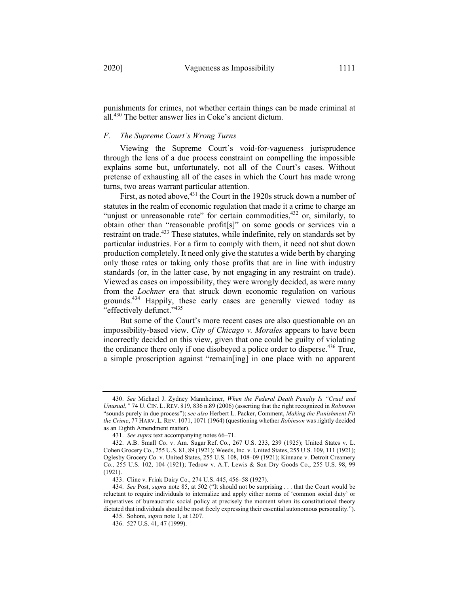punishments for crimes, not whether certain things can be made criminal at all.430 The better answer lies in Coke's ancient dictum.

### *F. The Supreme Court's Wrong Turns*

Viewing the Supreme Court's void-for-vagueness jurisprudence through the lens of a due process constraint on compelling the impossible explains some but, unfortunately, not all of the Court's cases. Without pretense of exhausting all of the cases in which the Court has made wrong turns, two areas warrant particular attention.

First, as noted above,  $431$  the Court in the 1920s struck down a number of statutes in the realm of economic regulation that made it a crime to charge an "unjust or unreasonable rate" for certain commodities, <sup>432</sup> or, similarly, to obtain other than "reasonable profit[s]" on some goods or services via a restraint on trade.<sup>433</sup> These statutes, while indefinite, rely on standards set by particular industries. For a firm to comply with them, it need not shut down production completely. It need only give the statutes a wide berth by charging only those rates or taking only those profits that are in line with industry standards (or, in the latter case, by not engaging in any restraint on trade). Viewed as cases on impossibility, they were wrongly decided, as were many from the *Lochner* era that struck down economic regulation on various grounds.<sup>434</sup> Happily, these early cases are generally viewed today as "effectively defunct."435

But some of the Court's more recent cases are also questionable on an impossibility-based view. *City of Chicago v. Morales* appears to have been incorrectly decided on this view, given that one could be guilty of violating the ordinance there only if one disobeyed a police order to disperse.<sup>436</sup> True, a simple proscription against "remain[ing] in one place with no apparent

<sup>430.</sup> *See* Michael J. Zydney Mannheimer, *When the Federal Death Penalty Is "Cruel and Unusual*,*"* 74 U. CIN. L. REV. 819, 836 n.89 (2006) (asserting that the right recognized in *Robinson*  "sounds purely in due process"); *see also* Herbert L. Packer, Comment, *Making the Punishment Fit the Crime*, 77 HARV. L. REV. 1071, 1071 (1964) (questioning whether *Robinson* was rightly decided as an Eighth Amendment matter).

<sup>431.</sup> *See supra* text accompanying notes 66–71.

<sup>432.</sup> A.B. Small Co. v. Am. Sugar Ref. Co., 267 U.S. 233, 239 (1925); United States v. L. Cohen Grocery Co., 255 U.S. 81, 89 (1921); Weeds, Inc. v. United States, 255 U.S. 109, 111 (1921); Oglesby Grocery Co. v. United States, 255 U.S. 108, 108–09 (1921); Kinnane v. Detroit Creamery Co., 255 U.S. 102, 104 (1921); Tedrow v. A.T. Lewis & Son Dry Goods Co., 255 U.S. 98, 99 (1921).

<sup>433.</sup> Cline v. Frink Dairy Co., 274 U.S. 445, 456–58 (1927).

<sup>434.</sup> *See* Post, *supra* note 85, at 502 ("It should not be surprising . . . that the Court would be reluctant to require individuals to internalize and apply either norms of 'common social duty' or imperatives of bureaucratic social policy at precisely the moment when its constitutional theory dictated that individuals should be most freely expressing their essential autonomous personality.").

<sup>435.</sup> Sohoni, *supra* note 1, at 1207.

<sup>436.</sup> 527 U.S. 41, 47 (1999).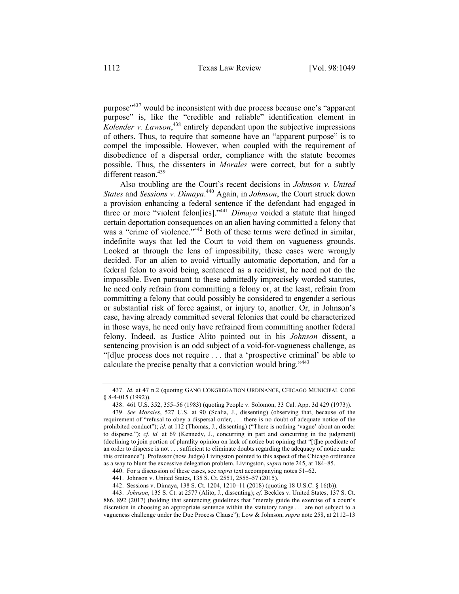purpose"437 would be inconsistent with due process because one's "apparent purpose" is, like the "credible and reliable" identification element in *Kolender v. Lawson*, <sup>438</sup> entirely dependent upon the subjective impressions of others. Thus, to require that someone have an "apparent purpose" is to compel the impossible. However, when coupled with the requirement of disobedience of a dispersal order, compliance with the statute becomes possible. Thus, the dissenters in *Morales* were correct, but for a subtly different reason.<sup>439</sup>

Also troubling are the Court's recent decisions in *Johnson v. United States* and *Sessions v. Dimaya*. <sup>440</sup> Again, in *Johnson*, the Court struck down a provision enhancing a federal sentence if the defendant had engaged in three or more "violent felon[ies]."441 *Dimaya* voided a statute that hinged certain deportation consequences on an alien having committed a felony that was a "crime of violence."<sup>442</sup> Both of these terms were defined in similar, indefinite ways that led the Court to void them on vagueness grounds. Looked at through the lens of impossibility, these cases were wrongly decided. For an alien to avoid virtually automatic deportation, and for a federal felon to avoid being sentenced as a recidivist, he need not do the impossible. Even pursuant to these admittedly imprecisely worded statutes, he need only refrain from committing a felony or, at the least, refrain from committing a felony that could possibly be considered to engender a serious or substantial risk of force against, or injury to, another. Or, in Johnson's case, having already committed several felonies that could be characterized in those ways, he need only have refrained from committing another federal felony. Indeed, as Justice Alito pointed out in his *Johnson* dissent, a sentencing provision is an odd subject of a void-for-vagueness challenge, as "[d]ue process does not require . . . that a 'prospective criminal' be able to calculate the precise penalty that a conviction would bring."<sup>443</sup>

<sup>437.</sup> *Id.* at 47 n.2 (quoting GANG CONGREGATION ORDINANCE, CHICAGO MUNICIPAL CODE § 8-4-015 (1992)).

<sup>438.</sup> 461 U.S. 352, 355–56 (1983) (quoting People v. Solomon, 33 Cal. App. 3d 429 (1973)).

<sup>439.</sup> *See Morales*, 527 U.S. at 90 (Scalia, J., dissenting) (observing that, because of the requirement of "refusal to obey a dispersal order, . . . there is no doubt of adequate notice of the prohibited conduct"); *id.* at 112 (Thomas, J., dissenting) ("There is nothing 'vague' about an order to disperse."); *cf. id.* at 69 (Kennedy, J., concurring in part and concurring in the judgment) (declining to join portion of plurality opinion on lack of notice but opining that "[t]he predicate of an order to disperse is not . . . sufficient to eliminate doubts regarding the adequacy of notice under this ordinance"). Professor (now Judge) Livingston pointed to this aspect of the Chicago ordinance as a way to blunt the excessive delegation problem. Livingston, *supra* note 245, at 184–85.

<sup>440.</sup> For a discussion of these cases, see *supra* text accompanying notes 51–62.

<sup>441.</sup> Johnson v. United States, 135 S. Ct. 2551, 2555–57 (2015).

<sup>442.</sup> Sessions v. Dimaya, 138 S. Ct. 1204, 1210–11 (2018) (quoting 18 U.S.C. § 16(b)).

<sup>443.</sup> *Johnson*, 135 S. Ct. at 2577 (Alito, J., dissenting); *cf.* Beckles v. United States, 137 S. Ct. 886, 892 (2017) (holding that sentencing guidelines that "merely guide the exercise of a court's discretion in choosing an appropriate sentence within the statutory range . . . are not subject to a vagueness challenge under the Due Process Clause"); Low & Johnson, *supra* note 258, at 2112–13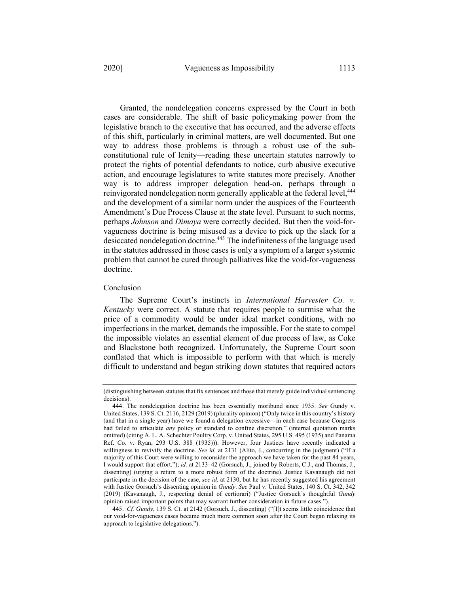Granted, the nondelegation concerns expressed by the Court in both cases are considerable. The shift of basic policymaking power from the legislative branch to the executive that has occurred, and the adverse effects of this shift, particularly in criminal matters, are well documented. But one way to address those problems is through a robust use of the subconstitutional rule of lenity—reading these uncertain statutes narrowly to protect the rights of potential defendants to notice, curb abusive executive action, and encourage legislatures to write statutes more precisely. Another way is to address improper delegation head-on, perhaps through a reinvigorated nondelegation norm generally applicable at the federal level,<sup>444</sup> and the development of a similar norm under the auspices of the Fourteenth Amendment's Due Process Clause at the state level. Pursuant to such norms, perhaps *Johnson* and *Dimaya* were correctly decided. But then the void-forvagueness doctrine is being misused as a device to pick up the slack for a desiccated nondelegation doctrine.<sup>445</sup> The indefiniteness of the language used in the statutes addressed in those cases is only a symptom of a larger systemic

#### Conclusion

doctrine.

The Supreme Court's instincts in *International Harvester Co. v. Kentucky* were correct. A statute that requires people to surmise what the price of a commodity would be under ideal market conditions, with no imperfections in the market, demands the impossible. For the state to compel the impossible violates an essential element of due process of law, as Coke and Blackstone both recognized. Unfortunately, the Supreme Court soon conflated that which is impossible to perform with that which is merely difficult to understand and began striking down statutes that required actors

problem that cannot be cured through palliatives like the void-for-vagueness

<sup>(</sup>distinguishing between statutes that fix sentences and those that merely guide individual sentencing decisions).

<sup>444.</sup> The nondelegation doctrine has been essentially moribund since 1935. *See* Gundy v. United States, 139 S. Ct. 2116, 2129 (2019) (plurality opinion) ("Only twice in this country's history (and that in a single year) have we found a delegation excessive—in each case because Congress had failed to articulate *any* policy or standard to confine discretion." (internal quotation marks omitted) (citing A. L. A. Schechter Poultry Corp. v. United States, 295 U.S. 495 (1935) and Panama Ref. Co. v. Ryan, 293 U.S. 388 (1935))). However, four Justices have recently indicated a willingness to revivify the doctrine. *See id.* at 2131 (Alito, J., concurring in the judgment) ("If a majority of this Court were willing to reconsider the approach we have taken for the past 84 years, I would support that effort."); *id.* at 2133–42 (Gorsuch, J., joined by Roberts, C.J., and Thomas, J., dissenting) (urging a return to a more robust form of the doctrine). Justice Kavanaugh did not participate in the decision of the case, *see id.* at 2130, but he has recently suggested his agreement with Justice Gorsuch's dissenting opinion in *Gundy*. *See* Paul v. United States, 140 S. Ct. 342, 342 (2019) (Kavanaugh, J., respecting denial of certiorari) ("Justice Gorsuch's thoughtful *Gundy* opinion raised important points that may warrant further consideration in future cases.").

<sup>445.</sup> *Cf. Gundy*, 139 S. Ct. at 2142 (Gorsuch, J., dissenting) ("[I]t seems little coincidence that our void-for-vagueness cases became much more common soon after the Court began relaxing its approach to legislative delegations.").